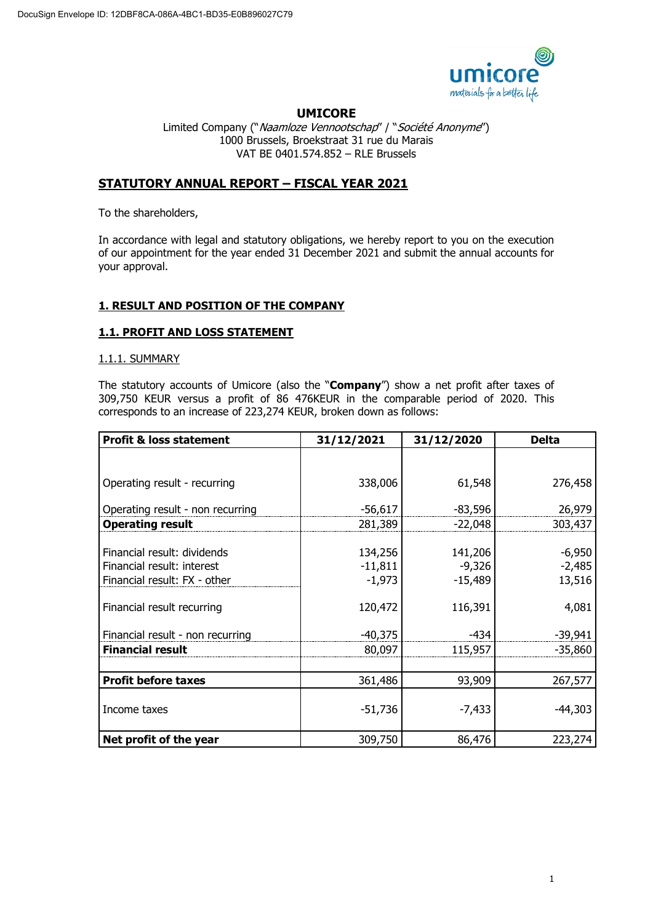

# **UMICORE**

Limited Company ("Naamloze Vennootschap" / "Société Anonyme") 1000 Brussels, Broekstraat 31 rue du Marais VAT BE 0401.574.852 – RLE Brussels

# **STATUTORY ANNUAL REPORT – FISCAL YEAR 2021**

To the shareholders,

In accordance with legal and statutory obligations, we hereby report to you on the execution of our appointment for the year ended 31 December 2021 and submit the annual accounts for your approval.

# **1. RESULT AND POSITION OF THE COMPANY**

# **1.1. PROFIT AND LOSS STATEMENT**

### 1.1.1. SUMMARY

The statutory accounts of Umicore (also the "**Company**") show a net profit after taxes of 309,750 KEUR versus a profit of 86 476KEUR in the comparable period of 2020. This corresponds to an increase of 223,274 KEUR, broken down as follows:

| <b>Profit &amp; loss statement</b>                                                        | 31/12/2021                       | 31/12/2020                       | <b>Delta</b>                   |
|-------------------------------------------------------------------------------------------|----------------------------------|----------------------------------|--------------------------------|
|                                                                                           |                                  |                                  |                                |
| Operating result - recurring                                                              | 338,006                          | 61,548                           | 276,458                        |
| Operating result - non recurring                                                          | $-56,617$                        | $-83,596$                        | 26,979                         |
| <b>Operating result</b>                                                                   | 281,389                          | $-22,048$                        | 303,437                        |
| Financial result: dividends<br>Financial result: interest<br>Financial result: FX - other | 134,256<br>$-11,811$<br>$-1,973$ | 141,206<br>$-9,326$<br>$-15,489$ | $-6,950$<br>$-2,485$<br>13,516 |
| Financial result recurring                                                                | 120,472                          | 116,391                          | 4,081                          |
| Financial result - non recurring                                                          | $-40,375$                        | $-434$                           | $-39,941$                      |
| <b>Financial result</b>                                                                   | 80,097                           | 115,957                          | $-35,860$                      |
|                                                                                           |                                  |                                  |                                |
| <b>Profit before taxes</b>                                                                | 361,486                          | 93,909                           | 267,577                        |
| Income taxes                                                                              | $-51,736$                        | $-7,433$                         | $-44,303$                      |
| Net profit of the year                                                                    | 309,750                          | 86,476                           | 223,274                        |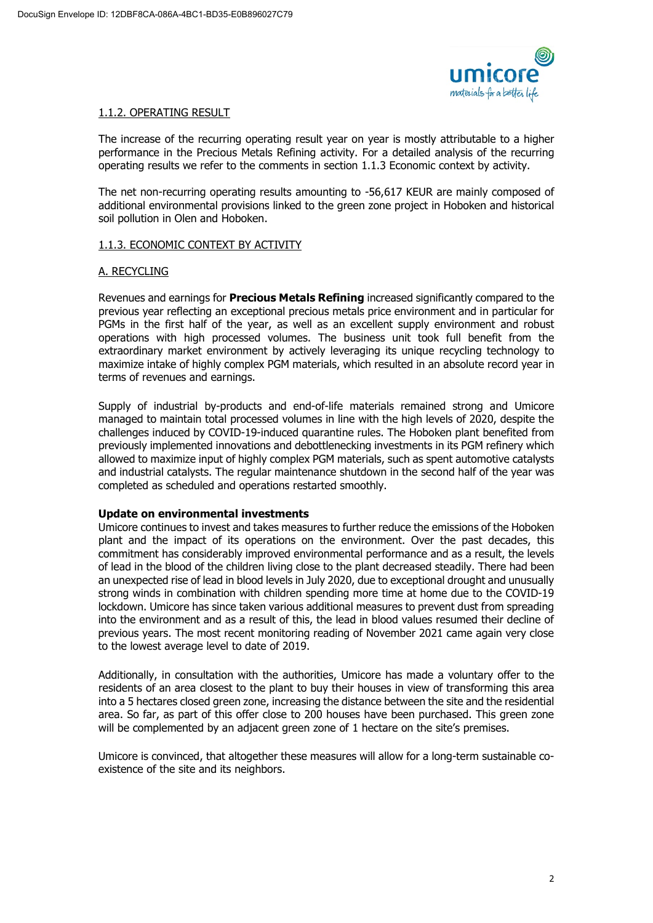

# 1.1.2. OPERATING RESULT

The increase of the recurring operating result year on year is mostly attributable to a higher performance in the Precious Metals Refining activity. For a detailed analysis of the recurring operating results we refer to the comments in section 1.1.3 Economic context by activity.

The net non-recurring operating results amounting to -56,617 KEUR are mainly composed of additional environmental provisions linked to the green zone project in Hoboken and historical soil pollution in Olen and Hoboken.

# 1.1.3. ECONOMIC CONTEXT BY ACTIVITY

# A. RECYCLING

Revenues and earnings for **Precious Metals Refining** increased significantly compared to the previous year reflecting an exceptional precious metals price environment and in particular for PGMs in the first half of the year, as well as an excellent supply environment and robust operations with high processed volumes. The business unit took full benefit from the extraordinary market environment by actively leveraging its unique recycling technology to maximize intake of highly complex PGM materials, which resulted in an absolute record year in terms of revenues and earnings.

Supply of industrial by-products and end-of-life materials remained strong and Umicore managed to maintain total processed volumes in line with the high levels of 2020, despite the challenges induced by COVID-19-induced quarantine rules. The Hoboken plant benefited from previously implemented innovations and debottlenecking investments in its PGM refinery which allowed to maximize input of highly complex PGM materials, such as spent automotive catalysts and industrial catalysts. The regular maintenance shutdown in the second half of the year was completed as scheduled and operations restarted smoothly.

# **Update on environmental investments**

Umicore continues to invest and takes measures to further reduce the emissions of the Hoboken plant and the impact of its operations on the environment. Over the past decades, this commitment has considerably improved environmental performance and as a result, the levels of lead in the blood of the children living close to the plant decreased steadily. There had been an unexpected rise of lead in blood levels in July 2020, due to exceptional drought and unusually strong winds in combination with children spending more time at home due to the COVID-19 lockdown. Umicore has since taken various additional measures to prevent dust from spreading into the environment and as a result of this, the lead in blood values resumed their decline of previous years. The most recent monitoring reading of November 2021 came again very close to the lowest average level to date of 2019.

Additionally, in consultation with the authorities, Umicore has made a voluntary offer to the residents of an area closest to the plant to buy their houses in view of transforming this area into a 5 hectares closed green zone, increasing the distance between the site and the residential area. So far, as part of this offer close to 200 houses have been purchased. This green zone will be complemented by an adjacent green zone of 1 hectare on the site's premises.

Umicore is convinced, that altogether these measures will allow for a long-term sustainable coexistence of the site and its neighbors.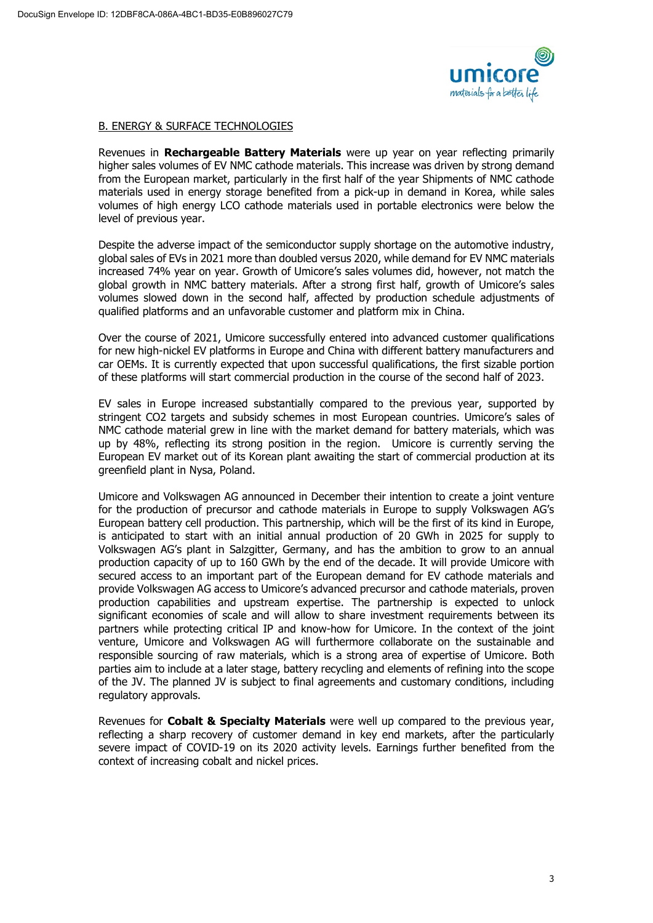

### B. ENERGY & SURFACE TECHNOLOGIES

Revenues in **Rechargeable Battery Materials** were up year on year reflecting primarily higher sales volumes of EV NMC cathode materials. This increase was driven by strong demand from the European market, particularly in the first half of the year Shipments of NMC cathode materials used in energy storage benefited from a pick-up in demand in Korea, while sales volumes of high energy LCO cathode materials used in portable electronics were below the level of previous year.

Despite the adverse impact of the semiconductor supply shortage on the automotive industry, global sales of EVs in 2021 more than doubled versus 2020, while demand for EV NMC materials increased 74% year on year. Growth of Umicore's sales volumes did, however, not match the global growth in NMC battery materials. After a strong first half, growth of Umicore's sales volumes slowed down in the second half, affected by production schedule adjustments of qualified platforms and an unfavorable customer and platform mix in China.

Over the course of 2021, Umicore successfully entered into advanced customer qualifications for new high-nickel EV platforms in Europe and China with different battery manufacturers and car OEMs. It is currently expected that upon successful qualifications, the first sizable portion of these platforms will start commercial production in the course of the second half of 2023.

EV sales in Europe increased substantially compared to the previous year, supported by stringent CO2 targets and subsidy schemes in most European countries. Umicore's sales of NMC cathode material grew in line with the market demand for battery materials, which was up by 48%, reflecting its strong position in the region. Umicore is currently serving the European EV market out of its Korean plant awaiting the start of commercial production at its greenfield plant in Nysa, Poland.

Umicore and Volkswagen AG announced in December their intention to create a joint venture for the production of precursor and cathode materials in Europe to supply Volkswagen AG's European battery cell production. This partnership, which will be the first of its kind in Europe, is anticipated to start with an initial annual production of 20 GWh in 2025 for supply to Volkswagen AG's plant in Salzgitter, Germany, and has the ambition to grow to an annual production capacity of up to 160 GWh by the end of the decade. It will provide Umicore with secured access to an important part of the European demand for EV cathode materials and provide Volkswagen AG access to Umicore's advanced precursor and cathode materials, proven production capabilities and upstream expertise. The partnership is expected to unlock significant economies of scale and will allow to share investment requirements between its partners while protecting critical IP and know-how for Umicore. In the context of the joint venture, Umicore and Volkswagen AG will furthermore collaborate on the sustainable and responsible sourcing of raw materials, which is a strong area of expertise of Umicore. Both parties aim to include at a later stage, battery recycling and elements of refining into the scope of the JV. The planned JV is subject to final agreements and customary conditions, including regulatory approvals.

Revenues for **Cobalt & Specialty Materials** were well up compared to the previous year, reflecting a sharp recovery of customer demand in key end markets, after the particularly severe impact of COVID-19 on its 2020 activity levels. Earnings further benefited from the context of increasing cobalt and nickel prices.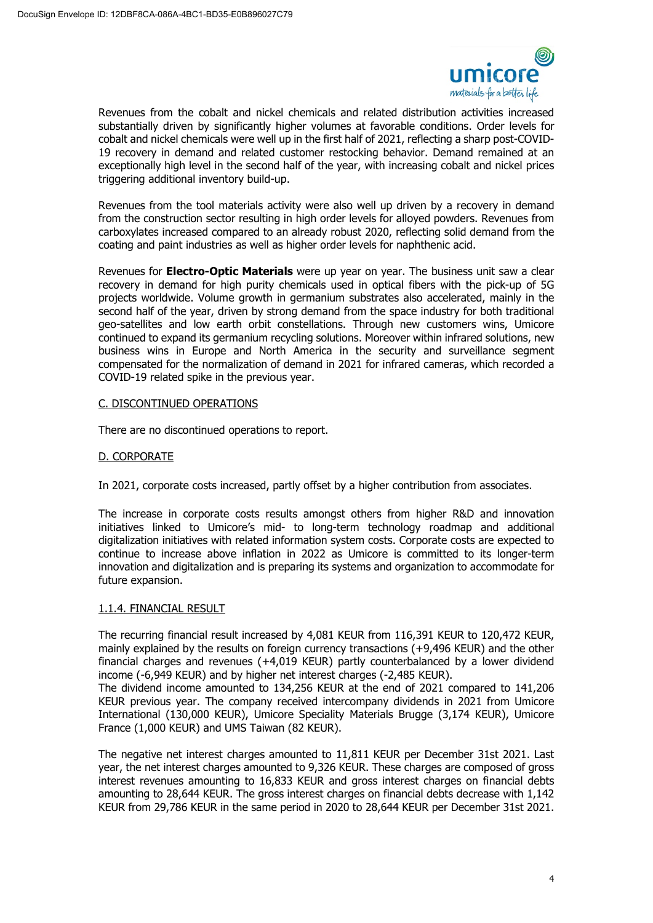

Revenues from the cobalt and nickel chemicals and related distribution activities increased substantially driven by significantly higher volumes at favorable conditions. Order levels for cobalt and nickel chemicals were well up in the first half of 2021, reflecting a sharp post-COVID-19 recovery in demand and related customer restocking behavior. Demand remained at an exceptionally high level in the second half of the year, with increasing cobalt and nickel prices triggering additional inventory build-up.

Revenues from the tool materials activity were also well up driven by a recovery in demand from the construction sector resulting in high order levels for alloyed powders. Revenues from carboxylates increased compared to an already robust 2020, reflecting solid demand from the coating and paint industries as well as higher order levels for naphthenic acid.

Revenues for **Electro-Optic Materials** were up year on year. The business unit saw a clear recovery in demand for high purity chemicals used in optical fibers with the pick-up of 5G projects worldwide. Volume growth in germanium substrates also accelerated, mainly in the second half of the year, driven by strong demand from the space industry for both traditional geo-satellites and low earth orbit constellations. Through new customers wins, Umicore continued to expand its germanium recycling solutions. Moreover within infrared solutions, new business wins in Europe and North America in the security and surveillance segment compensated for the normalization of demand in 2021 for infrared cameras, which recorded a COVID-19 related spike in the previous year.

# C. DISCONTINUED OPERATIONS

There are no discontinued operations to report.

### D. CORPORATE

In 2021, corporate costs increased, partly offset by a higher contribution from associates.

The increase in corporate costs results amongst others from higher R&D and innovation initiatives linked to Umicore's mid- to long-term technology roadmap and additional digitalization initiatives with related information system costs. Corporate costs are expected to continue to increase above inflation in 2022 as Umicore is committed to its longer-term innovation and digitalization and is preparing its systems and organization to accommodate for future expansion.

#### 1.1.4. FINANCIAL RESULT

The recurring financial result increased by 4,081 KEUR from 116,391 KEUR to 120,472 KEUR, mainly explained by the results on foreign currency transactions (+9,496 KEUR) and the other financial charges and revenues (+4,019 KEUR) partly counterbalanced by a lower dividend income (-6,949 KEUR) and by higher net interest charges (-2,485 KEUR).

The dividend income amounted to 134,256 KEUR at the end of 2021 compared to 141,206 KEUR previous year. The company received intercompany dividends in 2021 from Umicore International (130,000 KEUR), Umicore Speciality Materials Brugge (3,174 KEUR), Umicore France (1,000 KEUR) and UMS Taiwan (82 KEUR).

The negative net interest charges amounted to 11,811 KEUR per December 31st 2021. Last year, the net interest charges amounted to 9,326 KEUR. These charges are composed of gross interest revenues amounting to 16,833 KEUR and gross interest charges on financial debts amounting to 28,644 KEUR. The gross interest charges on financial debts decrease with 1,142 KEUR from 29,786 KEUR in the same period in 2020 to 28,644 KEUR per December 31st 2021.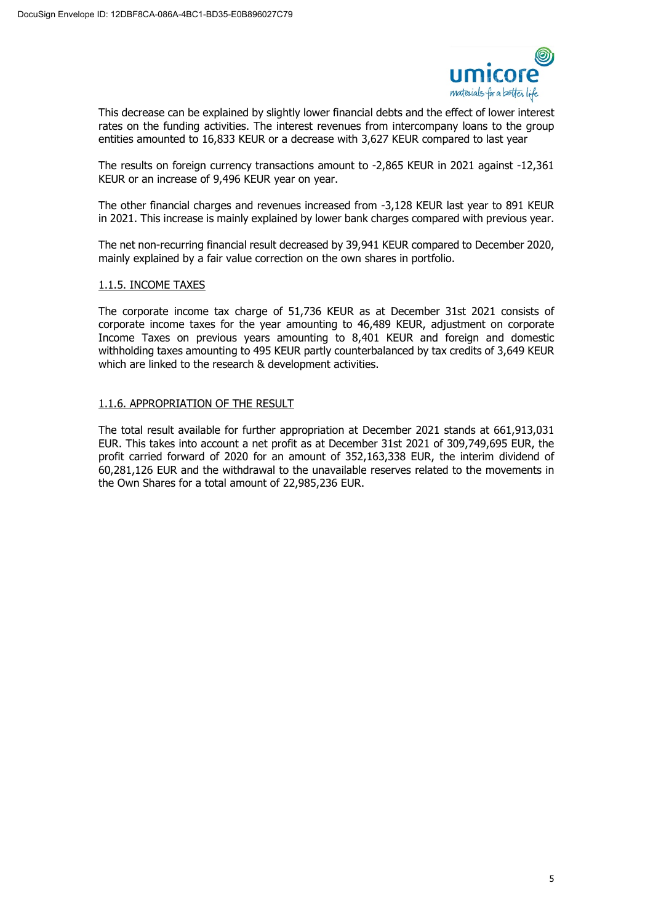

This decrease can be explained by slightly lower financial debts and the effect of lower interest rates on the funding activities. The interest revenues from intercompany loans to the group entities amounted to 16,833 KEUR or a decrease with 3,627 KEUR compared to last year

The results on foreign currency transactions amount to -2,865 KEUR in 2021 against -12,361 KEUR or an increase of 9,496 KEUR year on year.

The other financial charges and revenues increased from -3,128 KEUR last year to 891 KEUR in 2021. This increase is mainly explained by lower bank charges compared with previous year.

The net non-recurring financial result decreased by 39,941 KEUR compared to December 2020, mainly explained by a fair value correction on the own shares in portfolio.

### 1.1.5. INCOME TAXES

The corporate income tax charge of 51,736 KEUR as at December 31st 2021 consists of corporate income taxes for the year amounting to 46,489 KEUR, adjustment on corporate Income Taxes on previous years amounting to 8,401 KEUR and foreign and domestic withholding taxes amounting to 495 KEUR partly counterbalanced by tax credits of 3,649 KEUR which are linked to the research & development activities.

### 1.1.6. APPROPRIATION OF THE RESULT

The total result available for further appropriation at December 2021 stands at 661,913,031 EUR. This takes into account a net profit as at December 31st 2021 of 309,749,695 EUR, the profit carried forward of 2020 for an amount of 352,163,338 EUR, the interim dividend of 60,281,126 EUR and the withdrawal to the unavailable reserves related to the movements in the Own Shares for a total amount of 22,985,236 EUR.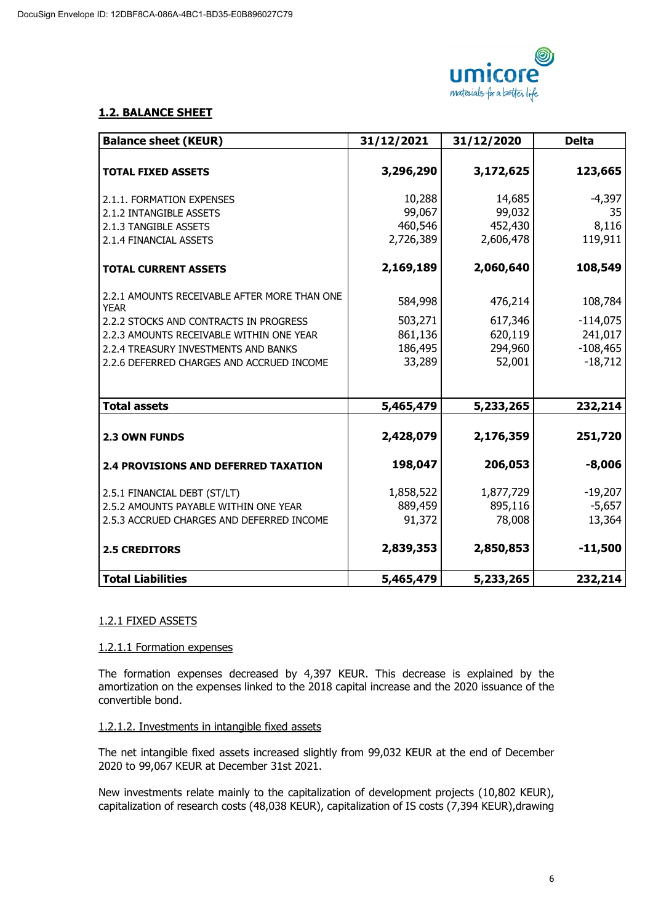

# **1.2. BALANCE SHEET**

| <b>Balance sheet (KEUR)</b>                  | 31/12/2021 | 31/12/2020 | <b>Delta</b> |
|----------------------------------------------|------------|------------|--------------|
| <b>TOTAL FIXED ASSETS</b>                    | 3,296,290  | 3,172,625  | 123,665      |
| 2.1.1. FORMATION EXPENSES                    | 10,288     | 14,685     | $-4,397$     |
| 2.1.2 INTANGIBLE ASSETS                      | 99,067     | 99,032     | 35           |
| 2.1.3 TANGIBLE ASSETS                        | 460,546    | 452,430    | 8,116        |
| 2.1.4 FINANCIAL ASSETS                       | 2,726,389  | 2,606,478  | 119,911      |
|                                              |            |            |              |
| <b>TOTAL CURRENT ASSETS</b>                  | 2,169,189  | 2,060,640  | 108,549      |
| 2.2.1 AMOUNTS RECEIVABLE AFTER MORE THAN ONE | 584,998    | 476,214    | 108,784      |
| <b>YEAR</b>                                  |            |            |              |
| 2.2.2 STOCKS AND CONTRACTS IN PROGRESS       | 503,271    | 617,346    | $-114,075$   |
| 2.2.3 AMOUNTS RECEIVABLE WITHIN ONE YEAR     | 861,136    | 620,119    | 241,017      |
| 2.2.4 TREASURY INVESTMENTS AND BANKS         | 186,495    | 294,960    | $-108,465$   |
| 2.2.6 DEFERRED CHARGES AND ACCRUED INCOME    | 33,289     | 52,001     | $-18,712$    |
|                                              |            |            |              |
| <b>Total assets</b>                          | 5,465,479  | 5,233,265  | 232,214      |
| 2.3 OWN FUNDS                                | 2,428,079  | 2,176,359  | 251,720      |
|                                              |            |            |              |
| <b>2.4 PROVISIONS AND DEFERRED TAXATION</b>  | 198,047    | 206,053    | $-8,006$     |
| 2.5.1 FINANCIAL DEBT (ST/LT)                 | 1,858,522  | 1,877,729  | $-19,207$    |
| 2.5.2 AMOUNTS PAYABLE WITHIN ONE YEAR        | 889,459    | 895,116    | $-5,657$     |
| 2.5.3 ACCRUED CHARGES AND DEFERRED INCOME    | 91,372     | 78,008     | 13,364       |
| <b>2.5 CREDITORS</b>                         | 2,839,353  | 2,850,853  | $-11,500$    |
| <b>Total Liabilities</b>                     | 5,465,479  | 5,233,265  | 232,214      |

# 1.2.1 FIXED ASSETS

# 1.2.1.1 Formation expenses

The formation expenses decreased by 4,397 KEUR. This decrease is explained by the amortization on the expenses linked to the 2018 capital increase and the 2020 issuance of the convertible bond.

# 1.2.1.2. Investments in intangible fixed assets

The net intangible fixed assets increased slightly from 99,032 KEUR at the end of December 2020 to 99,067 KEUR at December 31st 2021.

New investments relate mainly to the capitalization of development projects (10,802 KEUR), capitalization of research costs (48,038 KEUR), capitalization of IS costs (7,394 KEUR),drawing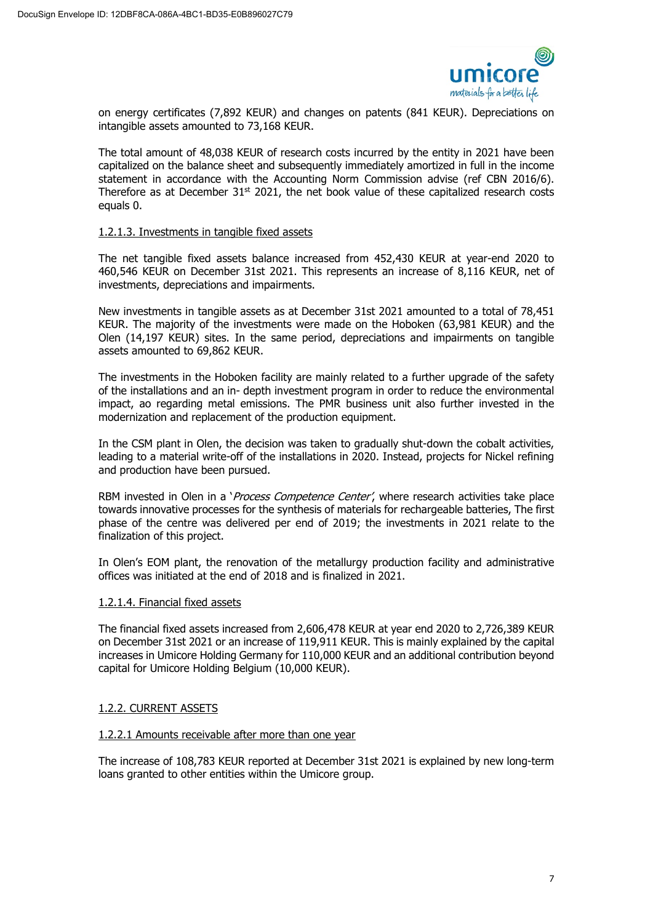

on energy certificates (7,892 KEUR) and changes on patents (841 KEUR). Depreciations on intangible assets amounted to 73,168 KEUR.

The total amount of 48,038 KEUR of research costs incurred by the entity in 2021 have been capitalized on the balance sheet and subsequently immediately amortized in full in the income statement in accordance with the Accounting Norm Commission advise (ref CBN 2016/6). Therefore as at December  $31^{st}$  2021, the net book value of these capitalized research costs equals 0.

### 1.2.1.3. Investments in tangible fixed assets

The net tangible fixed assets balance increased from 452,430 KEUR at year-end 2020 to 460,546 KEUR on December 31st 2021. This represents an increase of 8,116 KEUR, net of investments, depreciations and impairments.

New investments in tangible assets as at December 31st 2021 amounted to a total of 78,451 KEUR. The majority of the investments were made on the Hoboken (63,981 KEUR) and the Olen (14,197 KEUR) sites. In the same period, depreciations and impairments on tangible assets amounted to 69,862 KEUR.

The investments in the Hoboken facility are mainly related to a further upgrade of the safety of the installations and an in- depth investment program in order to reduce the environmental impact, ao regarding metal emissions. The PMR business unit also further invested in the modernization and replacement of the production equipment.

In the CSM plant in Olen, the decision was taken to gradually shut-down the cobalt activities, leading to a material write-off of the installations in 2020. Instead, projects for Nickel refining and production have been pursued.

RBM invested in Olen in a 'Process Competence Center', where research activities take place towards innovative processes for the synthesis of materials for rechargeable batteries, The first phase of the centre was delivered per end of 2019; the investments in 2021 relate to the finalization of this project.

In Olen's EOM plant, the renovation of the metallurgy production facility and administrative offices was initiated at the end of 2018 and is finalized in 2021.

# 1.2.1.4. Financial fixed assets

The financial fixed assets increased from 2,606,478 KEUR at year end 2020 to 2,726,389 KEUR on December 31st 2021 or an increase of 119,911 KEUR. This is mainly explained by the capital increases in Umicore Holding Germany for 110,000 KEUR and an additional contribution beyond capital for Umicore Holding Belgium (10,000 KEUR).

#### 1.2.2. CURRENT ASSETS

#### 1.2.2.1 Amounts receivable after more than one year

The increase of 108,783 KEUR reported at December 31st 2021 is explained by new long-term loans granted to other entities within the Umicore group.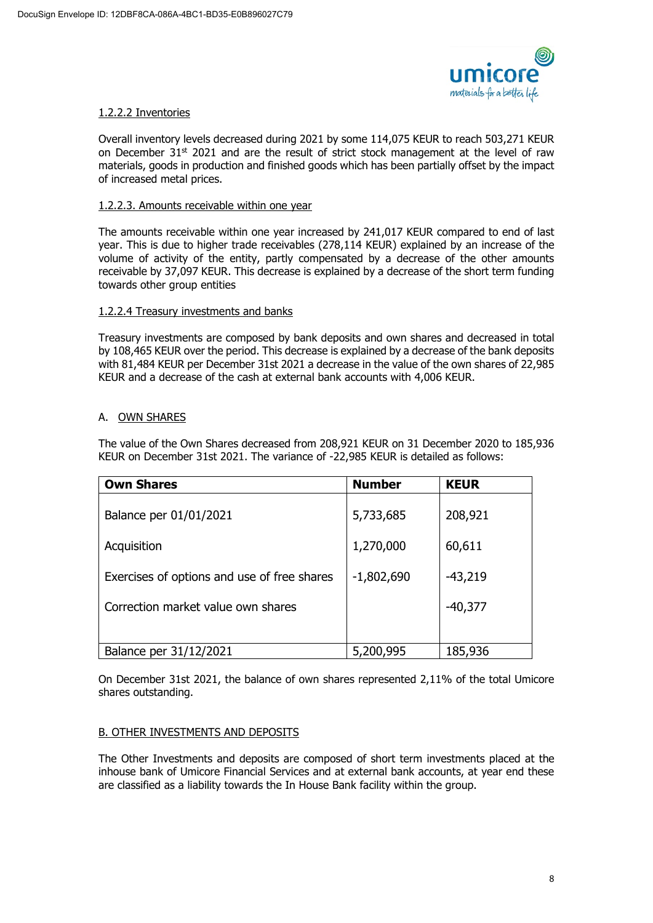

# 1.2.2.2 Inventories

Overall inventory levels decreased during 2021 by some 114,075 KEUR to reach 503,271 KEUR on December  $31<sup>st</sup>$  2021 and are the result of strict stock management at the level of raw materials, goods in production and finished goods which has been partially offset by the impact of increased metal prices.

# 1.2.2.3. Amounts receivable within one year

The amounts receivable within one year increased by 241,017 KEUR compared to end of last year. This is due to higher trade receivables (278,114 KEUR) explained by an increase of the volume of activity of the entity, partly compensated by a decrease of the other amounts receivable by 37,097 KEUR. This decrease is explained by a decrease of the short term funding towards other group entities

### 1.2.2.4 Treasury investments and banks

Treasury investments are composed by bank deposits and own shares and decreased in total by 108,465 KEUR over the period. This decrease is explained by a decrease of the bank deposits with 81,484 KEUR per December 31st 2021 a decrease in the value of the own shares of 22,985 KEUR and a decrease of the cash at external bank accounts with 4,006 KEUR.

# A. OWN SHARES

The value of the Own Shares decreased from 208,921 KEUR on 31 December 2020 to 185,936 KEUR on December 31st 2021. The variance of -22,985 KEUR is detailed as follows:

| <b>Own Shares</b>                           | <b>Number</b> | <b>KEUR</b> |
|---------------------------------------------|---------------|-------------|
| Balance per 01/01/2021                      | 5,733,685     | 208,921     |
| Acquisition                                 | 1,270,000     | 60,611      |
| Exercises of options and use of free shares | $-1,802,690$  | $-43,219$   |
| Correction market value own shares          |               | $-40,377$   |
|                                             |               |             |
| Balance per 31/12/2021                      | 5,200,995     | 185,936     |

On December 31st 2021, the balance of own shares represented 2,11% of the total Umicore shares outstanding.

# B. OTHER INVESTMENTS AND DEPOSITS

The Other Investments and deposits are composed of short term investments placed at the inhouse bank of Umicore Financial Services and at external bank accounts, at year end these are classified as a liability towards the In House Bank facility within the group.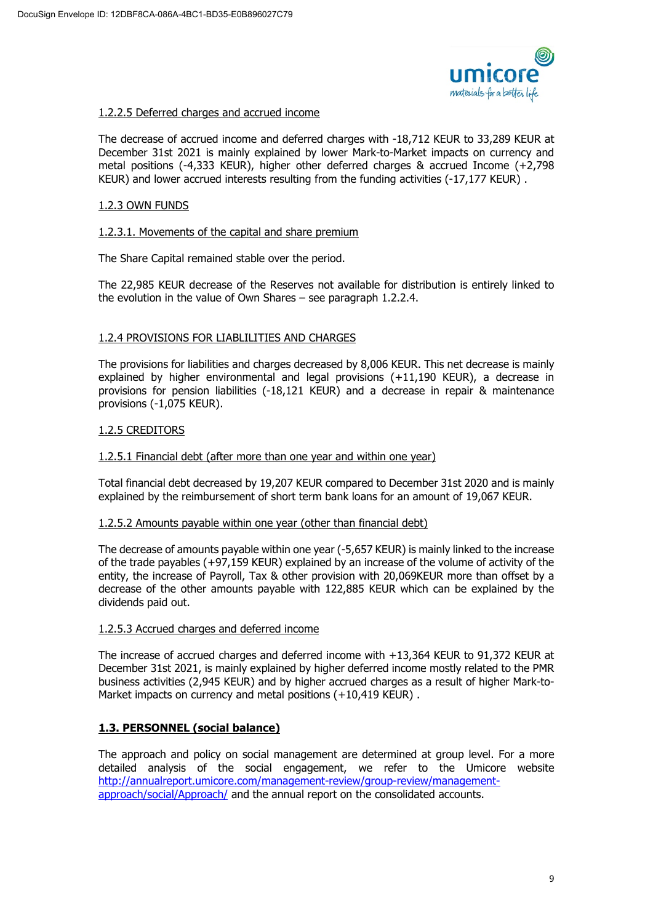

### 1.2.2.5 Deferred charges and accrued income

The decrease of accrued income and deferred charges with -18,712 KEUR to 33,289 KEUR at December 31st 2021 is mainly explained by lower Mark-to-Market impacts on currency and metal positions (-4,333 KEUR), higher other deferred charges & accrued Income (+2,798 KEUR) and lower accrued interests resulting from the funding activities (-17,177 KEUR) .

### 1.2.3 OWN FUNDS

### 1.2.3.1. Movements of the capital and share premium

The Share Capital remained stable over the period.

The 22,985 KEUR decrease of the Reserves not available for distribution is entirely linked to the evolution in the value of Own Shares – see paragraph 1.2.2.4.

### 1.2.4 PROVISIONS FOR LIABLILITIES AND CHARGES

The provisions for liabilities and charges decreased by 8,006 KEUR. This net decrease is mainly explained by higher environmental and legal provisions (+11,190 KEUR), a decrease in provisions for pension liabilities (-18,121 KEUR) and a decrease in repair & maintenance provisions (-1,075 KEUR).

### 1.2.5 CREDITORS

### 1.2.5.1 Financial debt (after more than one year and within one year)

Total financial debt decreased by 19,207 KEUR compared to December 31st 2020 and is mainly explained by the reimbursement of short term bank loans for an amount of 19,067 KEUR.

#### 1.2.5.2 Amounts payable within one year (other than financial debt)

The decrease of amounts payable within one year (-5,657 KEUR) is mainly linked to the increase of the trade payables (+97,159 KEUR) explained by an increase of the volume of activity of the entity, the increase of Payroll, Tax & other provision with 20,069KEUR more than offset by a decrease of the other amounts payable with 122,885 KEUR which can be explained by the dividends paid out.

#### 1.2.5.3 Accrued charges and deferred income

The increase of accrued charges and deferred income with +13,364 KEUR to 91,372 KEUR at December 31st 2021, is mainly explained by higher deferred income mostly related to the PMR business activities (2,945 KEUR) and by higher accrued charges as a result of higher Mark-to-Market impacts on currency and metal positions (+10,419 KEUR).

# **1.3. PERSONNEL (social balance)**

The approach and policy on social management are determined at group level. For a more detailed analysis of the social engagement, we refer to the Umicore website [http://annualreport.umicore.com/management-review/group-review/management](http://annualreport.umicore.com/management-review/group-review/management-approach/social/Approach/)[approach/social/Approach/](http://annualreport.umicore.com/management-review/group-review/management-approach/social/Approach/) and the annual report on the consolidated accounts.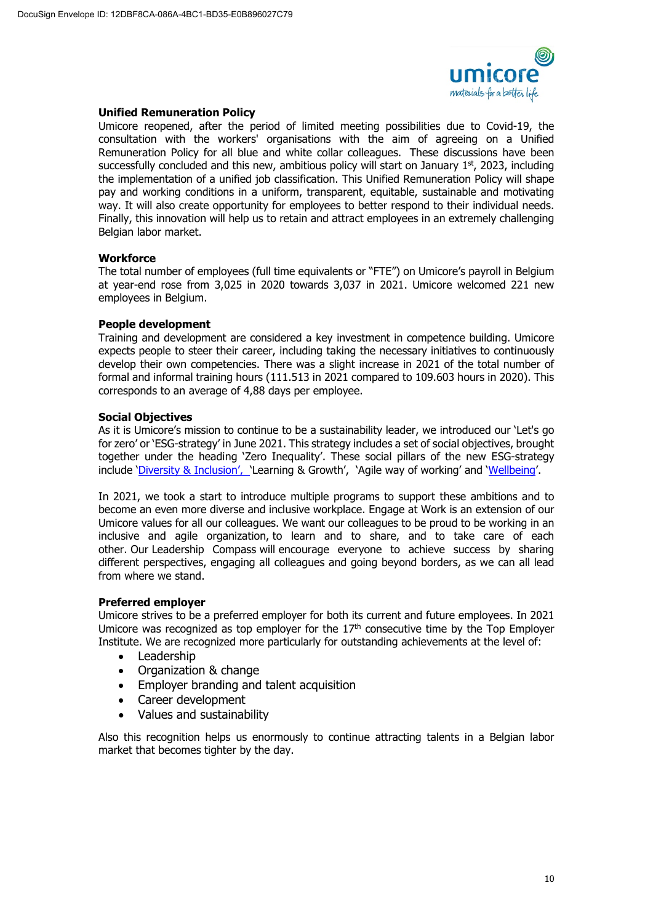

### **Unified Remuneration Policy**

Umicore reopened, after the period of limited meeting possibilities due to Covid-19, the consultation with the workers' organisations with the aim of agreeing on a Unified Remuneration Policy for all blue and white collar colleagues. These discussions have been successfully concluded and this new, ambitious policy will start on January  $1<sup>st</sup>$ , 2023, including the implementation of a unified job classification. This Unified Remuneration Policy will shape pay and working conditions in a uniform, transparent, equitable, sustainable and motivating way. It will also create opportunity for employees to better respond to their individual needs. Finally, this innovation will help us to retain and attract employees in an extremely challenging Belgian labor market.

### **Workforce**

The total number of employees (full time equivalents or "FTE") on Umicore's payroll in Belgium at year-end rose from 3,025 in 2020 towards 3,037 in 2021. Umicore welcomed 221 new employees in Belgium.

### **People development**

Training and development are considered a key investment in competence building. Umicore expects people to steer their career, including taking the necessary initiatives to continuously develop their own competencies. There was a slight increase in 2021 of the total number of formal and informal training hours (111.513 in 2021 compared to 109.603 hours in 2020). This corresponds to an average of 4,88 days per employee.

### **Social Objectives**

As it is Umicore's mission to continue to be a sustainability leader, we introduced our 'Let's go for zero' or 'ESG-strategy' in June 2021. This strategy includes a set of social objectives, brought together under the heading 'Zero Inequality'. These social pillars of the new ESG-strategy include ['Diversity & Inclusion', '](https://umicore365.sharepoint.com/sites/Connect-GRP/SitePages/Diversity-1582556681249.aspx)Learning & Growth', 'Agile way of working' and ['Wellbeing'.](https://umicore365.sharepoint.com/sites/Connect-HRS/SitePages/WellbeingatUmicore-1638432870839.aspx)

In 2021, we took a start to introduce multiple programs to support these ambitions and to become an even more diverse and inclusive workplace. Engage at Work is an extension of our Umicore values for all our colleagues. We want our colleagues to be proud to be working in an inclusive and agile organization, to learn and to share, and to take care of each other. Our Leadership Compass will encourage everyone to achieve success by sharing different perspectives, engaging all colleagues and going beyond borders, as we can all lead from where we stand.

#### **Preferred employer**

Umicore strives to be a preferred employer for both its current and future employees. In 2021 Umicore was recognized as top employer for the  $17<sup>th</sup>$  consecutive time by the Top Employer Institute. We are recognized more particularly for outstanding achievements at the level of:

- Leadership
- Organization & change
- Employer branding and talent acquisition
- Career development
- Values and sustainability

Also this recognition helps us enormously to continue attracting talents in a Belgian labor market that becomes tighter by the day.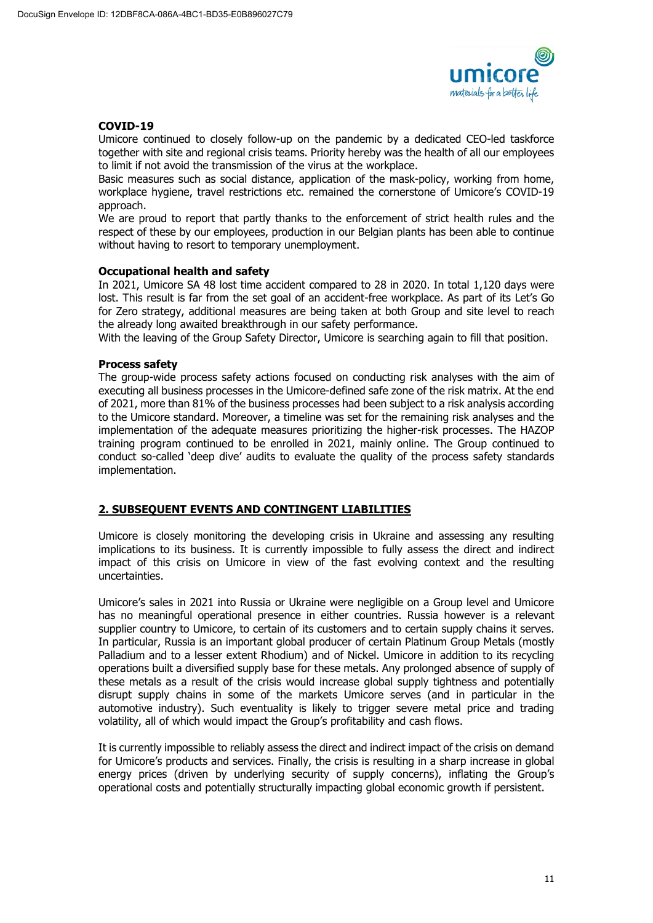

### **COVID-19**

Umicore continued to closely follow-up on the pandemic by a dedicated CEO-led taskforce together with site and regional crisis teams. Priority hereby was the health of all our employees to limit if not avoid the transmission of the virus at the workplace.

Basic measures such as social distance, application of the mask-policy, working from home, workplace hygiene, travel restrictions etc. remained the cornerstone of Umicore's COVID-19 approach.

We are proud to report that partly thanks to the enforcement of strict health rules and the respect of these by our employees, production in our Belgian plants has been able to continue without having to resort to temporary unemployment.

### **Occupational health and safety**

In 2021, Umicore SA 48 lost time accident compared to 28 in 2020. In total 1,120 days were lost. This result is far from the set goal of an accident-free workplace. As part of its Let's Go for Zero strategy, additional measures are being taken at both Group and site level to reach the already long awaited breakthrough in our safety performance.

With the leaving of the Group Safety Director, Umicore is searching again to fill that position.

### **Process safety**

The group-wide process safety actions focused on conducting risk analyses with the aim of executing all business processes in the Umicore-defined safe zone of the risk matrix. At the end of 2021, more than 81% of the business processes had been subject to a risk analysis according to the Umicore standard. Moreover, a timeline was set for the remaining risk analyses and the implementation of the adequate measures prioritizing the higher-risk processes. The HAZOP training program continued to be enrolled in 2021, mainly online. The Group continued to conduct so-called 'deep dive' audits to evaluate the quality of the process safety standards implementation.

# **2. SUBSEQUENT EVENTS AND CONTINGENT LIABILITIES**

Umicore is closely monitoring the developing crisis in Ukraine and assessing any resulting implications to its business. It is currently impossible to fully assess the direct and indirect impact of this crisis on Umicore in view of the fast evolving context and the resulting uncertainties.

Umicore's sales in 2021 into Russia or Ukraine were negligible on a Group level and Umicore has no meaningful operational presence in either countries. Russia however is a relevant supplier country to Umicore, to certain of its customers and to certain supply chains it serves. In particular, Russia is an important global producer of certain Platinum Group Metals (mostly Palladium and to a lesser extent Rhodium) and of Nickel. Umicore in addition to its recycling operations built a diversified supply base for these metals. Any prolonged absence of supply of these metals as a result of the crisis would increase global supply tightness and potentially disrupt supply chains in some of the markets Umicore serves (and in particular in the automotive industry). Such eventuality is likely to trigger severe metal price and trading volatility, all of which would impact the Group's profitability and cash flows.

It is currently impossible to reliably assess the direct and indirect impact of the crisis on demand for Umicore's products and services. Finally, the crisis is resulting in a sharp increase in global energy prices (driven by underlying security of supply concerns), inflating the Group's operational costs and potentially structurally impacting global economic growth if persistent.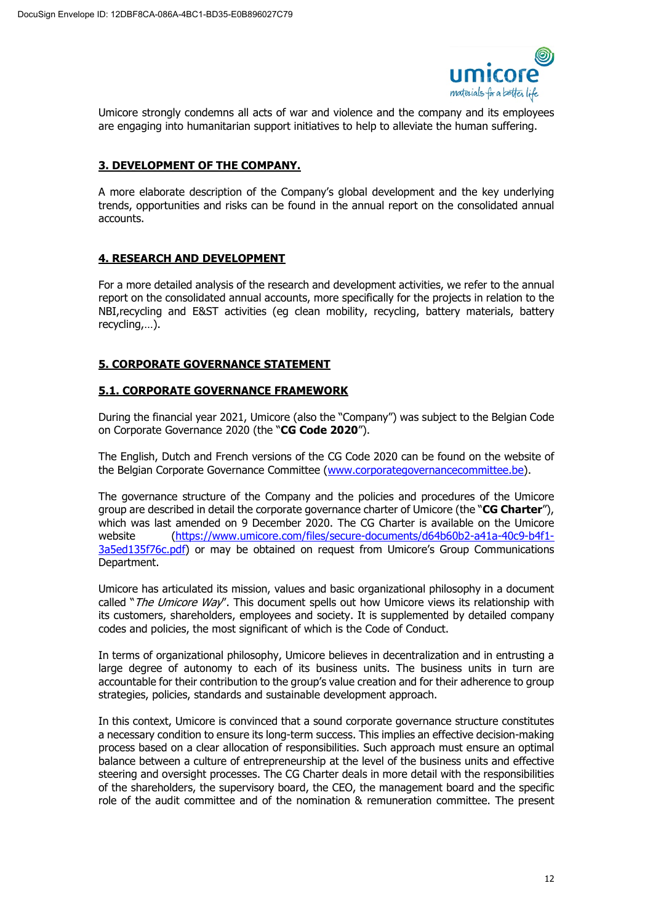

Umicore strongly condemns all acts of war and violence and the company and its employees are engaging into humanitarian support initiatives to help to alleviate the human suffering.

# **3. DEVELOPMENT OF THE COMPANY.**

A more elaborate description of the Company's global development and the key underlying trends, opportunities and risks can be found in the annual report on the consolidated annual accounts.

# **4. RESEARCH AND DEVELOPMENT**

For a more detailed analysis of the research and development activities, we refer to the annual report on the consolidated annual accounts, more specifically for the projects in relation to the NBI,recycling and E&ST activities (eg clean mobility, recycling, battery materials, battery recycling,…).

# **5. CORPORATE GOVERNANCE STATEMENT**

# **5.1. CORPORATE GOVERNANCE FRAMEWORK**

During the financial year 2021, Umicore (also the "Company") was subject to the Belgian Code on Corporate Governance 2020 (the "**CG Code 2020**").

The English, Dutch and French versions of the CG Code 2020 can be found on the website of the Belgian Corporate Governance Committee [\(www.corporategovernancecommittee.be\)](http://www.corporategovernancecommittee.be/).

The governance structure of the Company and the policies and procedures of the Umicore group are described in detail the corporate governance charter of Umicore (the "**CG Charter**"), which was last amended on 9 December 2020. The CG Charter is available on the Umicore website [\(https://www.umicore.com/files/secure-documents/d64b60b2-a41a-40c9-b4f1-](https://www.umicore.com/files/secure-documents/d64b60b2-a41a-40c9-b4f1-3a5ed135f76c.pdf) [3a5ed135f76c.pdf\)](https://www.umicore.com/files/secure-documents/d64b60b2-a41a-40c9-b4f1-3a5ed135f76c.pdf) or may be obtained on request from Umicore's Group Communications Department.

Umicore has articulated its mission, values and basic organizational philosophy in a document called "The Umicore Way". This document spells out how Umicore views its relationship with its customers, shareholders, employees and society. It is supplemented by detailed company codes and policies, the most significant of which is the Code of Conduct.

In terms of organizational philosophy, Umicore believes in decentralization and in entrusting a large degree of autonomy to each of its business units. The business units in turn are accountable for their contribution to the group's value creation and for their adherence to group strategies, policies, standards and sustainable development approach.

In this context, Umicore is convinced that a sound corporate governance structure constitutes a necessary condition to ensure its long-term success. This implies an effective decision-making process based on a clear allocation of responsibilities. Such approach must ensure an optimal balance between a culture of entrepreneurship at the level of the business units and effective steering and oversight processes. The CG Charter deals in more detail with the responsibilities of the shareholders, the supervisory board, the CEO, the management board and the specific role of the audit committee and of the nomination & remuneration committee. The present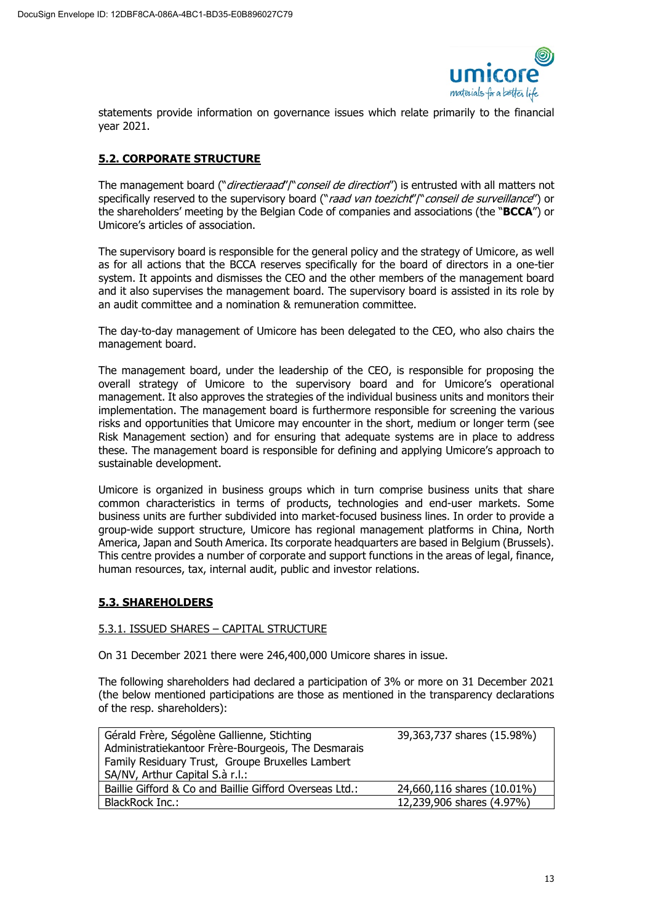

statements provide information on governance issues which relate primarily to the financial year 2021.

# **5.2. CORPORATE STRUCTURE**

The management board ("*directieraad"* /" conseil de direction") is entrusted with all matters not specifically reserved to the supervisory board ("raad van toezicht")" conseil de surveillance") or the shareholders' meeting by the Belgian Code of companies and associations (the "**BCCA**") or Umicore's articles of association.

The supervisory board is responsible for the general policy and the strategy of Umicore, as well as for all actions that the BCCA reserves specifically for the board of directors in a one-tier system. It appoints and dismisses the CEO and the other members of the management board and it also supervises the management board. The supervisory board is assisted in its role by an audit committee and a nomination & remuneration committee.

The day-to-day management of Umicore has been delegated to the CEO, who also chairs the management board.

The management board, under the leadership of the CEO, is responsible for proposing the overall strategy of Umicore to the supervisory board and for Umicore's operational management. It also approves the strategies of the individual business units and monitors their implementation. The management board is furthermore responsible for screening the various risks and opportunities that Umicore may encounter in the short, medium or longer term (see Risk Management section) and for ensuring that adequate systems are in place to address these. The management board is responsible for defining and applying Umicore's approach to sustainable development.

Umicore is organized in business groups which in turn comprise business units that share common characteristics in terms of products, technologies and end-user markets. Some business units are further subdivided into market-focused business lines. In order to provide a group-wide support structure, Umicore has regional management platforms in China, North America, Japan and South America. Its corporate headquarters are based in Belgium (Brussels). This centre provides a number of corporate and support functions in the areas of legal, finance, human resources, tax, internal audit, public and investor relations.

# **5.3. SHAREHOLDERS**

# 5.3.1. ISSUED SHARES – CAPITAL STRUCTURE

On 31 December 2021 there were 246,400,000 Umicore shares in issue.

The following shareholders had declared a participation of 3% or more on 31 December 2021 (the below mentioned participations are those as mentioned in the transparency declarations of the resp. shareholders):

| Gérald Frère, Ségolène Gallienne, Stichting<br>Administratiekantoor Frère-Bourgeois, The Desmarais<br>Family Residuary Trust, Groupe Bruxelles Lambert<br>SA/NV, Arthur Capital S.à r.l.: | 39,363,737 shares (15.98%) |
|-------------------------------------------------------------------------------------------------------------------------------------------------------------------------------------------|----------------------------|
| Baillie Gifford & Co and Baillie Gifford Overseas Ltd.:                                                                                                                                   | 24,660,116 shares (10.01%) |
| BlackRock Inc.:                                                                                                                                                                           | 12,239,906 shares (4.97%)  |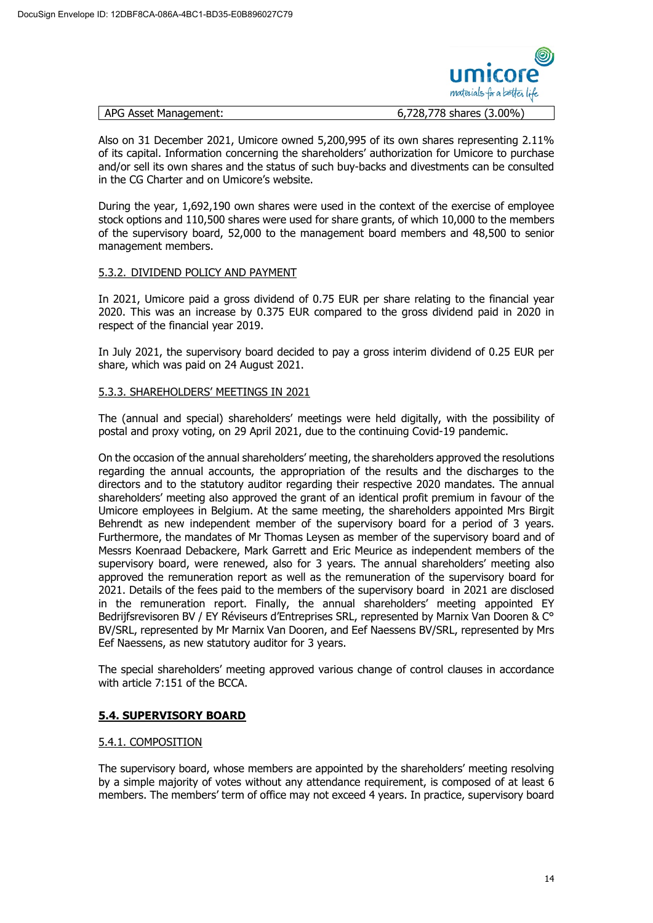

| APG Asset Management: | 6,728,778 shares (3.00%) |  |
|-----------------------|--------------------------|--|
|-----------------------|--------------------------|--|

Also on 31 December 2021, Umicore owned 5,200,995 of its own shares representing 2.11% of its capital. Information concerning the shareholders' authorization for Umicore to purchase and/or sell its own shares and the status of such buy-backs and divestments can be consulted in the CG Charter and on Umicore's website.

During the year, 1,692,190 own shares were used in the context of the exercise of employee stock options and 110,500 shares were used for share grants, of which 10,000 to the members of the supervisory board, 52,000 to the management board members and 48,500 to senior management members.

# 5.3.2. DIVIDEND POLICY AND PAYMENT

In 2021, Umicore paid a gross dividend of 0.75 EUR per share relating to the financial year 2020. This was an increase by 0.375 EUR compared to the gross dividend paid in 2020 in respect of the financial year 2019.

In July 2021, the supervisory board decided to pay a gross interim dividend of 0.25 EUR per share, which was paid on 24 August 2021.

### 5.3.3. SHAREHOLDERS' MEETINGS IN 2021

The (annual and special) shareholders' meetings were held digitally, with the possibility of postal and proxy voting, on 29 April 2021, due to the continuing Covid-19 pandemic.

On the occasion of the annual shareholders' meeting, the shareholders approved the resolutions regarding the annual accounts, the appropriation of the results and the discharges to the directors and to the statutory auditor regarding their respective 2020 mandates. The annual shareholders' meeting also approved the grant of an identical profit premium in favour of the Umicore employees in Belgium. At the same meeting, the shareholders appointed Mrs Birgit Behrendt as new independent member of the supervisory board for a period of 3 years. Furthermore, the mandates of Mr Thomas Leysen as member of the supervisory board and of Messrs Koenraad Debackere, Mark Garrett and Eric Meurice as independent members of the supervisory board, were renewed, also for 3 years. The annual shareholders' meeting also approved the remuneration report as well as the remuneration of the supervisory board for 2021. Details of the fees paid to the members of the supervisory board in 2021 are disclosed in the remuneration report. Finally, the annual shareholders' meeting appointed EY Bedrijfsrevisoren BV / EY Réviseurs d'Entreprises SRL, represented by Marnix Van Dooren & C° BV/SRL, represented by Mr Marnix Van Dooren, and Eef Naessens BV/SRL, represented by Mrs Eef Naessens, as new statutory auditor for 3 years.

The special shareholders' meeting approved various change of control clauses in accordance with article 7:151 of the BCCA.

# **5.4. SUPERVISORY BOARD**

#### 5.4.1. COMPOSITION

The supervisory board, whose members are appointed by the shareholders' meeting resolving by a simple majority of votes without any attendance requirement, is composed of at least 6 members. The members' term of office may not exceed 4 years. In practice, supervisory board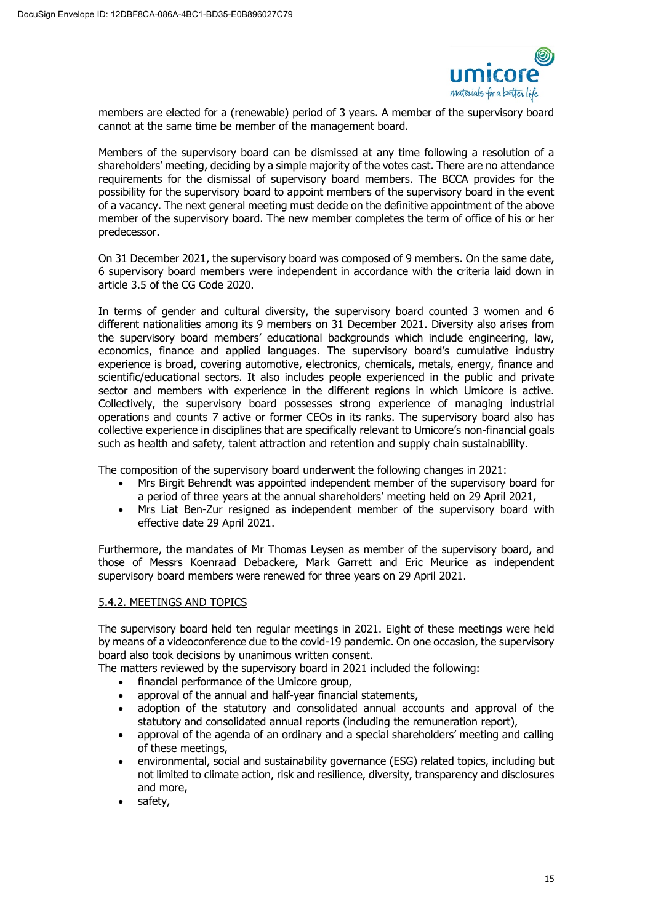

members are elected for a (renewable) period of 3 years. A member of the supervisory board cannot at the same time be member of the management board.

Members of the supervisory board can be dismissed at any time following a resolution of a shareholders' meeting, deciding by a simple majority of the votes cast. There are no attendance requirements for the dismissal of supervisory board members. The BCCA provides for the possibility for the supervisory board to appoint members of the supervisory board in the event of a vacancy. The next general meeting must decide on the definitive appointment of the above member of the supervisory board. The new member completes the term of office of his or her predecessor.

On 31 December 2021, the supervisory board was composed of 9 members. On the same date, 6 supervisory board members were independent in accordance with the criteria laid down in article 3.5 of the CG Code 2020.

In terms of gender and cultural diversity, the supervisory board counted 3 women and 6 different nationalities among its 9 members on 31 December 2021. Diversity also arises from the supervisory board members' educational backgrounds which include engineering, law, economics, finance and applied languages. The supervisory board's cumulative industry experience is broad, covering automotive, electronics, chemicals, metals, energy, finance and scientific/educational sectors. It also includes people experienced in the public and private sector and members with experience in the different regions in which Umicore is active. Collectively, the supervisory board possesses strong experience of managing industrial operations and counts 7 active or former CEOs in its ranks. The supervisory board also has collective experience in disciplines that are specifically relevant to Umicore's non-financial goals such as health and safety, talent attraction and retention and supply chain sustainability.

The composition of the supervisory board underwent the following changes in 2021:

- Mrs Birgit Behrendt was appointed independent member of the supervisory board for a period of three years at the annual shareholders' meeting held on 29 April 2021,
- Mrs Liat Ben-Zur resigned as independent member of the supervisory board with effective date 29 April 2021.

Furthermore, the mandates of Mr Thomas Leysen as member of the supervisory board, and those of Messrs Koenraad Debackere, Mark Garrett and Eric Meurice as independent supervisory board members were renewed for three years on 29 April 2021.

# 5.4.2. MEETINGS AND TOPICS

The supervisory board held ten regular meetings in 2021. Eight of these meetings were held by means of a videoconference due to the covid-19 pandemic. On one occasion, the supervisory board also took decisions by unanimous written consent.

The matters reviewed by the supervisory board in 2021 included the following:

- financial performance of the Umicore group,
- approval of the annual and half-year financial statements,
- adoption of the statutory and consolidated annual accounts and approval of the statutory and consolidated annual reports (including the remuneration report),
- approval of the agenda of an ordinary and a special shareholders' meeting and calling of these meetings,
- environmental, social and sustainability governance (ESG) related topics, including but not limited to climate action, risk and resilience, diversity, transparency and disclosures and more,
- safety,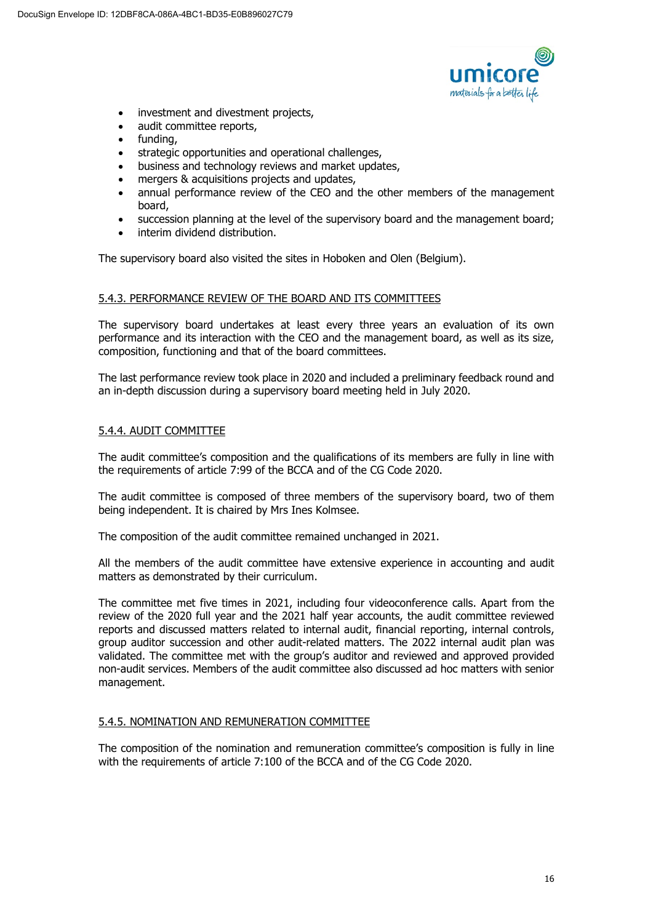

- investment and divestment projects,
- audit committee reports,
- fundina.
- strategic opportunities and operational challenges,
- business and technology reviews and market updates,
- mergers & acquisitions projects and updates,
- annual performance review of the CEO and the other members of the management board,
- succession planning at the level of the supervisory board and the management board;
- interim dividend distribution.

The supervisory board also visited the sites in Hoboken and Olen (Belgium).

### 5.4.3. PERFORMANCE REVIEW OF THE BOARD AND ITS COMMITTEES

The supervisory board undertakes at least every three years an evaluation of its own performance and its interaction with the CEO and the management board, as well as its size, composition, functioning and that of the board committees.

The last performance review took place in 2020 and included a preliminary feedback round and an in-depth discussion during a supervisory board meeting held in July 2020.

### 5.4.4. AUDIT COMMITTEE

The audit committee's composition and the qualifications of its members are fully in line with the requirements of article 7:99 of the BCCA and of the CG Code 2020.

The audit committee is composed of three members of the supervisory board, two of them being independent. It is chaired by Mrs Ines Kolmsee.

The composition of the audit committee remained unchanged in 2021.

All the members of the audit committee have extensive experience in accounting and audit matters as demonstrated by their curriculum.

The committee met five times in 2021, including four videoconference calls. Apart from the review of the 2020 full year and the 2021 half year accounts, the audit committee reviewed reports and discussed matters related to internal audit, financial reporting, internal controls, group auditor succession and other audit-related matters. The 2022 internal audit plan was validated. The committee met with the group's auditor and reviewed and approved provided non-audit services. Members of the audit committee also discussed ad hoc matters with senior management.

#### 5.4.5. NOMINATION AND REMUNERATION COMMITTEE

The composition of the nomination and remuneration committee's composition is fully in line with the requirements of article 7:100 of the BCCA and of the CG Code 2020.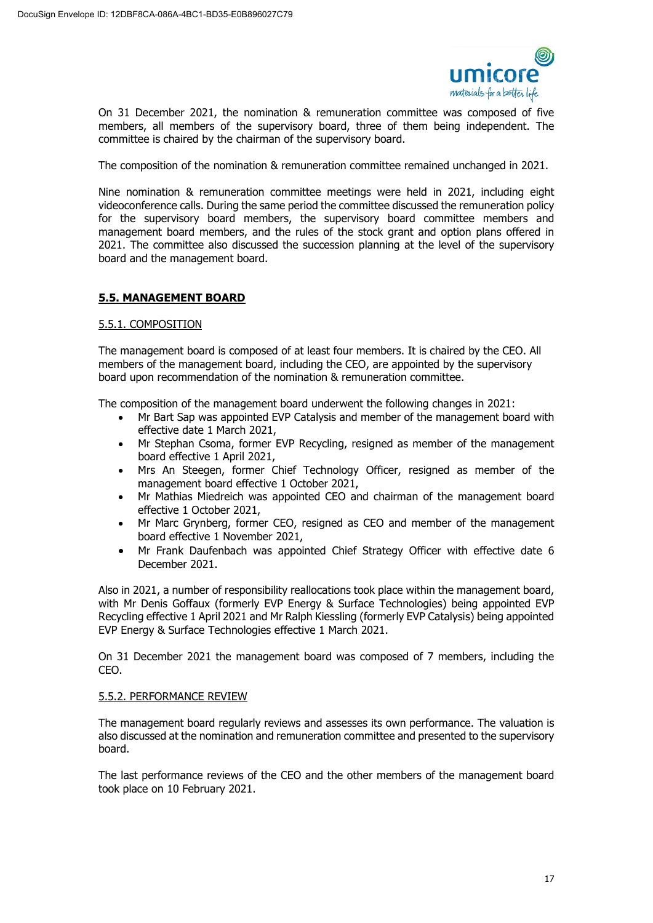

On 31 December 2021, the nomination & remuneration committee was composed of five members, all members of the supervisory board, three of them being independent. The committee is chaired by the chairman of the supervisory board.

The composition of the nomination & remuneration committee remained unchanged in 2021.

Nine nomination & remuneration committee meetings were held in 2021, including eight videoconference calls. During the same period the committee discussed the remuneration policy for the supervisory board members, the supervisory board committee members and management board members, and the rules of the stock grant and option plans offered in 2021. The committee also discussed the succession planning at the level of the supervisory board and the management board.

# **5.5. MANAGEMENT BOARD**

### 5.5.1. COMPOSITION

The management board is composed of at least four members. It is chaired by the CEO. All members of the management board, including the CEO, are appointed by the supervisory board upon recommendation of the nomination & remuneration committee.

The composition of the management board underwent the following changes in 2021:

- Mr Bart Sap was appointed EVP Catalysis and member of the management board with effective date 1 March 2021,
- Mr Stephan Csoma, former EVP Recycling, resigned as member of the management board effective 1 April 2021,
- Mrs An Steegen, former Chief Technology Officer, resigned as member of the management board effective 1 October 2021,
- Mr Mathias Miedreich was appointed CEO and chairman of the management board effective 1 October 2021,
- Mr Marc Grynberg, former CEO, resigned as CEO and member of the management board effective 1 November 2021,
- Mr Frank Daufenbach was appointed Chief Strategy Officer with effective date 6 December 2021.

Also in 2021, a number of responsibility reallocations took place within the management board, with Mr Denis Goffaux (formerly EVP Energy & Surface Technologies) being appointed EVP Recycling effective 1 April 2021 and Mr Ralph Kiessling (formerly EVP Catalysis) being appointed EVP Energy & Surface Technologies effective 1 March 2021.

On 31 December 2021 the management board was composed of 7 members, including the CEO.

#### 5.5.2. PERFORMANCE REVIEW

The management board regularly reviews and assesses its own performance. The valuation is also discussed at the nomination and remuneration committee and presented to the supervisory board.

The last performance reviews of the CEO and the other members of the management board took place on 10 February 2021.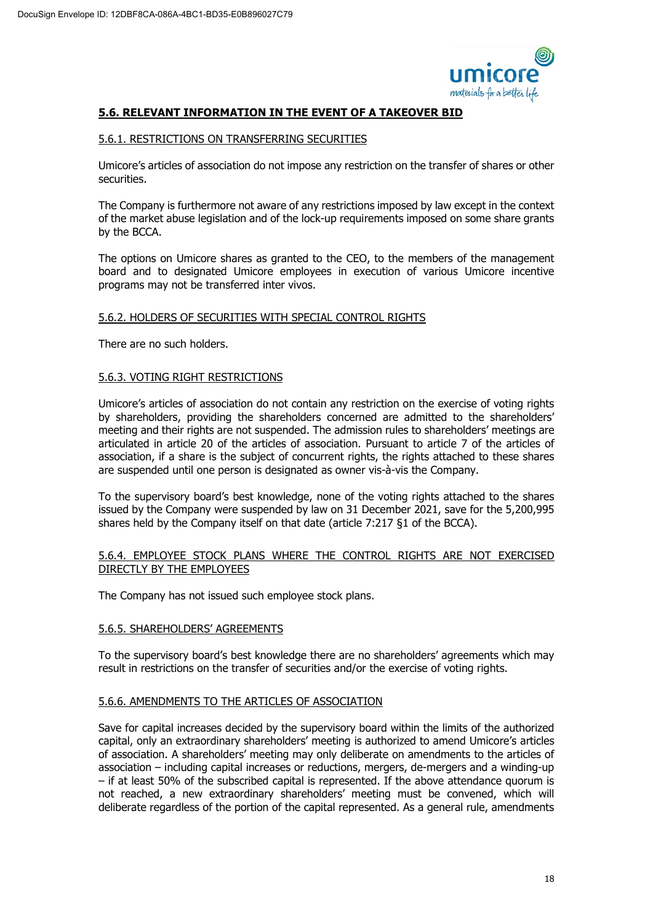

# **5.6. RELEVANT INFORMATION IN THE EVENT OF A TAKEOVER BID**

### 5.6.1. RESTRICTIONS ON TRANSFERRING SECURITIES

Umicore's articles of association do not impose any restriction on the transfer of shares or other securities.

The Company is furthermore not aware of any restrictions imposed by law except in the context of the market abuse legislation and of the lock-up requirements imposed on some share grants by the BCCA.

The options on Umicore shares as granted to the CEO, to the members of the management board and to designated Umicore employees in execution of various Umicore incentive programs may not be transferred inter vivos.

# 5.6.2. HOLDERS OF SECURITIES WITH SPECIAL CONTROL RIGHTS

There are no such holders.

### 5.6.3. VOTING RIGHT RESTRICTIONS

Umicore's articles of association do not contain any restriction on the exercise of voting rights by shareholders, providing the shareholders concerned are admitted to the shareholders' meeting and their rights are not suspended. The admission rules to shareholders' meetings are articulated in article 20 of the articles of association. Pursuant to article 7 of the articles of association, if a share is the subject of concurrent rights, the rights attached to these shares are suspended until one person is designated as owner vis-à-vis the Company.

To the supervisory board's best knowledge, none of the voting rights attached to the shares issued by the Company were suspended by law on 31 December 2021, save for the 5,200,995 shares held by the Company itself on that date (article 7:217 §1 of the BCCA).

### 5.6.4. EMPLOYEE STOCK PLANS WHERE THE CONTROL RIGHTS ARE NOT EXERCISED DIRECTLY BY THE EMPLOYEES

The Company has not issued such employee stock plans.

#### 5.6.5. SHAREHOLDERS' AGREEMENTS

To the supervisory board's best knowledge there are no shareholders' agreements which may result in restrictions on the transfer of securities and/or the exercise of voting rights.

#### 5.6.6. AMENDMENTS TO THE ARTICLES OF ASSOCIATION

Save for capital increases decided by the supervisory board within the limits of the authorized capital, only an extraordinary shareholders' meeting is authorized to amend Umicore's articles of association. A shareholders' meeting may only deliberate on amendments to the articles of association – including capital increases or reductions, mergers, de-mergers and a winding-up – if at least 50% of the subscribed capital is represented. If the above attendance quorum is not reached, a new extraordinary shareholders' meeting must be convened, which will deliberate regardless of the portion of the capital represented. As a general rule, amendments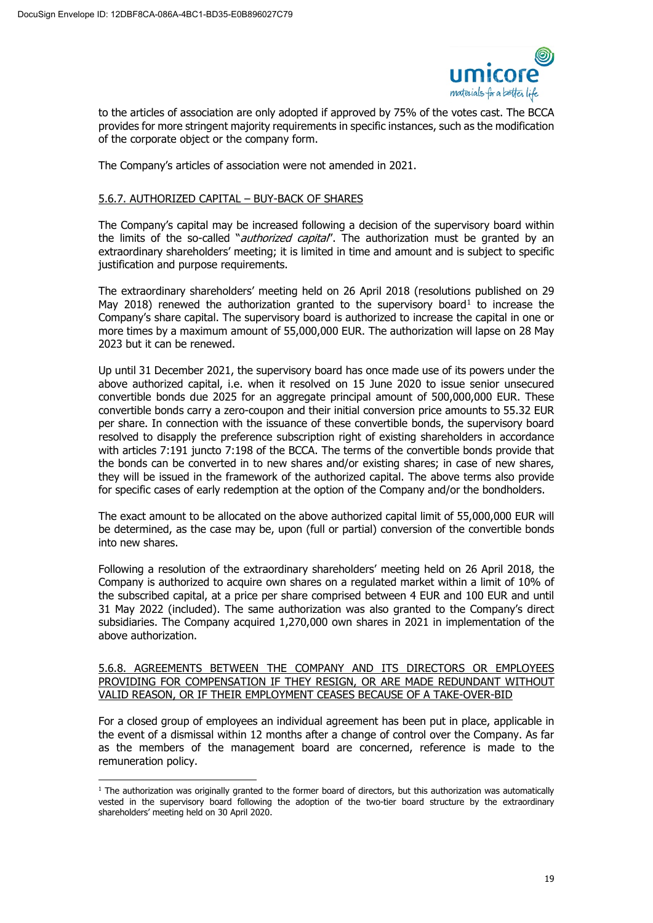

to the articles of association are only adopted if approved by 75% of the votes cast. The BCCA provides for more stringent majority requirements in specific instances, such as the modification of the corporate object or the company form.

The Company's articles of association were not amended in 2021.

### 5.6.7. AUTHORIZED CAPITAL – BUY-BACK OF SHARES

The Company's capital may be increased following a decision of the supervisory board within the limits of the so-called "*authorized capital*". The authorization must be granted by an extraordinary shareholders' meeting; it is limited in time and amount and is subject to specific justification and purpose requirements.

The extraordinary shareholders' meeting held on 26 April 2018 (resolutions published on 29 May 20[1](#page-18-0)8) renewed the authorization granted to the supervisory board<sup>1</sup> to increase the Company's share capital. The supervisory board is authorized to increase the capital in one or more times by a maximum amount of 55,000,000 EUR. The authorization will lapse on 28 May 2023 but it can be renewed.

Up until 31 December 2021, the supervisory board has once made use of its powers under the above authorized capital, i.e. when it resolved on 15 June 2020 to issue senior unsecured convertible bonds due 2025 for an aggregate principal amount of 500,000,000 EUR. These convertible bonds carry a zero-coupon and their initial conversion price amounts to 55.32 EUR per share. In connection with the issuance of these convertible bonds, the supervisory board resolved to disapply the preference subscription right of existing shareholders in accordance with articles 7:191 juncto 7:198 of the BCCA. The terms of the convertible bonds provide that the bonds can be converted in to new shares and/or existing shares; in case of new shares, they will be issued in the framework of the authorized capital. The above terms also provide for specific cases of early redemption at the option of the Company and/or the bondholders.

The exact amount to be allocated on the above authorized capital limit of 55,000,000 EUR will be determined, as the case may be, upon (full or partial) conversion of the convertible bonds into new shares.

Following a resolution of the extraordinary shareholders' meeting held on 26 April 2018, the Company is authorized to acquire own shares on a regulated market within a limit of 10% of the subscribed capital, at a price per share comprised between 4 EUR and 100 EUR and until 31 May 2022 (included). The same authorization was also granted to the Company's direct subsidiaries. The Company acquired 1,270,000 own shares in 2021 in implementation of the above authorization.

### 5.6.8. AGREEMENTS BETWEEN THE COMPANY AND ITS DIRECTORS OR EMPLOYEES PROVIDING FOR COMPENSATION IF THEY RESIGN, OR ARE MADE REDUNDANT WITHOUT VALID REASON, OR IF THEIR EMPLOYMENT CEASES BECAUSE OF A TAKE-OVER-BID

For a closed group of employees an individual agreement has been put in place, applicable in the event of a dismissal within 12 months after a change of control over the Company. As far as the members of the management board are concerned, reference is made to the remuneration policy.

<span id="page-18-0"></span> $<sup>1</sup>$  The authorization was originally granted to the former board of directors, but this authorization was automatically</sup> vested in the supervisory board following the adoption of the two-tier board structure by the extraordinary shareholders' meeting held on 30 April 2020.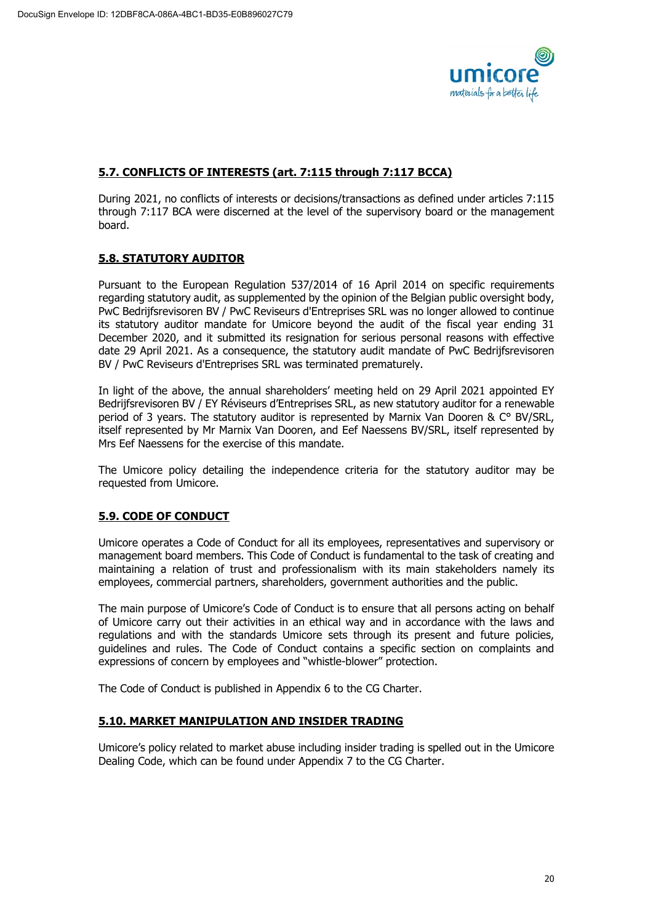

# **5.7. CONFLICTS OF INTERESTS (art. 7:115 through 7:117 BCCA)**

During 2021, no conflicts of interests or decisions/transactions as defined under articles 7:115 through 7:117 BCA were discerned at the level of the supervisory board or the management board.

# **5.8. STATUTORY AUDITOR**

Pursuant to the European Regulation 537/2014 of 16 April 2014 on specific requirements regarding statutory audit, as supplemented by the opinion of the Belgian public oversight body, PwC Bedrijfsrevisoren BV / PwC Reviseurs d'Entreprises SRL was no longer allowed to continue its statutory auditor mandate for Umicore beyond the audit of the fiscal year ending 31 December 2020, and it submitted its resignation for serious personal reasons with effective date 29 April 2021. As a consequence, the statutory audit mandate of PwC Bedrijfsrevisoren BV / PwC Reviseurs d'Entreprises SRL was terminated prematurely.

In light of the above, the annual shareholders' meeting held on 29 April 2021 appointed EY Bedrijfsrevisoren BV / EY Réviseurs d'Entreprises SRL, as new statutory auditor for a renewable period of 3 years. The statutory auditor is represented by Marnix Van Dooren & C° BV/SRL, itself represented by Mr Marnix Van Dooren, and Eef Naessens BV/SRL, itself represented by Mrs Eef Naessens for the exercise of this mandate.

The Umicore policy detailing the independence criteria for the statutory auditor may be requested from Umicore.

# **5.9. CODE OF CONDUCT**

Umicore operates a Code of Conduct for all its employees, representatives and supervisory or management board members. This Code of Conduct is fundamental to the task of creating and maintaining a relation of trust and professionalism with its main stakeholders namely its employees, commercial partners, shareholders, government authorities and the public.

The main purpose of Umicore's Code of Conduct is to ensure that all persons acting on behalf of Umicore carry out their activities in an ethical way and in accordance with the laws and regulations and with the standards Umicore sets through its present and future policies, guidelines and rules. The Code of Conduct contains a specific section on complaints and expressions of concern by employees and "whistle-blower" protection.

The Code of Conduct is published in Appendix 6 to the CG Charter.

# **5.10. MARKET MANIPULATION AND INSIDER TRADING**

Umicore's policy related to market abuse including insider trading is spelled out in the Umicore Dealing Code, which can be found under Appendix 7 to the CG Charter.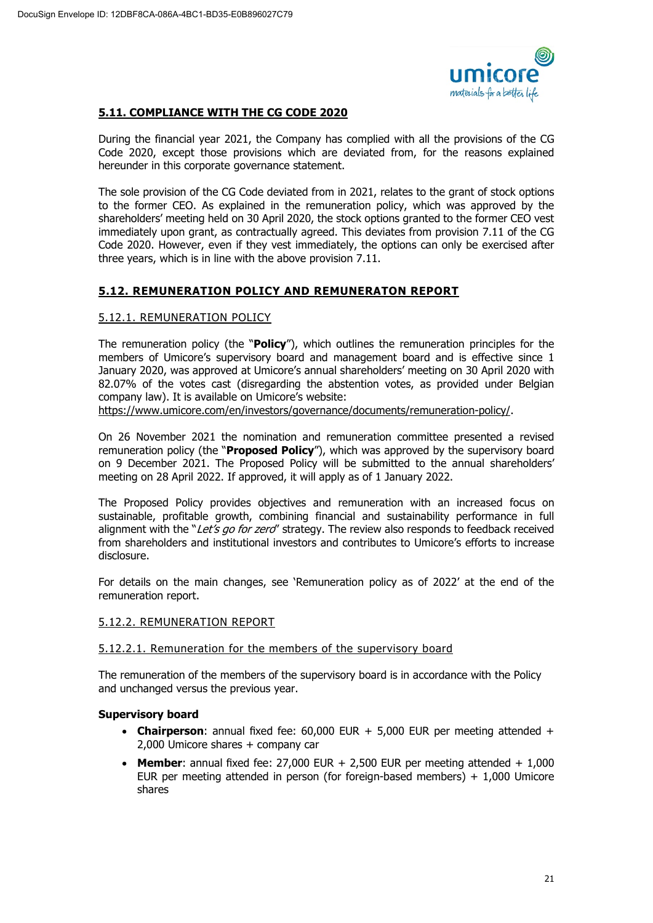

# **5.11. COMPLIANCE WITH THE CG CODE 2020**

During the financial year 2021, the Company has complied with all the provisions of the CG Code 2020, except those provisions which are deviated from, for the reasons explained hereunder in this corporate governance statement.

The sole provision of the CG Code deviated from in 2021, relates to the grant of stock options to the former CEO. As explained in the remuneration policy, which was approved by the shareholders' meeting held on 30 April 2020, the stock options granted to the former CEO vest immediately upon grant, as contractually agreed. This deviates from provision 7.11 of the CG Code 2020. However, even if they vest immediately, the options can only be exercised after three years, which is in line with the above provision 7.11.

# **5.12. REMUNERATION POLICY AND REMUNERATON REPORT**

# 5.12.1. REMUNERATION POLICY

The remuneration policy (the "**Policy**"), which outlines the remuneration principles for the members of Umicore's supervisory board and management board and is effective since 1 January 2020, was approved at Umicore's annual shareholders' meeting on 30 April 2020 with 82.07% of the votes cast (disregarding the abstention votes, as provided under Belgian company law). It is available on Umicore's website:

[https://www.umicore.com/en/investors/governance/documents/remuneration-policy/.](https://www.umicore.com/en/investors/governance/documents/remuneration-policy/)

On 26 November 2021 the nomination and remuneration committee presented a revised remuneration policy (the "**Proposed Policy**"), which was approved by the supervisory board on 9 December 2021. The Proposed Policy will be submitted to the annual shareholders' meeting on 28 April 2022. If approved, it will apply as of 1 January 2022.

The Proposed Policy provides objectives and remuneration with an increased focus on sustainable, profitable growth, combining financial and sustainability performance in full alignment with the "Let's go for zero" strategy. The review also responds to feedback received from shareholders and institutional investors and contributes to Umicore's efforts to increase disclosure.

For details on the main changes, see 'Remuneration policy as of 2022' at the end of the remuneration report.

# 5.12.2. REMUNERATION REPORT

# 5.12.2.1. Remuneration for the members of the supervisory board

The remuneration of the members of the supervisory board is in accordance with the Policy and unchanged versus the previous year.

# **Supervisory board**

- **Chairperson**: annual fixed fee:  $60,000$  EUR  $+ 5,000$  EUR per meeting attended  $+$ 2,000 Umicore shares + company car
- **Member:** annual fixed fee:  $27,000$  EUR +  $2,500$  EUR per meeting attended +  $1,000$ EUR per meeting attended in person (for foreign-based members)  $+ 1,000$  Umicore shares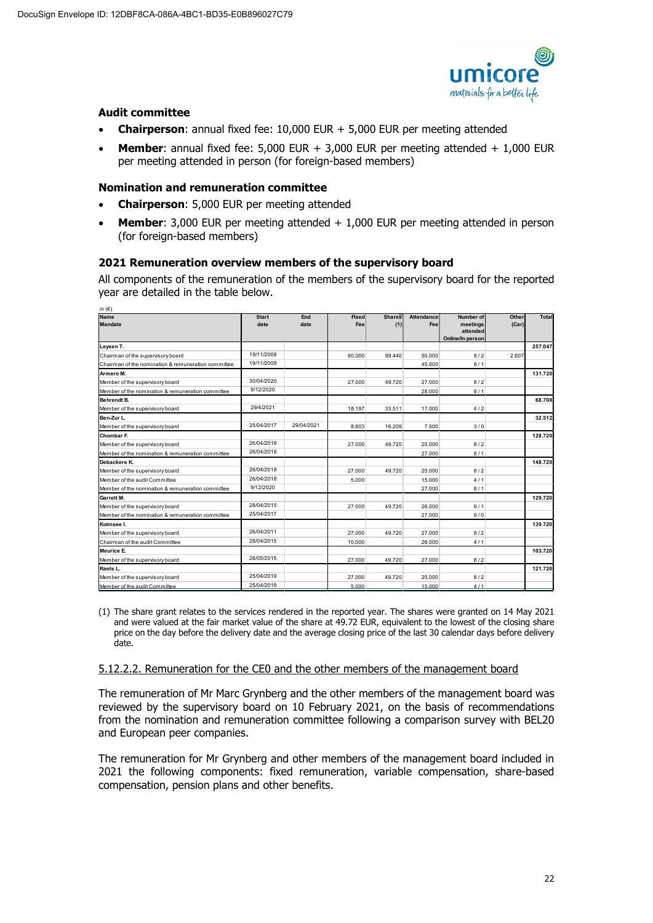

### **Audit committee**

- **Chairperson**: annual fixed fee: 10,000 EUR + 5,000 EUR per meeting attended
- **Member:** annual fixed fee:  $5,000$  EUR +  $3,000$  EUR per meeting attended +  $1,000$  EUR per meeting attended in person (for foreign-based members)

### **Nomination and remuneration committee**

- **Chairperson**: 5,000 EUR per meeting attended
- **Member:** 3,000 EUR per meeting attended + 1,000 EUR per meeting attended in person (for foreign-based members)

# **2021 Remuneration overview members of the supervisory board**

All components of the remuneration of the members of the supervisory board for the reported year are detailed in the table below.

| in $(\in)$                                          |                      |             |                     |                      |                   |                                                       |                |         |
|-----------------------------------------------------|----------------------|-------------|---------------------|----------------------|-------------------|-------------------------------------------------------|----------------|---------|
| <b>Name</b><br><b>Mandate</b>                       | <b>Start</b><br>date | End<br>date | <b>Fixed</b><br>Fee | <b>Shares</b><br>(1) | Attendance<br>Fee | Number of<br>meetings<br>attended<br>Online/In person | Other<br>(Car) | Total   |
| Leysen T.                                           |                      |             |                     |                      |                   |                                                       |                | 257.047 |
| Chairman of the supervisory board                   | 19/11/2008           |             | 60.000              | 99.440               | 50.000            | 8/2                                                   | 2.607          |         |
| Chairman of the nomination & remuneration committee | 19/11/2008           |             |                     |                      | 45.000            | 8/1                                                   |                |         |
| Armero M.                                           |                      |             |                     |                      |                   |                                                       |                | 131.720 |
| Member of the supervisory board                     | 30/04/2020           |             | 27,000              | 49.720               | 27,000            | 8/2                                                   |                |         |
| Member of the nomination & remuneration committee   | 9/12/2020            |             |                     |                      | 28,000            | 8/1                                                   |                |         |
| Behrendt B.                                         |                      |             |                     |                      |                   |                                                       |                | 68.708  |
| Member of the supervisory board                     | 29/4/2021            |             | 18.197              | 33.511               | 17,000            | 4/2                                                   |                |         |
| Ben-Zur L.                                          |                      |             |                     |                      |                   |                                                       |                | 32.512  |
| Member of the supervisory board                     | 25/04/2017           | 29/04/2021  | 8.803               | 16.209               | 7.500             | 3/0                                                   |                |         |
| Chombar F.                                          |                      |             |                     |                      |                   |                                                       |                | 128.720 |
| Member of the supervisory board                     | 26/04/2016           |             | 27,000              | 49.720               | 25,000            | 8/2                                                   |                |         |
| Member of the nomination & remuneration committee   | 26/04/2018           |             |                     |                      | 27,000            | 8/1                                                   |                |         |
| Debackere K.                                        |                      |             |                     |                      |                   |                                                       |                | 148.720 |
| Member of the supervisory board                     | 26/04/2018           |             | 27.000              | 49.720               | 25.000            | 8/2                                                   |                |         |
| Member of the audit Committee                       | 26/04/2018           |             | 5.000               |                      | 15,000            | 4/1                                                   |                |         |
| Member of the nomination & remuneration committee   | 9/12/2020            |             |                     |                      | 27,000            | 8/1                                                   |                |         |
| Garrett M.                                          |                      |             |                     |                      |                   |                                                       |                | 129.720 |
| Member of the supervisory board                     | 28/04/2015           |             | 27,000              | 49.720               | 26,000            | 9/1                                                   |                |         |
| Member of the nomination & remuneration committee   | 25/04/2017           |             |                     |                      | 27,000            | 9/0                                                   |                |         |
| Kolmsee I.                                          |                      |             |                     |                      |                   |                                                       |                | 139.720 |
| Member of the supervisory board                     | 26/04/2011           |             | 27,000              | 49.720               | 27,000            | 8/2                                                   |                |         |
| Chairman of the audit Committee                     | 28/04/2015           |             | 10,000              |                      | 26,000            | 4/1                                                   |                |         |
| Meurice E.                                          |                      |             |                     |                      |                   |                                                       |                | 103.720 |
| Member of the supervisory board                     | 28/05/2015           |             | 27,000              | 49.720               | 27,000            | 8/2                                                   |                |         |
| Raets L.                                            |                      |             |                     |                      |                   |                                                       |                | 121.720 |
| Member of the supervisory board                     | 25/04/2019           |             | 27.000              | 49.720               | 25.000            | 8/2                                                   |                |         |
| Member of the audit Committee                       | 25/04/2019           |             | 5,000               |                      | 15,000            | 4/1                                                   |                |         |

(1) The share grant relates to the services rendered in the reported year. The shares were granted on 14 May 2021 and were valued at the fair market value of the share at 49.72 EUR, equivalent to the lowest of the closing share price on the day before the delivery date and the average closing price of the last 30 calendar days before delivery date.

#### 5.12.2.2. Remuneration for the CE0 and the other members of the management board

The remuneration of Mr Marc Grynberg and the other members of the management board was reviewed by the supervisory board on 10 February 2021, on the basis of recommendations from the nomination and remuneration committee following a comparison survey with BEL20 and European peer companies.

The remuneration for Mr Grynberg and other members of the management board included in 2021 the following components: fixed remuneration, variable compensation, share-based compensation, pension plans and other benefits.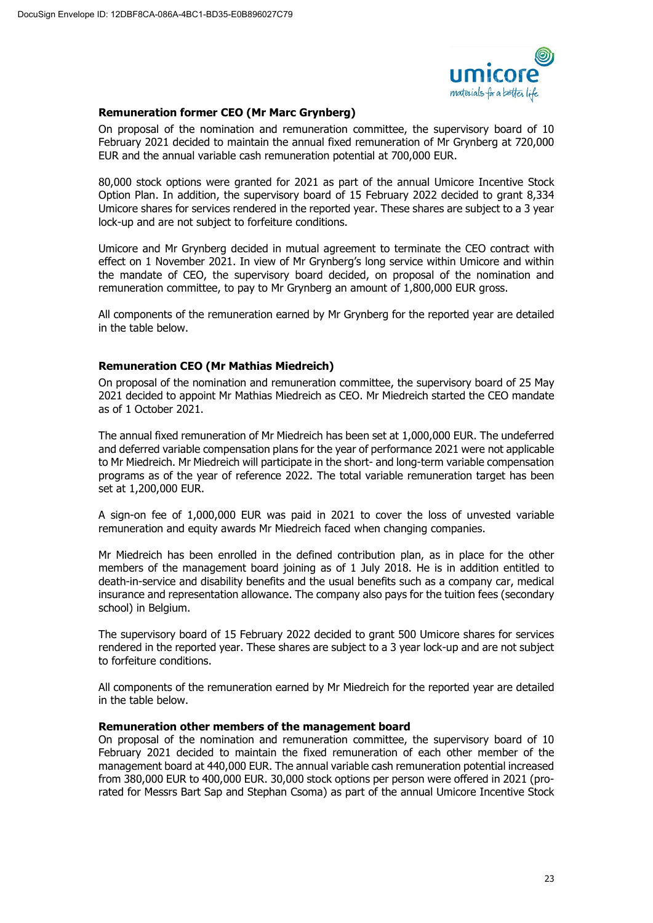

# **Remuneration former CEO (Mr Marc Grynberg)**

On proposal of the nomination and remuneration committee, the supervisory board of 10 February 2021 decided to maintain the annual fixed remuneration of Mr Grynberg at 720,000 EUR and the annual variable cash remuneration potential at 700,000 EUR.

80,000 stock options were granted for 2021 as part of the annual Umicore Incentive Stock Option Plan. In addition, the supervisory board of 15 February 2022 decided to grant 8,334 Umicore shares for services rendered in the reported year. These shares are subject to a 3 year lock-up and are not subject to forfeiture conditions.

Umicore and Mr Grynberg decided in mutual agreement to terminate the CEO contract with effect on 1 November 2021. In view of Mr Grynberg's long service within Umicore and within the mandate of CEO, the supervisory board decided, on proposal of the nomination and remuneration committee, to pay to Mr Grynberg an amount of 1,800,000 EUR gross.

All components of the remuneration earned by Mr Grynberg for the reported year are detailed in the table below.

# **Remuneration CEO (Mr Mathias Miedreich)**

On proposal of the nomination and remuneration committee, the supervisory board of 25 May 2021 decided to appoint Mr Mathias Miedreich as CEO. Mr Miedreich started the CEO mandate as of 1 October 2021.

The annual fixed remuneration of Mr Miedreich has been set at 1,000,000 EUR. The undeferred and deferred variable compensation plans for the year of performance 2021 were not applicable to Mr Miedreich. Mr Miedreich will participate in the short- and long-term variable compensation programs as of the year of reference 2022. The total variable remuneration target has been set at 1,200,000 EUR.

A sign-on fee of 1,000,000 EUR was paid in 2021 to cover the loss of unvested variable remuneration and equity awards Mr Miedreich faced when changing companies.

Mr Miedreich has been enrolled in the defined contribution plan, as in place for the other members of the management board joining as of 1 July 2018. He is in addition entitled to death-in-service and disability benefits and the usual benefits such as a company car, medical insurance and representation allowance. The company also pays for the tuition fees (secondary school) in Belgium.

The supervisory board of 15 February 2022 decided to grant 500 Umicore shares for services rendered in the reported year. These shares are subject to a 3 year lock-up and are not subject to forfeiture conditions.

All components of the remuneration earned by Mr Miedreich for the reported year are detailed in the table below.

# **Remuneration other members of the management board**

On proposal of the nomination and remuneration committee, the supervisory board of 10 February 2021 decided to maintain the fixed remuneration of each other member of the management board at 440,000 EUR. The annual variable cash remuneration potential increased from 380,000 EUR to 400,000 EUR. 30,000 stock options per person were offered in 2021 (prorated for Messrs Bart Sap and Stephan Csoma) as part of the annual Umicore Incentive Stock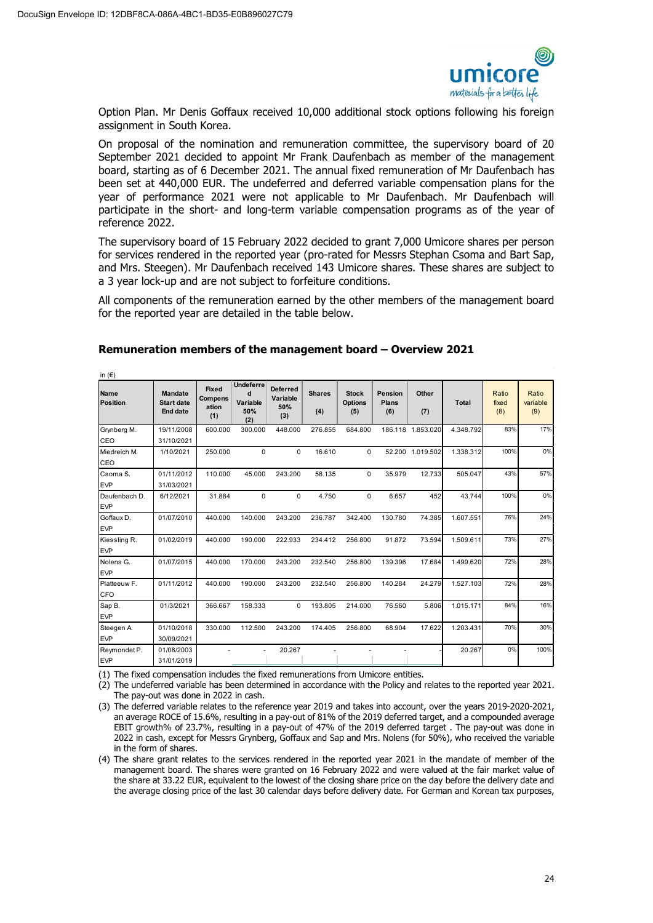in (€)



Option Plan. Mr Denis Goffaux received 10,000 additional stock options following his foreign assignment in South Korea.

On proposal of the nomination and remuneration committee, the supervisory board of 20 September 2021 decided to appoint Mr Frank Daufenbach as member of the management board, starting as of 6 December 2021. The annual fixed remuneration of Mr Daufenbach has been set at 440,000 EUR. The undeferred and deferred variable compensation plans for the year of performance 2021 were not applicable to Mr Daufenbach. Mr Daufenbach will participate in the short- and long-term variable compensation programs as of the year of reference 2022.

The supervisory board of 15 February 2022 decided to grant 7,000 Umicore shares per person for services rendered in the reported year (pro-rated for Messrs Stephan Csoma and Bart Sap, and Mrs. Steegen). Mr Daufenbach received 143 Umicore shares. These shares are subject to a 3 year lock-up and are not subject to forfeiture conditions.

All components of the remuneration earned by the other members of the management board for the reported year are detailed in the table below.

| .~<br>Name<br><b>Position</b> | <b>Mandate</b><br><b>Start date</b><br><b>End date</b> | <b>Fixed</b><br><b>Compens</b><br>ation | Undeferre<br>d<br>Variable<br>50% | <b>Deferred</b><br>Variable<br>50% | <b>Shares</b><br>(4) | <b>Stock</b><br><b>Options</b><br>(5) | Pension<br><b>Plans</b><br>(6) | Other<br>(7)      | <b>Total</b> | Ratio<br>fixed<br>(8) | Ratio<br>variable<br>(9) |
|-------------------------------|--------------------------------------------------------|-----------------------------------------|-----------------------------------|------------------------------------|----------------------|---------------------------------------|--------------------------------|-------------------|--------------|-----------------------|--------------------------|
|                               |                                                        | (1)                                     | (2)                               | (3)                                |                      |                                       |                                |                   |              |                       |                          |
| Grynberg M.                   | 19/11/2008                                             | 600.000                                 | 300.000                           | 448.000                            | 276.855              | 684.800                               |                                | 186.118 1.853.020 | 4.348.792    | 83%                   | 17%                      |
| CEO                           | 31/10/2021                                             |                                         |                                   |                                    |                      |                                       |                                |                   |              |                       |                          |
| Miedreich M.                  | 1/10/2021                                              | 250.000                                 | 0                                 | 0                                  | 16.610               | 0                                     |                                | 52.200 1.019.502  | 1.338.312    | 100%                  | 0%                       |
| CEO                           |                                                        |                                         |                                   |                                    |                      |                                       |                                |                   |              |                       |                          |
| Csoma S.                      | 01/11/2012                                             | 110.000                                 | 45.000                            | 243.200                            | 58.135               | 0                                     | 35.979                         | 12.733            | 505.047      | 43%                   | 57%                      |
| <b>EVP</b>                    | 31/03/2021                                             |                                         |                                   |                                    |                      |                                       |                                |                   |              |                       |                          |
| Daufenbach D.                 | 6/12/2021                                              | 31.884                                  | $\Omega$                          | $\mathbf 0$                        | 4.750                | 0                                     | 6.657                          | 452               | 43.744       | 100%                  | 0%                       |
| <b>EVP</b>                    |                                                        |                                         |                                   |                                    |                      |                                       |                                |                   |              |                       |                          |
| Goffaux D.                    | 01/07/2010                                             | 440.000                                 | 140.000                           | 243.200                            | 236.787              | 342.400                               | 130.780                        | 74.385            | 1.607.551    | 76%                   | 24%                      |
| <b>EVP</b>                    |                                                        |                                         |                                   |                                    |                      |                                       |                                |                   |              |                       |                          |
| Kiessling R.                  | 01/02/2019                                             | 440.000                                 | 190.000                           | 222.933                            | 234.412              | 256.800                               | 91.872                         | 73.594            | 1.509.611    | 73%                   | 27%                      |
| <b>EVP</b>                    |                                                        |                                         |                                   |                                    |                      |                                       |                                |                   |              |                       |                          |
| Nolens G.                     | 01/07/2015                                             | 440.000                                 | 170.000                           | 243.200                            | 232.540              | 256.800                               | 139.396                        | 17.684            | 1.499.620    | 72%                   | 28%                      |
| <b>EVP</b>                    |                                                        |                                         |                                   |                                    |                      |                                       |                                |                   |              |                       |                          |
| Platteeuw F.                  | 01/11/2012                                             | 440.000                                 | 190.000                           | 243.200                            | 232.540              | 256.800                               | 140.284                        | 24.279            | 1.527.103    | 72%                   | 28%                      |
| <b>CFO</b>                    |                                                        |                                         |                                   |                                    |                      |                                       |                                |                   |              |                       |                          |
| Sap B.                        | 01/3/2021                                              | 366.667                                 | 158.333                           | 0                                  | 193.805              | 214.000                               | 76.560                         | 5.806             | 1.015.171    | 84%                   | 16%                      |
| <b>EVP</b>                    |                                                        |                                         |                                   |                                    |                      |                                       |                                |                   |              |                       |                          |
| Steegen A.                    | 01/10/2018                                             | 330.000                                 | 112.500                           | 243.200                            | 174,405              | 256.800                               | 68.904                         | 17.622            | 1.203.431    | 70%                   | 30%                      |
| <b>EVP</b>                    | 30/09/2021                                             |                                         |                                   |                                    |                      |                                       |                                |                   |              |                       |                          |
| Reymondet P.                  | 01/08/2003                                             |                                         |                                   | 20.267                             |                      |                                       |                                |                   | 20.267       | 0%                    | 100%                     |
| <b>EVP</b>                    | 31/01/2019                                             |                                         |                                   |                                    |                      |                                       |                                |                   |              |                       |                          |

### **Remuneration members of the management board – Overview 2021**

(1) The fixed compensation includes the fixed remunerations from Umicore entities.

(2) The undeferred variable has been determined in accordance with the Policy and relates to the reported year 2021. The pay-out was done in 2022 in cash.

(3) The deferred variable relates to the reference year 2019 and takes into account, over the years 2019-2020-2021, an average ROCE of 15.6%, resulting in a pay-out of 81% of the 2019 deferred target, and a compounded average EBIT growth% of 23.7%, resulting in a pay-out of 47% of the 2019 deferred target . The pay-out was done in 2022 in cash, except for Messrs Grynberg, Goffaux and Sap and Mrs. Nolens (for 50%), who received the variable in the form of shares.

(4) The share grant relates to the services rendered in the reported year 2021 in the mandate of member of the management board. The shares were granted on 16 February 2022 and were valued at the fair market value of the share at 33.22 EUR, equivalent to the lowest of the closing share price on the day before the delivery date and the average closing price of the last 30 calendar days before delivery date. For German and Korean tax purposes,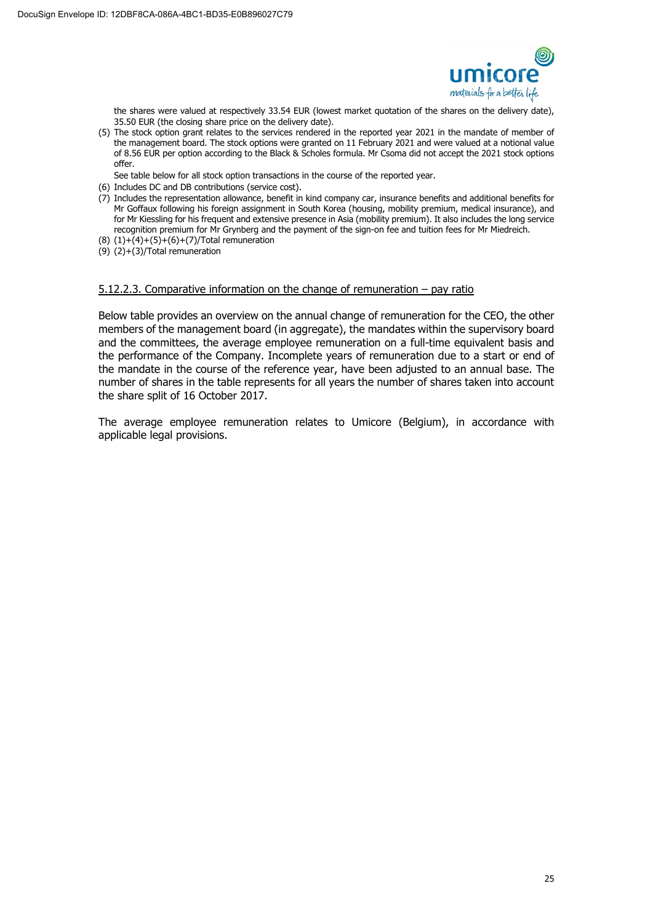

the shares were valued at respectively 33.54 EUR (lowest market quotation of the shares on the delivery date), 35.50 EUR (the closing share price on the delivery date).

(5) The stock option grant relates to the services rendered in the reported year 2021 in the mandate of member of the management board. The stock options were granted on 11 February 2021 and were valued at a notional value of 8.56 EUR per option according to the Black & Scholes formula. Mr Csoma did not accept the 2021 stock options offer.

See table below for all stock option transactions in the course of the reported year.

- (6) Includes DC and DB contributions (service cost).
- $(7)$  Includes the representation allowance, benefit in kind company car, insurance benefits and additional benefits for Mr Goffaux following his foreign assignment in South Korea (housing, mobility premium, medical insurance), and for Mr Kiessling for his frequent and extensive presence in Asia (mobility premium). It also includes the long service recognition premium for Mr Grynberg and the payment of the sign-on fee and tuition fees for Mr Miedreich.
- $(8)$   $(1)+(4)+(5)+(6)+(7)/Total$  remuneration
- (9) (2)+(3)/Total remuneration

#### 5.12.2.3. Comparative information on the change of remuneration – pay ratio

Below table provides an overview on the annual change of remuneration for the CEO, the other members of the management board (in aggregate), the mandates within the supervisory board and the committees, the average employee remuneration on a full-time equivalent basis and the performance of the Company. Incomplete years of remuneration due to a start or end of the mandate in the course of the reference year, have been adjusted to an annual base. The number of shares in the table represents for all years the number of shares taken into account the share split of 16 October 2017.

The average employee remuneration relates to Umicore (Belgium), in accordance with applicable legal provisions.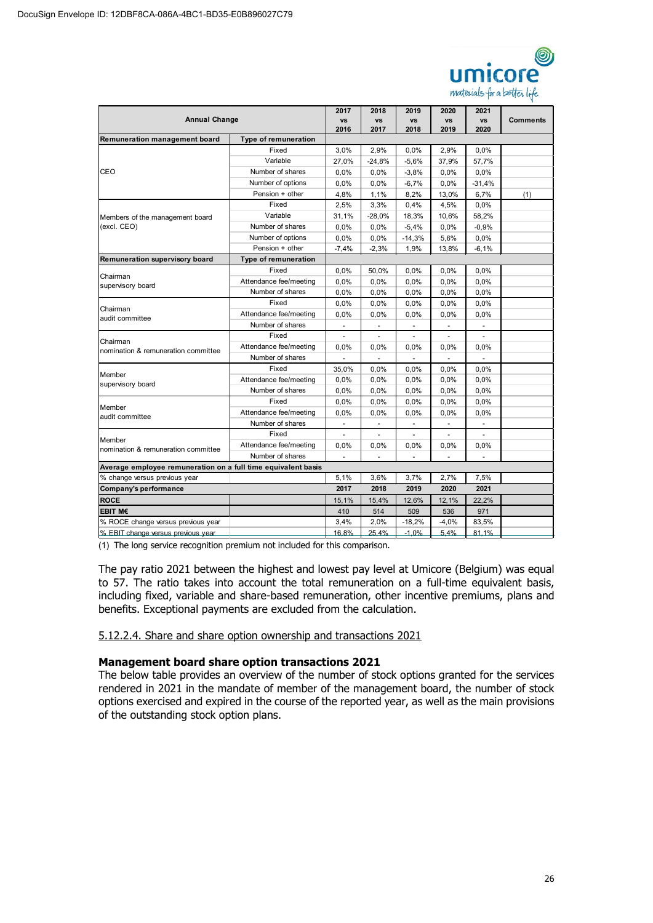

| <b>Annual Change</b>                                                             |                             | 2017                     | 2018              | 2019              | 2020<br><b>VS</b>        | 2021                     | <b>Comments</b> |
|----------------------------------------------------------------------------------|-----------------------------|--------------------------|-------------------|-------------------|--------------------------|--------------------------|-----------------|
|                                                                                  |                             | <b>VS</b><br>2016        | <b>VS</b><br>2017 | <b>VS</b><br>2018 | 2019                     | <b>VS</b><br>2020        |                 |
| Remuneration management board                                                    | Type of remuneration        |                          |                   |                   |                          |                          |                 |
|                                                                                  | Fixed                       | 3,0%                     | 2,9%              | 0,0%              | 2,9%                     | 0,0%                     |                 |
|                                                                                  | Variable                    | 27,0%                    | $-24,8%$          | $-5,6%$           | 37,9%                    | 57,7%                    |                 |
| CEO                                                                              | Number of shares            | 0,0%                     | 0.0%              | $-3,8%$           | 0,0%                     | 0,0%                     |                 |
|                                                                                  | Number of options           | 0,0%                     | 0.0%              | $-6,7%$           | 0.0%                     | $-31,4%$                 |                 |
|                                                                                  | Pension + other             | 4,8%                     | 1,1%              | 8,2%              | 13,0%                    | 6,7%                     | (1)             |
|                                                                                  | Fixed                       | 2,5%                     | 3,3%              | 0,4%              | 4,5%                     | 0,0%                     |                 |
|                                                                                  | Variable                    | 31,1%                    | $-28,0%$          | 18,3%             | 10,6%                    | 58,2%                    |                 |
| Members of the management board<br>(excl. CEO)                                   | Number of shares            | 0,0%                     | 0.0%              | $-5,4%$           | 0,0%                     | $-0.9%$                  |                 |
|                                                                                  | Number of options           | 0.0%                     | 0.0%              | $-14,3%$          | 5,6%                     | 0.0%                     |                 |
|                                                                                  | Pension + other             | $-7,4%$                  | $-2,3%$           | 1,9%              | 13,8%                    | $-6,1%$                  |                 |
| Remuneration supervisory board                                                   | <b>Type of remuneration</b> |                          |                   |                   |                          |                          |                 |
|                                                                                  | Fixed                       | 0,0%                     | 50,0%             | 0,0%              | 0,0%                     | 0,0%                     |                 |
| Chairman<br>supervisory board                                                    | Attendance fee/meeting      | 0.0%                     | 0,0%              | 0.0%              | 0,0%                     | 0,0%                     |                 |
|                                                                                  | Number of shares            | 0.0%                     | 0.0%              | 0,0%              | 0,0%                     | 0,0%                     |                 |
|                                                                                  | Fixed                       | 0,0%                     | 0.0%              | 0,0%              | 0,0%                     | 0.0%                     |                 |
| audit committee                                                                  | Attendance fee/meeting      | 0,0%                     | 0.0%              | 0,0%              | 0,0%                     | 0,0%                     |                 |
|                                                                                  | Number of shares            | $\overline{\phantom{a}}$ | $\blacksquare$    | $\blacksquare$    | $\overline{\phantom{a}}$ | $\overline{\phantom{a}}$ |                 |
|                                                                                  | Fixed                       | $\overline{\phantom{a}}$ | ÷                 | ÷                 | ÷,                       | $\overline{\phantom{a}}$ |                 |
|                                                                                  | Attendance fee/meeting      | 0,0%                     | $0.0\%$           | 0.0%              | 0.0%                     | 0,0%                     |                 |
| nomination & remuneration committee                                              | Number of shares            | $\bar{a}$                | $\mathbf{r}$      | $\blacksquare$    | $\overline{a}$           | $\overline{a}$           |                 |
|                                                                                  | Fixed                       | 35,0%                    | 0.0%              | 0,0%              | 0,0%                     | 0,0%                     |                 |
| Chairman<br>Chairman<br>Member<br>supervisory board<br>Member<br>audit committee | Attendance fee/meeting      | 0,0%                     | 0,0%              | 0.0%              | 0,0%                     | 0.0%                     |                 |
|                                                                                  | Number of shares            | 0,0%                     | 0,0%              | 0,0%              | 0,0%                     | 0.0%                     |                 |
|                                                                                  | Fixed                       | 0.0%                     | 0,0%              | 0.0%              | 0,0%                     | 0.0%                     |                 |
|                                                                                  | Attendance fee/meeting      | 0.0%                     | 0.0%              | 0,0%              | 0,0%                     | 0,0%                     |                 |
|                                                                                  | Number of shares            |                          |                   |                   |                          |                          |                 |
|                                                                                  | Fixed                       |                          |                   |                   |                          | ÷,                       |                 |
| Member<br>nomination & remuneration committee                                    | Attendance fee/meeting      | 0,0%                     | 0,0%              | 0.0%              | 0,0%                     | 0,0%                     |                 |
|                                                                                  | Number of shares            |                          |                   |                   |                          |                          |                 |
| Average employee remuneration on a full time equivalent basis                    |                             |                          |                   |                   |                          |                          |                 |
| % change versus previous year                                                    |                             | 5,1%                     | 3,6%              | 3,7%              | 2.7%                     | 7,5%                     |                 |
| Company's performance                                                            |                             | 2017                     | 2018              | 2019              | 2020                     | 2021                     |                 |
| <b>ROCE</b>                                                                      |                             | 15,1%                    | 15,4%             | 12,6%             | 12,1%                    | 22,2%                    |                 |
| <b>EBIT M€</b>                                                                   |                             | 410                      | 514               | 509               | 536                      | 971                      |                 |
| % ROCE change versus previous year                                               |                             | 3,4%                     | 2,0%              | $-18,2%$          | $-4,0%$                  | 83,5%                    |                 |
| % EBIT change versus previous year                                               |                             | 16.8%                    | 25.4%             | $-1.0%$           | 5.4%                     | 81.1%                    |                 |

(1) The long service recognition premium not included for this comparison.

The pay ratio 2021 between the highest and lowest pay level at Umicore (Belgium) was equal to 57. The ratio takes into account the total remuneration on a full-time equivalent basis, including fixed, variable and share-based remuneration, other incentive premiums, plans and benefits. Exceptional payments are excluded from the calculation.

5.12.2.4. Share and share option ownership and transactions 2021

#### **Management board share option transactions 2021**

The below table provides an overview of the number of stock options granted for the services rendered in 2021 in the mandate of member of the management board, the number of stock options exercised and expired in the course of the reported year, as well as the main provisions of the outstanding stock option plans.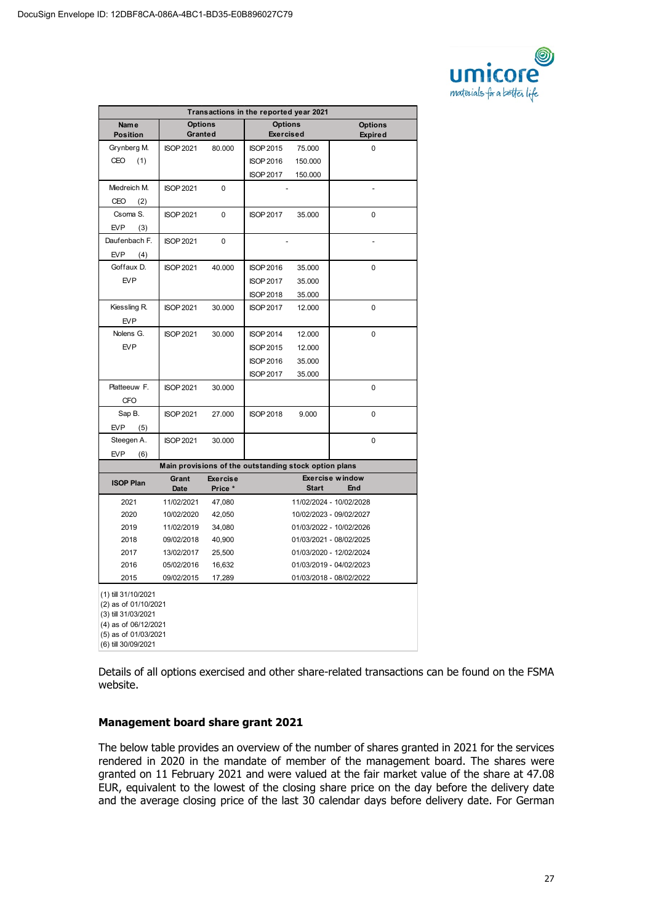

| Transactions in the reported year 2021                                                                                                    |                           |                            |                                                       |              |                                  |  |
|-------------------------------------------------------------------------------------------------------------------------------------------|---------------------------|----------------------------|-------------------------------------------------------|--------------|----------------------------------|--|
| <b>Name</b><br><b>Position</b>                                                                                                            | <b>Options</b><br>Granted |                            | <b>Options</b><br><b>Exercised</b>                    |              | <b>Options</b><br><b>Expired</b> |  |
| Grynberg M.                                                                                                                               | <b>ISOP 2021</b>          | 80.000                     | <b>ISOP 2015</b>                                      | 75.000       | 0                                |  |
| CEO<br>(1)                                                                                                                                |                           |                            | <b>ISOP 2016</b>                                      | 150.000      |                                  |  |
|                                                                                                                                           |                           |                            | <b>ISOP 2017</b>                                      | 150.000      |                                  |  |
| Miedreich M.                                                                                                                              | <b>ISOP 2021</b>          | 0                          |                                                       |              | $\overline{a}$                   |  |
| CEO<br>(2)                                                                                                                                |                           |                            |                                                       |              |                                  |  |
| Csoma S.                                                                                                                                  | <b>ISOP 2021</b>          | 0                          | <b>ISOP 2017</b>                                      | 35.000       | $\mathbf 0$                      |  |
| <b>EVP</b><br>(3)                                                                                                                         |                           |                            |                                                       |              |                                  |  |
| Daufenbach F.                                                                                                                             | <b>ISOP 2021</b>          | 0                          |                                                       |              |                                  |  |
| EVP<br>(4)                                                                                                                                |                           |                            |                                                       |              |                                  |  |
| Goffaux D.                                                                                                                                | <b>ISOP 2021</b>          | 40.000                     | <b>ISOP 2016</b>                                      | 35.000       | 0                                |  |
| EVP                                                                                                                                       |                           |                            | <b>ISOP 2017</b>                                      | 35.000       |                                  |  |
|                                                                                                                                           |                           |                            | <b>ISOP 2018</b>                                      | 35.000       |                                  |  |
| Kiessling R.                                                                                                                              | <b>ISOP 2021</b>          | 30.000                     | <b>ISOP 2017</b>                                      | 12.000       | $\mathbf 0$                      |  |
| <b>EVP</b>                                                                                                                                |                           |                            |                                                       |              |                                  |  |
| Nolens G.                                                                                                                                 | <b>ISOP 2021</b>          | 30.000                     | <b>ISOP 2014</b>                                      | 12.000       | $\mathbf 0$                      |  |
| EVP                                                                                                                                       |                           |                            | <b>ISOP 2015</b>                                      | 12.000       |                                  |  |
|                                                                                                                                           |                           |                            | <b>ISOP 2016</b>                                      | 35.000       |                                  |  |
|                                                                                                                                           |                           |                            | <b>ISOP 2017</b>                                      | 35.000       |                                  |  |
| Platteeuw F.                                                                                                                              | <b>ISOP 2021</b>          | 30.000                     |                                                       |              | $\mathbf 0$                      |  |
| <b>CFO</b>                                                                                                                                |                           |                            |                                                       |              |                                  |  |
| Sap B.                                                                                                                                    | <b>ISOP 2021</b>          | 27.000                     | <b>ISOP 2018</b>                                      | 9.000        | 0                                |  |
| <b>EVP</b><br>(5)                                                                                                                         |                           |                            |                                                       |              |                                  |  |
| Steegen A.                                                                                                                                | <b>ISOP 2021</b>          | 30.000                     |                                                       |              | $\mathbf 0$                      |  |
| <b>EVP</b><br>(6)                                                                                                                         |                           |                            |                                                       |              |                                  |  |
|                                                                                                                                           |                           |                            | Main provisions of the outstanding stock option plans |              |                                  |  |
| <b>ISOP Plan</b>                                                                                                                          | Grant<br>Date             | <b>Exercise</b><br>Price * |                                                       | <b>Start</b> | <b>Exercise window</b><br>End    |  |
| 2021                                                                                                                                      | 11/02/2021                | 47,080                     |                                                       |              | 11/02/2024 - 10/02/2028          |  |
| 2020                                                                                                                                      | 10/02/2020                | 42,050                     |                                                       |              | 10/02/2023 - 09/02/2027          |  |
| 2019                                                                                                                                      | 11/02/2019                | 34,080                     |                                                       |              | 01/03/2022 - 10/02/2026          |  |
| 2018                                                                                                                                      | 09/02/2018                | 40,900                     |                                                       |              | 01/03/2021 - 08/02/2025          |  |
| 2017                                                                                                                                      | 13/02/2017                | 25,500                     |                                                       |              | 01/03/2020 - 12/02/2024          |  |
| 2016                                                                                                                                      | 05/02/2016                | 16,632                     |                                                       |              | 01/03/2019 - 04/02/2023          |  |
| 2015                                                                                                                                      | 09/02/2015                | 17,289                     |                                                       |              | 01/03/2018 - 08/02/2022          |  |
| (1) till 31/10/2021<br>(2) as of 01/10/2021<br>(3) till 31/03/2021<br>(4) as of 06/12/2021<br>(5) as of 01/03/2021<br>(6) till 30/09/2021 |                           |                            |                                                       |              |                                  |  |

Details of all options exercised and other share-related transactions can be found on the FSMA website.

#### **Management board share grant 2021**

The below table provides an overview of the number of shares granted in 2021 for the services rendered in 2020 in the mandate of member of the management board. The shares were granted on 11 February 2021 and were valued at the fair market value of the share at 47.08 EUR, equivalent to the lowest of the closing share price on the day before the delivery date and the average closing price of the last 30 calendar days before delivery date. For German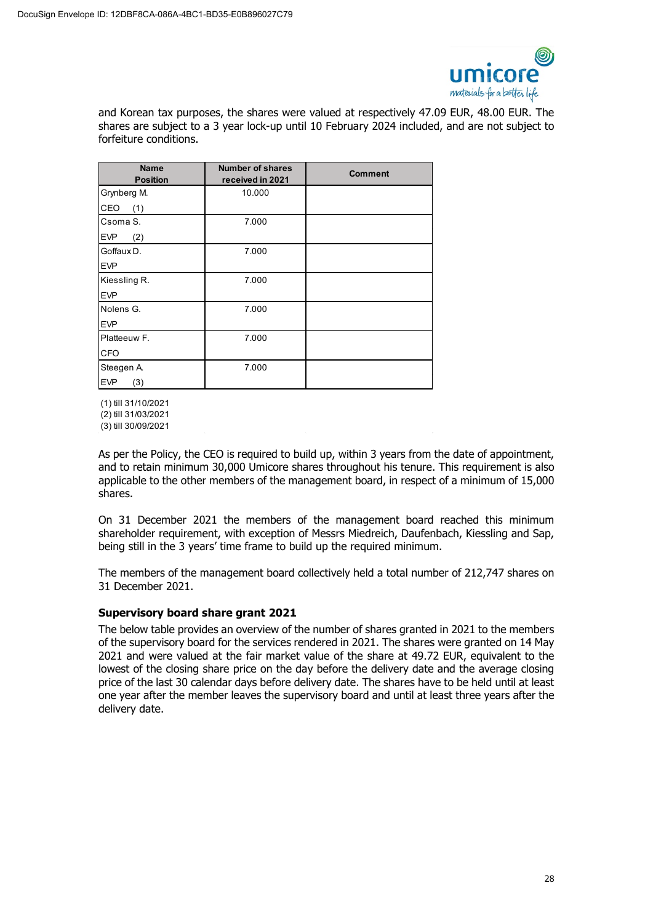

and Korean tax purposes, the shares were valued at respectively 47.09 EUR, 48.00 EUR. The shares are subject to a 3 year lock-up until 10 February 2024 included, and are not subject to forfeiture conditions.

| <b>Name</b><br><b>Position</b> | <b>Number of shares</b><br>received in 2021 | <b>Comment</b> |
|--------------------------------|---------------------------------------------|----------------|
| Grynberg M.                    | 10.000                                      |                |
| CEO<br>(1)                     |                                             |                |
| Csoma S.                       | 7.000                                       |                |
| <b>EVP</b><br>(2)              |                                             |                |
| Goffaux D.                     | 7.000                                       |                |
| <b>EVP</b>                     |                                             |                |
| Kiessling R.                   | 7.000                                       |                |
| <b>EVP</b>                     |                                             |                |
| Nolens G.                      | 7.000                                       |                |
| <b>EVP</b>                     |                                             |                |
| Platteeuw F.                   | 7.000                                       |                |
| <b>CFO</b>                     |                                             |                |
| Steegen A.                     | 7.000                                       |                |
| <b>EVP</b><br>(3)              |                                             |                |

(1) till 31/10/2021 (2) till 31/03/2021

 $(3)$  till 30/09/2021

As per the Policy, the CEO is required to build up, within 3 years from the date of appointment, and to retain minimum 30,000 Umicore shares throughout his tenure. This requirement is also applicable to the other members of the management board, in respect of a minimum of 15,000 shares.

On 31 December 2021 the members of the management board reached this minimum shareholder requirement, with exception of Messrs Miedreich, Daufenbach, Kiessling and Sap, being still in the 3 years' time frame to build up the required minimum.

The members of the management board collectively held a total number of 212,747 shares on 31 December 2021.

# **Supervisory board share grant 2021**

The below table provides an overview of the number of shares granted in 2021 to the members of the supervisory board for the services rendered in 2021. The shares were granted on 14 May 2021 and were valued at the fair market value of the share at 49.72 EUR, equivalent to the lowest of the closing share price on the day before the delivery date and the average closing price of the last 30 calendar days before delivery date. The shares have to be held until at least one year after the member leaves the supervisory board and until at least three years after the delivery date.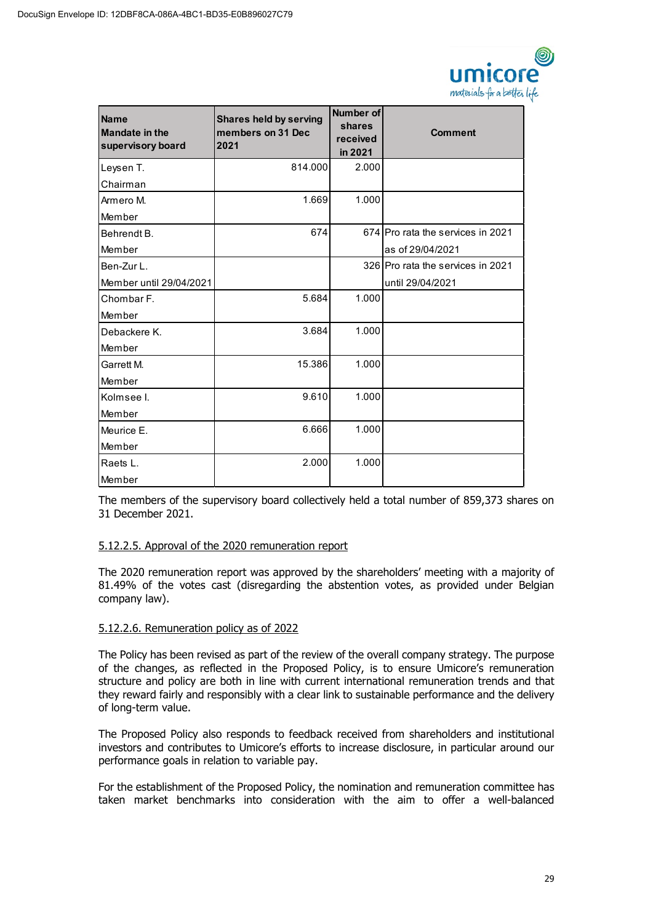

| <b>Name</b><br><b>Mandate in the</b><br>supervisory board | <b>Shares held by serving</b><br>members on 31 Dec<br>2021 | Number of<br>shares<br>received<br>in 2021 | <b>Comment</b>                    |
|-----------------------------------------------------------|------------------------------------------------------------|--------------------------------------------|-----------------------------------|
| Leysen T.                                                 | 814.000                                                    | 2.000                                      |                                   |
| Chairman                                                  |                                                            |                                            |                                   |
| Armero M.                                                 | 1.669                                                      | 1.000                                      |                                   |
| Member                                                    |                                                            |                                            |                                   |
| Behrendt B.                                               | 674                                                        |                                            | 674 Pro rata the services in 2021 |
| Member                                                    |                                                            |                                            | as of 29/04/2021                  |
| Ben-Zur L.                                                |                                                            |                                            | 326 Pro rata the services in 2021 |
| Member until 29/04/2021                                   |                                                            |                                            | until 29/04/2021                  |
| Chombar F.                                                | 5.684                                                      | 1.000                                      |                                   |
| Member                                                    |                                                            |                                            |                                   |
| Debackere K.                                              | 3.684                                                      | 1.000                                      |                                   |
| Member                                                    |                                                            |                                            |                                   |
| Garrett M.                                                | 15.386                                                     | 1.000                                      |                                   |
| Member                                                    |                                                            |                                            |                                   |
| Kolmsee I.                                                | 9.610                                                      | 1.000                                      |                                   |
| Member                                                    |                                                            |                                            |                                   |
| Meurice E.                                                | 6.666                                                      | 1.000                                      |                                   |
| Member                                                    |                                                            |                                            |                                   |
| Raets L.                                                  | 2.000                                                      | 1.000                                      |                                   |
| Member                                                    |                                                            |                                            |                                   |

The members of the supervisory board collectively held a total number of 859,373 shares on 31 December 2021.

# 5.12.2.5. Approval of the 2020 remuneration report

The 2020 remuneration report was approved by the shareholders' meeting with a majority of 81.49% of the votes cast (disregarding the abstention votes, as provided under Belgian company law).

# 5.12.2.6. Remuneration policy as of 2022

The Policy has been revised as part of the review of the overall company strategy. The purpose of the changes, as reflected in the Proposed Policy, is to ensure Umicore's remuneration structure and policy are both in line with current international remuneration trends and that they reward fairly and responsibly with a clear link to sustainable performance and the delivery of long-term value.

The Proposed Policy also responds to feedback received from shareholders and institutional investors and contributes to Umicore's efforts to increase disclosure, in particular around our performance goals in relation to variable pay.

For the establishment of the Proposed Policy, the nomination and remuneration committee has taken market benchmarks into consideration with the aim to offer a well-balanced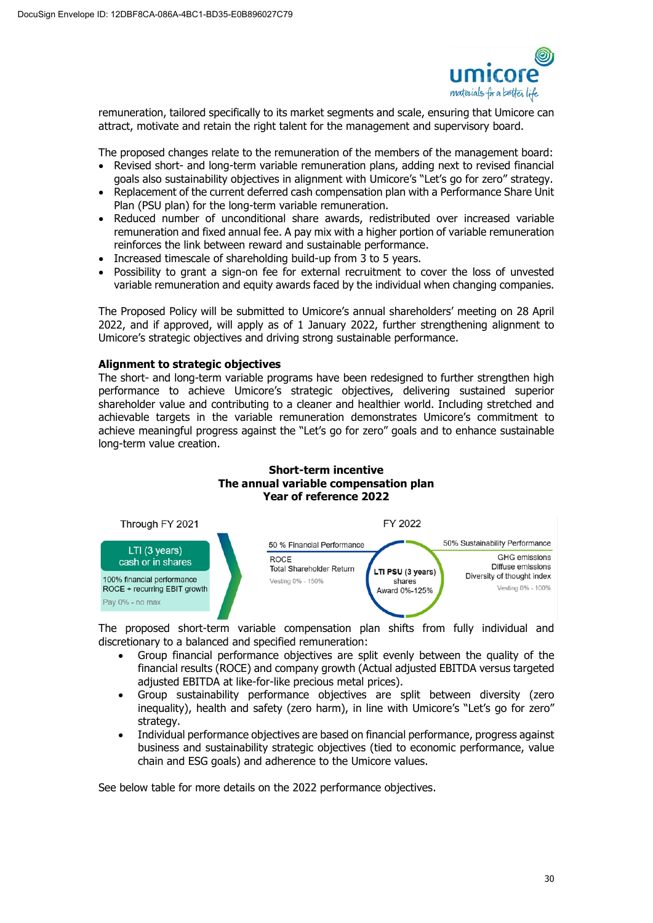

remuneration, tailored specifically to its market segments and scale, ensuring that Umicore can attract, motivate and retain the right talent for the management and supervisory board.

The proposed changes relate to the remuneration of the members of the management board:

- Revised short- and long-term variable remuneration plans, adding next to revised financial goals also sustainability objectives in alignment with Umicore's "Let's go for zero" strategy.
- Replacement of the current deferred cash compensation plan with a Performance Share Unit Plan (PSU plan) for the long-term variable remuneration.
- Reduced number of unconditional share awards, redistributed over increased variable remuneration and fixed annual fee. A pay mix with a higher portion of variable remuneration reinforces the link between reward and sustainable performance.
- Increased timescale of shareholding build-up from 3 to 5 years.
- Possibility to grant a sign-on fee for external recruitment to cover the loss of unvested variable remuneration and equity awards faced by the individual when changing companies.

The Proposed Policy will be submitted to Umicore's annual shareholders' meeting on 28 April 2022, and if approved, will apply as of 1 January 2022, further strengthening alignment to Umicore's strategic objectives and driving strong sustainable performance.

# **Alignment to strategic objectives**

The short- and long-term variable programs have been redesigned to further strengthen high performance to achieve Umicore's strategic objectives, delivering sustained superior shareholder value and contributing to a cleaner and healthier world. Including stretched and achievable targets in the variable remuneration demonstrates Umicore's commitment to achieve meaningful progress against the "Let's go for zero" goals and to enhance sustainable long-term value creation.





The proposed short-term variable compensation plan shifts from fully individual and discretionary to a balanced and specified remuneration:

- Group financial performance objectives are split evenly between the quality of the financial results (ROCE) and company growth (Actual adjusted EBITDA versus targeted adjusted EBITDA at like-for-like precious metal prices).
- Group sustainability performance objectives are split between diversity (zero inequality), health and safety (zero harm), in line with Umicore's "Let's go for zero" strategy.
- Individual performance objectives are based on financial performance, progress against business and sustainability strategic objectives (tied to economic performance, value chain and ESG goals) and adherence to the Umicore values.

See below table for more details on the 2022 performance objectives.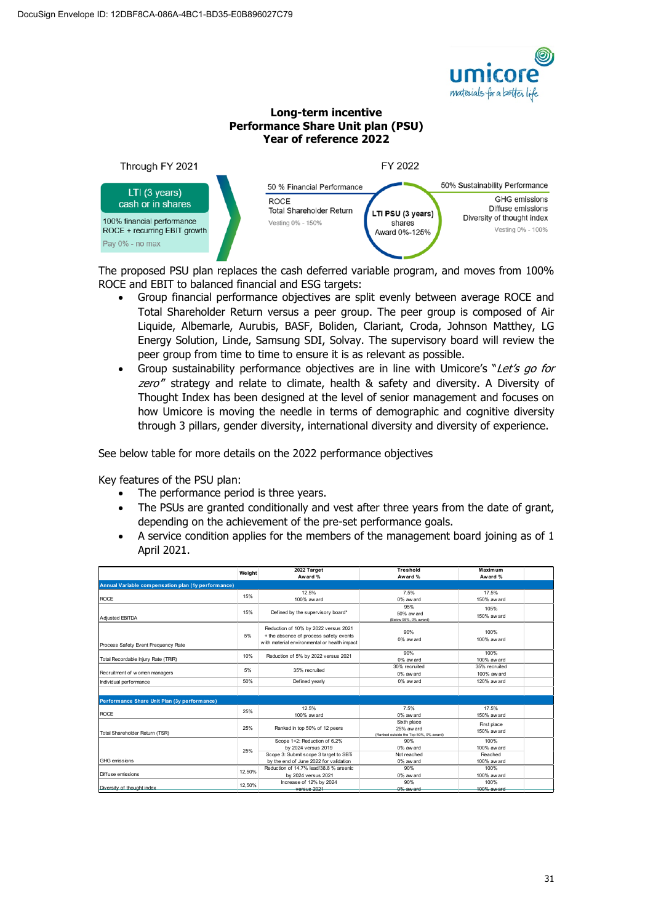

#### **Long-term incentive Performance Share Unit plan (PSU) Year of reference 2022**



The proposed PSU plan replaces the cash deferred variable program, and moves from 100% ROCE and EBIT to balanced financial and ESG targets:

- Group financial performance objectives are split evenly between average ROCE and Total Shareholder Return versus a peer group. The peer group is composed of Air Liquide, Albemarle, Aurubis, BASF, Boliden, Clariant, Croda, Johnson Matthey, LG Energy Solution, Linde, Samsung SDI, Solvay. The supervisory board will review the peer group from time to time to ensure it is as relevant as possible.
- Group sustainability performance objectives are in line with Umicore's "Let's go for zero" strategy and relate to climate, health & safety and diversity. A Diversity of Thought Index has been designed at the level of senior management and focuses on how Umicore is moving the needle in terms of demographic and cognitive diversity through 3 pillars, gender diversity, international diversity and diversity of experience.

See below table for more details on the 2022 performance objectives

Key features of the PSU plan:

- The performance period is three years.
- The PSUs are granted conditionally and vest after three years from the date of grant, depending on the achievement of the pre-set performance goals.
- A service condition applies for the members of the management board joining as of 1 April 2021.

|                                                    | Weight | 2022 Target<br>Award %                                                                                                          | <b>Treshold</b><br>Award %                                          | Maximum<br>Award %             |  |
|----------------------------------------------------|--------|---------------------------------------------------------------------------------------------------------------------------------|---------------------------------------------------------------------|--------------------------------|--|
| Annual Variable compensation plan (1y performance) |        |                                                                                                                                 |                                                                     |                                |  |
| <b>ROCE</b>                                        | 15%    | 12.5%<br>100% aw ard                                                                                                            | 7.5%<br>0% aw ard                                                   | 17.5%<br>150% aw ard           |  |
| Adiusted EBITDA                                    | 15%    | Defined by the supervisory board*                                                                                               | 95%<br>50% aw ard<br>(Below 95%, 0% award)                          | 105%<br>150% aw ard            |  |
| Process Safety Event Frequency Rate                | 5%     | Reduction of 10% by 2022 versus 2021<br>+ the absence of process safety events<br>w ith material environmental or health impact | 90%<br>0% aw ard                                                    | 100%<br>100% aw ard            |  |
| Total Recordable Injury Rate (TRIR)                | 10%    | Reduction of 5% by 2022 versus 2021                                                                                             | 90%<br>0% aw ard                                                    | 100%<br>100% aw ard            |  |
| Recruitment of w omen managers                     | 5%     | 35% recruited                                                                                                                   | 30% recruited<br>0% aw ard                                          | 35% recruited<br>100% aw ard   |  |
| Individual performance                             | 50%    | Defined yearly<br>0% aw ard                                                                                                     |                                                                     | 120% aw ard                    |  |
|                                                    |        |                                                                                                                                 |                                                                     |                                |  |
| Performance Share Unit Plan (3y performance)       |        |                                                                                                                                 |                                                                     |                                |  |
| <b>ROCE</b>                                        | 25%    | 12.5%<br>100% aw ard                                                                                                            | 7.5%<br>0% aw ard                                                   | 17.5%<br>150% aw ard           |  |
| Total Shareholder Return (TSR)                     | 25%    | Ranked in top 50% of 12 peers                                                                                                   | Sixth place<br>25% aw ard<br>(Ranked outside the Top 50%, 0% award) | First place<br>150% aw ard     |  |
|                                                    | 25%    | Scope 1+2: Reduction of 6.2%<br>by 2024 versus 2019<br>Scope 3: Submit scope 3 target to SBTi                                   | 90%<br>0% aw ard<br>Not reached                                     | 100%<br>100% aw ard<br>Reached |  |
| <b>GHG</b> emissions                               |        | by the end of June 2022 for validation                                                                                          | 0% aw ard                                                           | 100% aw ard                    |  |
| Diffuse emissions                                  | 12.50% | Reduction of 14.7% lead/38.8 % arsenic<br>by 2024 versus 2021                                                                   | 90%<br>0% aw ard                                                    | 100%<br>100% aw ard            |  |
| Diversity of thought index                         | 12.50% | Increase of 12% by 2024<br>versus 2021                                                                                          | 90%<br>0% aw ard                                                    | 100%<br>100% aw ard            |  |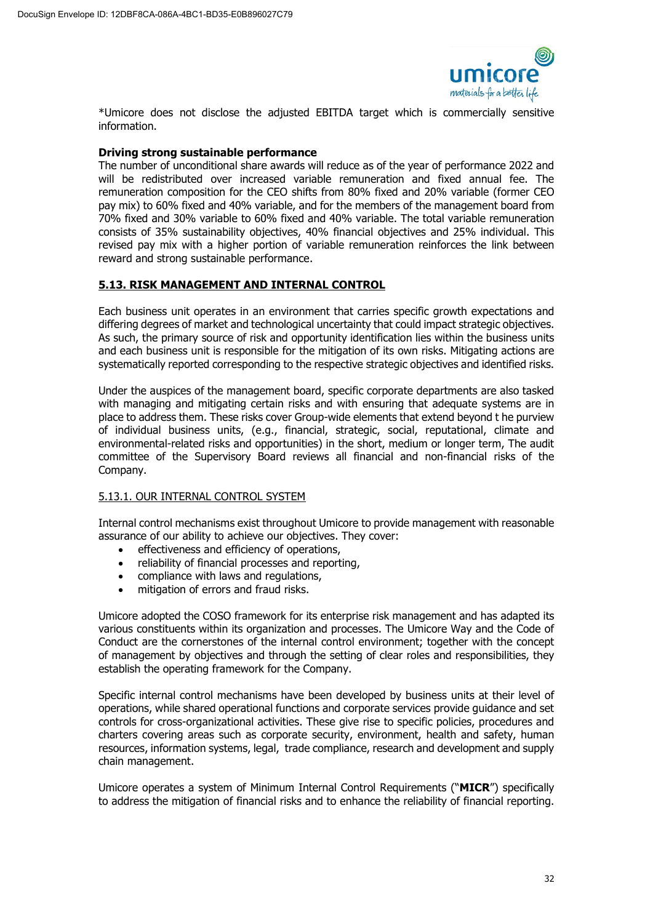

\*Umicore does not disclose the adjusted EBITDA target which is commercially sensitive information.

### **Driving strong sustainable performance**

The number of unconditional share awards will reduce as of the year of performance 2022 and will be redistributed over increased variable remuneration and fixed annual fee. The remuneration composition for the CEO shifts from 80% fixed and 20% variable (former CEO pay mix) to 60% fixed and 40% variable, and for the members of the management board from 70% fixed and 30% variable to 60% fixed and 40% variable. The total variable remuneration consists of 35% sustainability objectives, 40% financial objectives and 25% individual. This revised pay mix with a higher portion of variable remuneration reinforces the link between reward and strong sustainable performance.

# **5.13. RISK MANAGEMENT AND INTERNAL CONTROL**

Each business unit operates in an environment that carries specific growth expectations and differing degrees of market and technological uncertainty that could impact strategic objectives. As such, the primary source of risk and opportunity identification lies within the business units and each business unit is responsible for the mitigation of its own risks. Mitigating actions are systematically reported corresponding to the respective strategic objectives and identified risks.

Under the auspices of the management board, specific corporate departments are also tasked with managing and mitigating certain risks and with ensuring that adequate systems are in place to address them. These risks cover Group-wide elements that extend beyond t he purview of individual business units, (e.g., financial, strategic, social, reputational, climate and environmental-related risks and opportunities) in the short, medium or longer term, The audit committee of the Supervisory Board reviews all financial and non-financial risks of the Company.

# 5.13.1. OUR INTERNAL CONTROL SYSTEM

Internal control mechanisms exist throughout Umicore to provide management with reasonable assurance of our ability to achieve our objectives. They cover:

- effectiveness and efficiency of operations,
- reliability of financial processes and reporting,
- compliance with laws and regulations,
- mitigation of errors and fraud risks.

Umicore adopted the COSO framework for its enterprise risk management and has adapted its various constituents within its organization and processes. The Umicore Way and the Code of Conduct are the cornerstones of the internal control environment; together with the concept of management by objectives and through the setting of clear roles and responsibilities, they establish the operating framework for the Company.

Specific internal control mechanisms have been developed by business units at their level of operations, while shared operational functions and corporate services provide guidance and set controls for cross-organizational activities. These give rise to specific policies, procedures and charters covering areas such as corporate security, environment, health and safety, human resources, information systems, legal, trade compliance, research and development and supply chain management.

Umicore operates a system of Minimum Internal Control Requirements ("**MICR**") specifically to address the mitigation of financial risks and to enhance the reliability of financial reporting.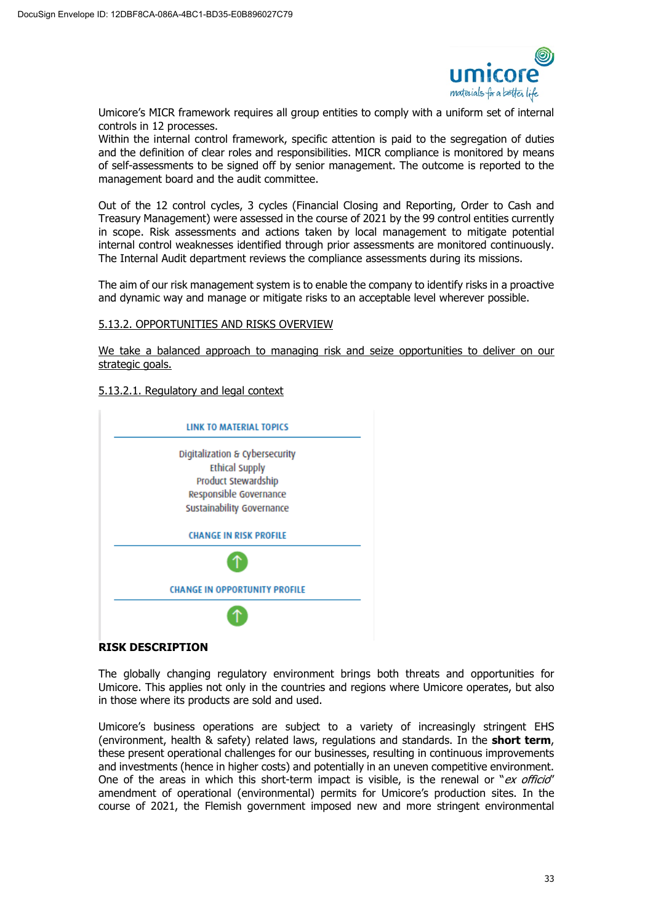

Umicore's MICR framework requires all group entities to comply with a uniform set of internal controls in 12 processes.

Within the internal control framework, specific attention is paid to the segregation of duties and the definition of clear roles and responsibilities. MICR compliance is monitored by means of self-assessments to be signed off by senior management. The outcome is reported to the management board and the audit committee.

Out of the 12 control cycles, 3 cycles (Financial Closing and Reporting, Order to Cash and Treasury Management) were assessed in the course of 2021 by the 99 control entities currently in scope. Risk assessments and actions taken by local management to mitigate potential internal control weaknesses identified through prior assessments are monitored continuously. The Internal Audit department reviews the compliance assessments during its missions.

The aim of our risk management system is to enable the company to identify risks in a proactive and dynamic way and manage or mitigate risks to an acceptable level wherever possible.

#### 5.13.2. OPPORTUNITIES AND RISKS OVERVIEW

We take a balanced approach to managing risk and seize opportunities to deliver on our strategic goals.

### 5.13.2.1. Regulatory and legal context



# **RISK DESCRIPTION**

The globally changing regulatory environment brings both threats and opportunities for Umicore. This applies not only in the countries and regions where Umicore operates, but also in those where its products are sold and used.

Umicore's business operations are subject to a variety of increasingly stringent EHS (environment, health & safety) related laws, regulations and standards. In the **short term**, these present operational challenges for our businesses, resulting in continuous improvements and investments (hence in higher costs) and potentially in an uneven competitive environment. One of the areas in which this short-term impact is visible, is the renewal or " $ex$  officio" amendment of operational (environmental) permits for Umicore's production sites. In the course of 2021, the Flemish government imposed new and more stringent environmental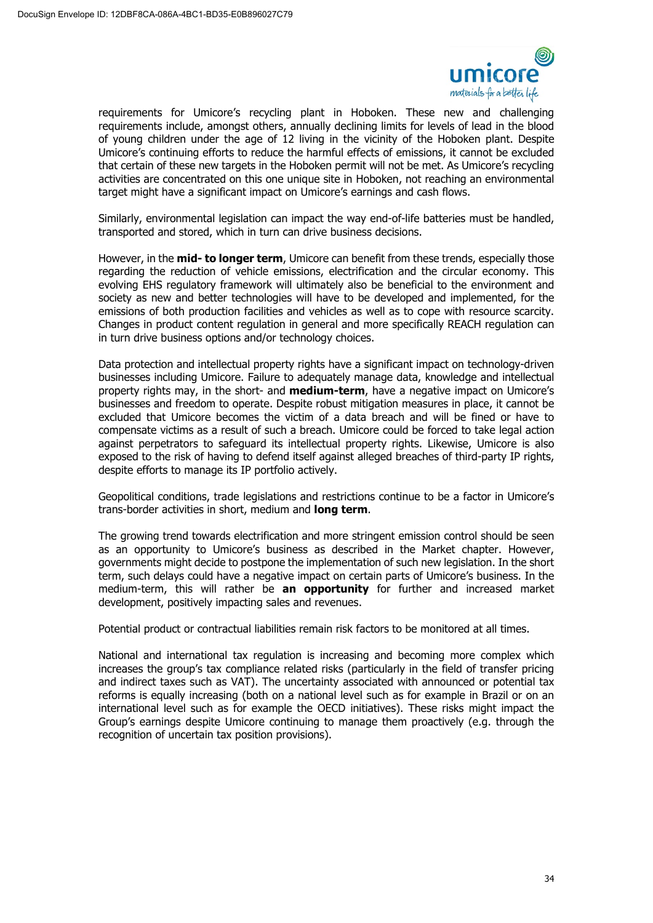

requirements for Umicore's recycling plant in Hoboken. These new and challenging requirements include, amongst others, annually declining limits for levels of lead in the blood of young children under the age of 12 living in the vicinity of the Hoboken plant. Despite Umicore's continuing efforts to reduce the harmful effects of emissions, it cannot be excluded that certain of these new targets in the Hoboken permit will not be met. As Umicore's recycling activities are concentrated on this one unique site in Hoboken, not reaching an environmental target might have a significant impact on Umicore's earnings and cash flows.

Similarly, environmental legislation can impact the way end-of-life batteries must be handled, transported and stored, which in turn can drive business decisions.

However, in the **mid- to longer term**, Umicore can benefit from these trends, especially those regarding the reduction of vehicle emissions, electrification and the circular economy. This evolving EHS regulatory framework will ultimately also be beneficial to the environment and society as new and better technologies will have to be developed and implemented, for the emissions of both production facilities and vehicles as well as to cope with resource scarcity. Changes in product content regulation in general and more specifically REACH regulation can in turn drive business options and/or technology choices.

Data protection and intellectual property rights have a significant impact on technology-driven businesses including Umicore. Failure to adequately manage data, knowledge and intellectual property rights may, in the short- and **medium-term**, have a negative impact on Umicore's businesses and freedom to operate. Despite robust mitigation measures in place, it cannot be excluded that Umicore becomes the victim of a data breach and will be fined or have to compensate victims as a result of such a breach. Umicore could be forced to take legal action against perpetrators to safeguard its intellectual property rights. Likewise, Umicore is also exposed to the risk of having to defend itself against alleged breaches of third-party IP rights, despite efforts to manage its IP portfolio actively.

Geopolitical conditions, trade legislations and restrictions continue to be a factor in Umicore's trans-border activities in short, medium and **long term**.

The growing trend towards electrification and more stringent emission control should be seen as an opportunity to Umicore's business as described in the Market chapter. However, governments might decide to postpone the implementation of such new legislation. In the short term, such delays could have a negative impact on certain parts of Umicore's business. In the medium-term, this will rather be **an opportunity** for further and increased market development, positively impacting sales and revenues.

Potential product or contractual liabilities remain risk factors to be monitored at all times.

National and international tax regulation is increasing and becoming more complex which increases the group's tax compliance related risks (particularly in the field of transfer pricing and indirect taxes such as VAT). The uncertainty associated with announced or potential tax reforms is equally increasing (both on a national level such as for example in Brazil or on an international level such as for example the OECD initiatives). These risks might impact the Group's earnings despite Umicore continuing to manage them proactively (e.g. through the recognition of uncertain tax position provisions).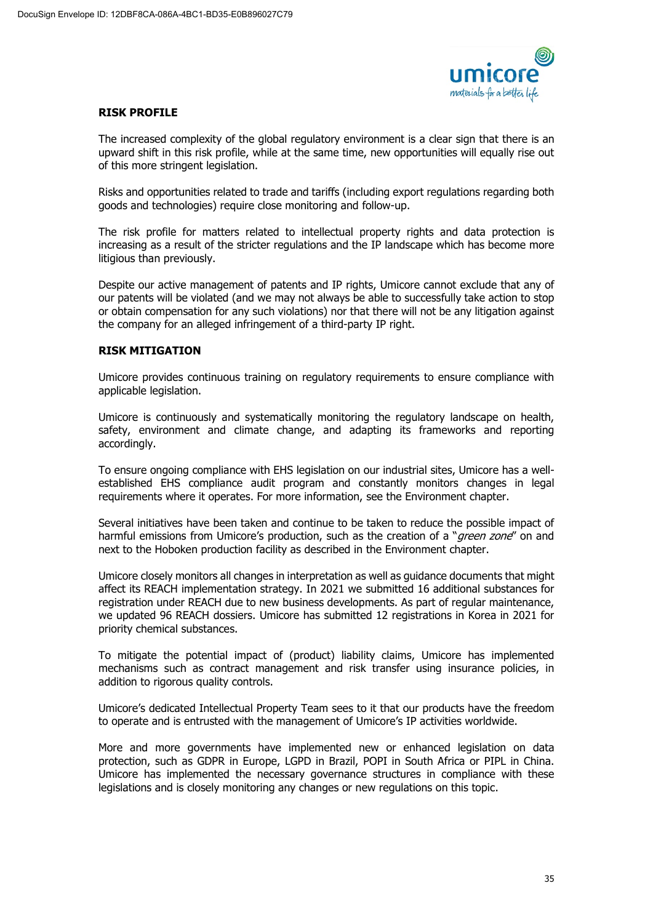

### **RISK PROFILE**

The increased complexity of the global regulatory environment is a clear sign that there is an upward shift in this risk profile, while at the same time, new opportunities will equally rise out of this more stringent legislation.

Risks and opportunities related to trade and tariffs (including export regulations regarding both goods and technologies) require close monitoring and follow-up.

The risk profile for matters related to intellectual property rights and data protection is increasing as a result of the stricter regulations and the IP landscape which has become more litigious than previously.

Despite our active management of patents and IP rights, Umicore cannot exclude that any of our patents will be violated (and we may not always be able to successfully take action to stop or obtain compensation for any such violations) nor that there will not be any litigation against the company for an alleged infringement of a third-party IP right.

### **RISK MITIGATION**

Umicore provides continuous training on regulatory requirements to ensure compliance with applicable legislation.

Umicore is continuously and systematically monitoring the regulatory landscape on health, safety, environment and climate change, and adapting its frameworks and reporting accordingly.

To ensure ongoing compliance with EHS legislation on our industrial sites, Umicore has a wellestablished EHS compliance audit program and constantly monitors changes in legal requirements where it operates. For more information, see the Environment chapter.

Several initiatives have been taken and continue to be taken to reduce the possible impact of harmful emissions from Umicore's production, such as the creation of a "*green zone*" on and next to the Hoboken production facility as described in the Environment chapter.

Umicore closely monitors all changes in interpretation as well as guidance documents that might affect its REACH implementation strategy. In 2021 we submitted 16 additional substances for registration under REACH due to new business developments. As part of regular maintenance, we updated 96 REACH dossiers. Umicore has submitted 12 registrations in Korea in 2021 for priority chemical substances.

To mitigate the potential impact of (product) liability claims, Umicore has implemented mechanisms such as contract management and risk transfer using insurance policies, in addition to rigorous quality controls.

Umicore's dedicated Intellectual Property Team sees to it that our products have the freedom to operate and is entrusted with the management of Umicore's IP activities worldwide.

More and more governments have implemented new or enhanced legislation on data protection, such as GDPR in Europe, LGPD in Brazil, POPI in South Africa or PIPL in China. Umicore has implemented the necessary governance structures in compliance with these legislations and is closely monitoring any changes or new regulations on this topic.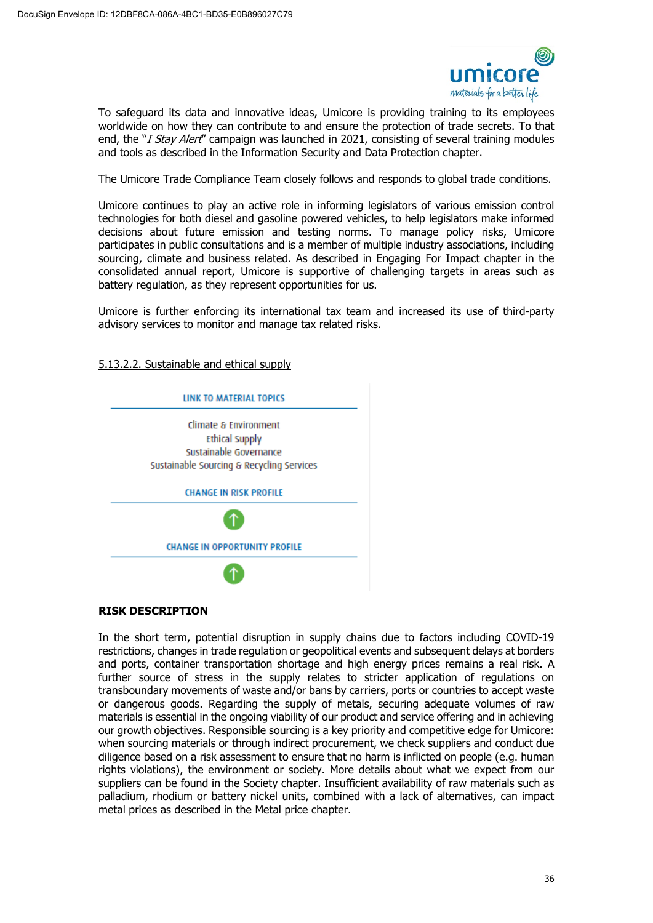

To safeguard its data and innovative ideas, Umicore is providing training to its employees worldwide on how they can contribute to and ensure the protection of trade secrets. To that end, the "I Stay Alert" campaign was launched in 2021, consisting of several training modules and tools as described in the Information Security and Data Protection chapter.

The Umicore Trade Compliance Team closely follows and responds to global trade conditions.

Umicore continues to play an active role in informing legislators of various emission control technologies for both diesel and gasoline powered vehicles, to help legislators make informed decisions about future emission and testing norms. To manage policy risks, Umicore participates in public consultations and is a member of multiple industry associations, including sourcing, climate and business related. As described in Engaging For Impact chapter in the consolidated annual report, Umicore is supportive of challenging targets in areas such as battery regulation, as they represent opportunities for us.

Umicore is further enforcing its international tax team and increased its use of third-party advisory services to monitor and manage tax related risks.

5.13.2.2. Sustainable and ethical supply



# **RISK DESCRIPTION**

In the short term, potential disruption in supply chains due to factors including COVID-19 restrictions, changes in trade regulation or geopolitical events and subsequent delays at borders and ports, container transportation shortage and high energy prices remains a real risk. A further source of stress in the supply relates to stricter application of regulations on transboundary movements of waste and/or bans by carriers, ports or countries to accept waste or dangerous goods. Regarding the supply of metals, securing adequate volumes of raw materials is essential in the ongoing viability of our product and service offering and in achieving our growth objectives. Responsible sourcing is a key priority and competitive edge for Umicore: when sourcing materials or through indirect procurement, we check suppliers and conduct due diligence based on a risk assessment to ensure that no harm is inflicted on people (e.g. human rights violations), the environment or society. More details about what we expect from our suppliers can be found in the Society chapter. Insufficient availability of raw materials such as palladium, rhodium or battery nickel units, combined with a lack of alternatives, can impact metal prices as described in the Metal price chapter.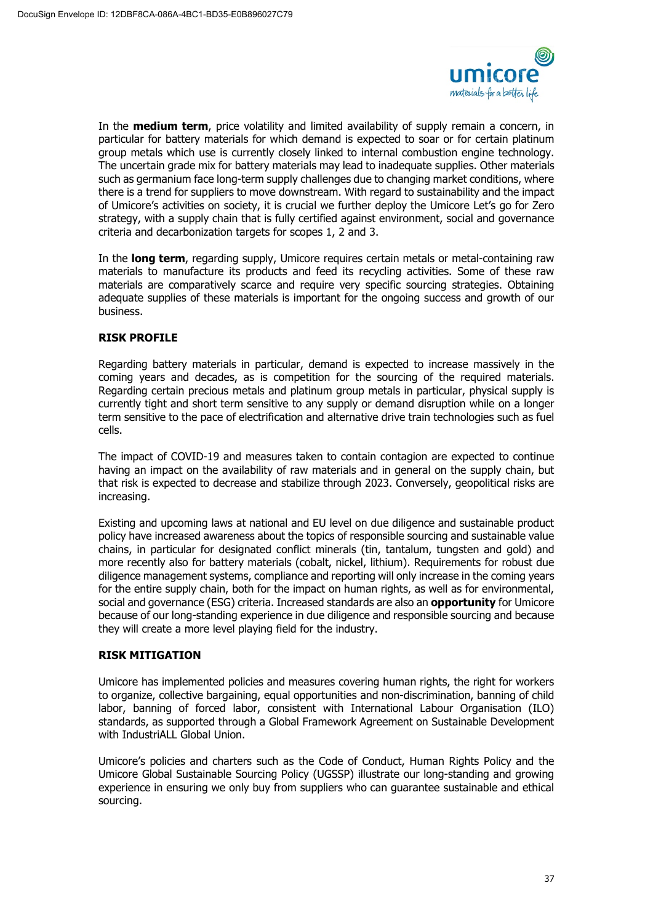

In the **medium term**, price volatility and limited availability of supply remain a concern, in particular for battery materials for which demand is expected to soar or for certain platinum group metals which use is currently closely linked to internal combustion engine technology. The uncertain grade mix for battery materials may lead to inadequate supplies. Other materials such as germanium face long-term supply challenges due to changing market conditions, where there is a trend for suppliers to move downstream. With regard to sustainability and the impact of Umicore's activities on society, it is crucial we further deploy the Umicore Let's go for Zero strategy, with a supply chain that is fully certified against environment, social and governance criteria and decarbonization targets for scopes 1, 2 and 3.

In the **long term**, regarding supply, Umicore requires certain metals or metal-containing raw materials to manufacture its products and feed its recycling activities. Some of these raw materials are comparatively scarce and require very specific sourcing strategies. Obtaining adequate supplies of these materials is important for the ongoing success and growth of our business.

# **RISK PROFILE**

Regarding battery materials in particular, demand is expected to increase massively in the coming years and decades, as is competition for the sourcing of the required materials. Regarding certain precious metals and platinum group metals in particular, physical supply is currently tight and short term sensitive to any supply or demand disruption while on a longer term sensitive to the pace of electrification and alternative drive train technologies such as fuel cells.

The impact of COVID-19 and measures taken to contain contagion are expected to continue having an impact on the availability of raw materials and in general on the supply chain, but that risk is expected to decrease and stabilize through 2023. Conversely, geopolitical risks are increasing.

Existing and upcoming laws at national and EU level on due diligence and sustainable product policy have increased awareness about the topics of responsible sourcing and sustainable value chains, in particular for designated conflict minerals (tin, tantalum, tungsten and gold) and more recently also for battery materials (cobalt, nickel, lithium). Requirements for robust due diligence management systems, compliance and reporting will only increase in the coming years for the entire supply chain, both for the impact on human rights, as well as for environmental, social and governance (ESG) criteria. Increased standards are also an **opportunity** for Umicore because of our long-standing experience in due diligence and responsible sourcing and because they will create a more level playing field for the industry.

# **RISK MITIGATION**

Umicore has implemented policies and measures covering human rights, the right for workers to organize, collective bargaining, equal opportunities and non-discrimination, banning of child labor, banning of forced labor, consistent with International Labour Organisation (ILO) standards, as supported through a Global Framework Agreement on Sustainable Development with IndustriALL Global Union.

Umicore's policies and charters such as the Code of Conduct, Human Rights Policy and the Umicore Global Sustainable Sourcing Policy (UGSSP) illustrate our long-standing and growing experience in ensuring we only buy from suppliers who can guarantee sustainable and ethical sourcing.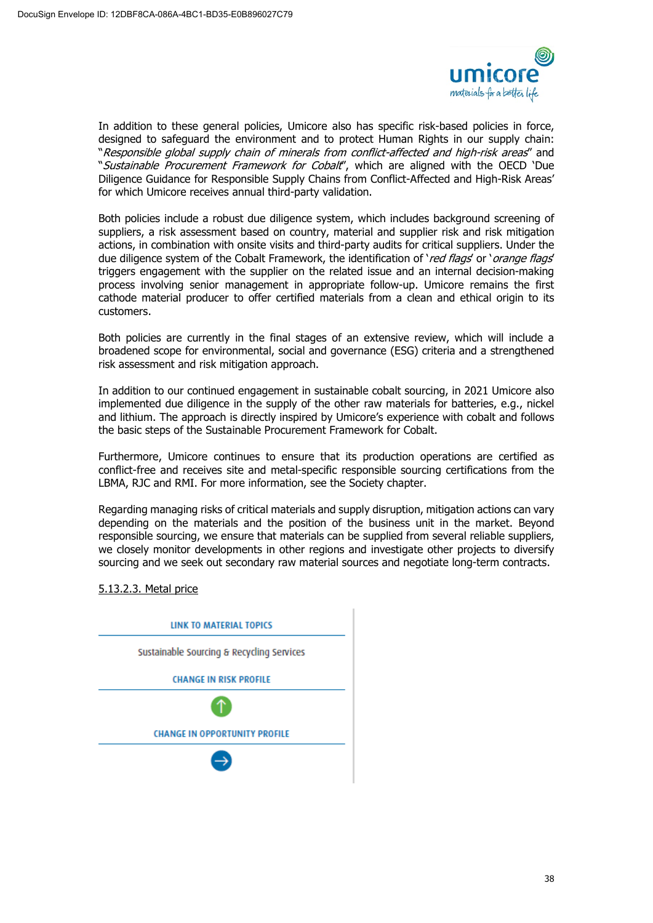

In addition to these general policies, Umicore also has specific risk-based policies in force, designed to safeguard the environment and to protect Human Rights in our supply chain: "Responsible global supply chain of minerals from conflict-affected and high-risk areas" and "Sustainable Procurement Framework for Cobalt", which are aligned with the OECD 'Due Diligence Guidance for Responsible Supply Chains from Conflict-Affected and High-Risk Areas' for which Umicore receives annual third-party validation.

Both policies include a robust due diligence system, which includes background screening of suppliers, a risk assessment based on country, material and supplier risk and risk mitigation actions, in combination with onsite visits and third-party audits for critical suppliers. Under the due diligence system of the Cobalt Framework, the identification of 'red flags' or 'orange flags' triggers engagement with the supplier on the related issue and an internal decision-making process involving senior management in appropriate follow-up. Umicore remains the first cathode material producer to offer certified materials from a clean and ethical origin to its customers.

Both policies are currently in the final stages of an extensive review, which will include a broadened scope for environmental, social and governance (ESG) criteria and a strengthened risk assessment and risk mitigation approach.

In addition to our continued engagement in sustainable cobalt sourcing, in 2021 Umicore also implemented due diligence in the supply of the other raw materials for batteries, e.g., nickel and lithium. The approach is directly inspired by Umicore's experience with cobalt and follows the basic steps of the Sustainable Procurement Framework for Cobalt.

Furthermore, Umicore continues to ensure that its production operations are certified as conflict-free and receives site and metal-specific responsible sourcing certifications from the LBMA, RJC and RMI. For more information, see the Society chapter.

Regarding managing risks of critical materials and supply disruption, mitigation actions can vary depending on the materials and the position of the business unit in the market. Beyond responsible sourcing, we ensure that materials can be supplied from several reliable suppliers, we closely monitor developments in other regions and investigate other projects to diversify sourcing and we seek out secondary raw material sources and negotiate long-term contracts.

# 5.13.2.3. Metal price

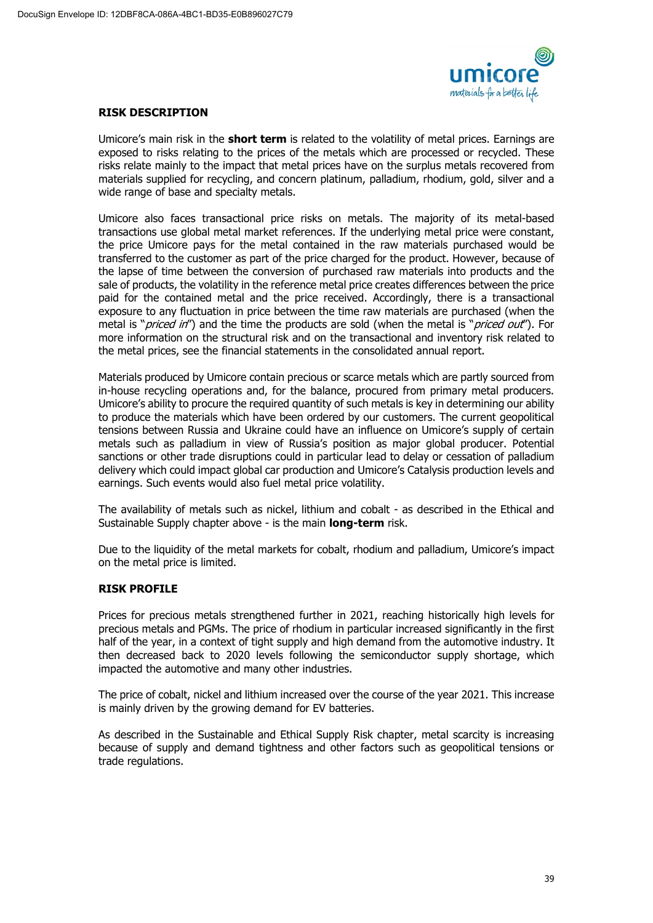

### **RISK DESCRIPTION**

Umicore's main risk in the **short term** is related to the volatility of metal prices. Earnings are exposed to risks relating to the prices of the metals which are processed or recycled. These risks relate mainly to the impact that metal prices have on the surplus metals recovered from materials supplied for recycling, and concern platinum, palladium, rhodium, gold, silver and a wide range of base and specialty metals.

Umicore also faces transactional price risks on metals. The majority of its metal-based transactions use global metal market references. If the underlying metal price were constant, the price Umicore pays for the metal contained in the raw materials purchased would be transferred to the customer as part of the price charged for the product. However, because of the lapse of time between the conversion of purchased raw materials into products and the sale of products, the volatility in the reference metal price creates differences between the price paid for the contained metal and the price received. Accordingly, there is a transactional exposure to any fluctuation in price between the time raw materials are purchased (when the metal is "*priced in*") and the time the products are sold (when the metal is "*priced out*"). For more information on the structural risk and on the transactional and inventory risk related to the metal prices, see the financial statements in the consolidated annual report.

Materials produced by Umicore contain precious or scarce metals which are partly sourced from in-house recycling operations and, for the balance, procured from primary metal producers. Umicore's ability to procure the required quantity of such metals is key in determining our ability to produce the materials which have been ordered by our customers. The current geopolitical tensions between Russia and Ukraine could have an influence on Umicore's supply of certain metals such as palladium in view of Russia's position as major global producer. Potential sanctions or other trade disruptions could in particular lead to delay or cessation of palladium delivery which could impact global car production and Umicore's Catalysis production levels and earnings. Such events would also fuel metal price volatility.

The availability of metals such as nickel, lithium and cobalt - as described in the Ethical and Sustainable Supply chapter above - is the main **long-term** risk.

Due to the liquidity of the metal markets for cobalt, rhodium and palladium, Umicore's impact on the metal price is limited.

# **RISK PROFILE**

Prices for precious metals strengthened further in 2021, reaching historically high levels for precious metals and PGMs. The price of rhodium in particular increased significantly in the first half of the year, in a context of tight supply and high demand from the automotive industry. It then decreased back to 2020 levels following the semiconductor supply shortage, which impacted the automotive and many other industries.

The price of cobalt, nickel and lithium increased over the course of the year 2021. This increase is mainly driven by the growing demand for EV batteries.

As described in the Sustainable and Ethical Supply Risk chapter, metal scarcity is increasing because of supply and demand tightness and other factors such as geopolitical tensions or trade regulations.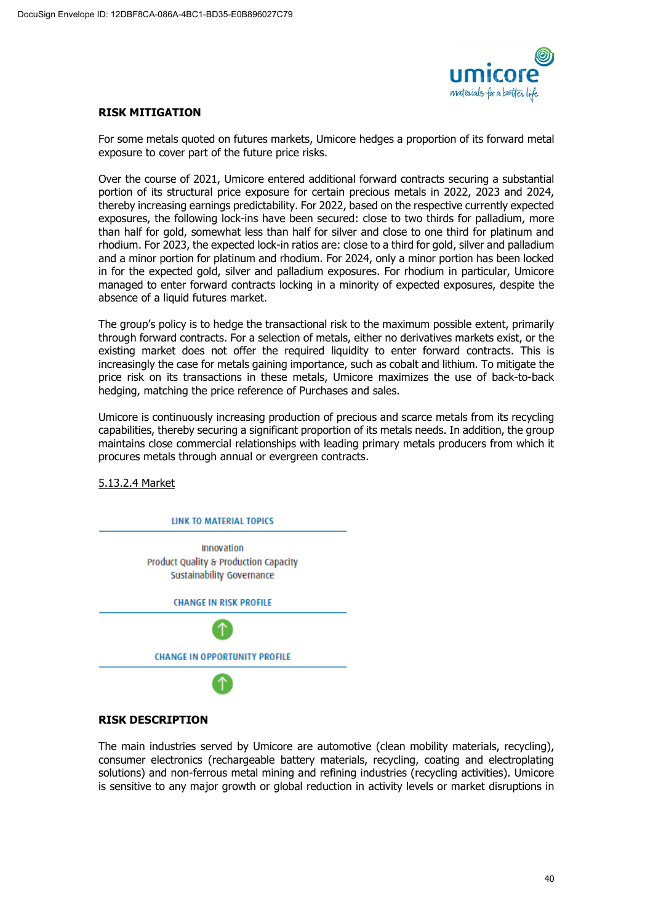

### **RISK MITIGATION**

For some metals quoted on futures markets, Umicore hedges a proportion of its forward metal exposure to cover part of the future price risks.

Over the course of 2021, Umicore entered additional forward contracts securing a substantial portion of its structural price exposure for certain precious metals in 2022, 2023 and 2024, thereby increasing earnings predictability. For 2022, based on the respective currently expected exposures, the following lock-ins have been secured: close to two thirds for palladium, more than half for gold, somewhat less than half for silver and close to one third for platinum and rhodium. For 2023, the expected lock-in ratios are: close to a third for gold, silver and palladium and a minor portion for platinum and rhodium. For 2024, only a minor portion has been locked in for the expected gold, silver and palladium exposures. For rhodium in particular, Umicore managed to enter forward contracts locking in a minority of expected exposures, despite the absence of a liquid futures market.

The group's policy is to hedge the transactional risk to the maximum possible extent, primarily through forward contracts. For a selection of metals, either no derivatives markets exist, or the existing market does not offer the required liquidity to enter forward contracts. This is increasingly the case for metals gaining importance, such as cobalt and lithium. To mitigate the price risk on its transactions in these metals, Umicore maximizes the use of back-to-back hedging, matching the price reference of Purchases and sales.

Umicore is continuously increasing production of precious and scarce metals from its recycling capabilities, thereby securing a significant proportion of its metals needs. In addition, the group maintains close commercial relationships with leading primary metals producers from which it procures metals through annual or evergreen contracts.

5.13.2.4 Market



# **RISK DESCRIPTION**

The main industries served by Umicore are automotive (clean mobility materials, recycling), consumer electronics (rechargeable battery materials, recycling, coating and electroplating solutions) and non-ferrous metal mining and refining industries (recycling activities). Umicore is sensitive to any major growth or global reduction in activity levels or market disruptions in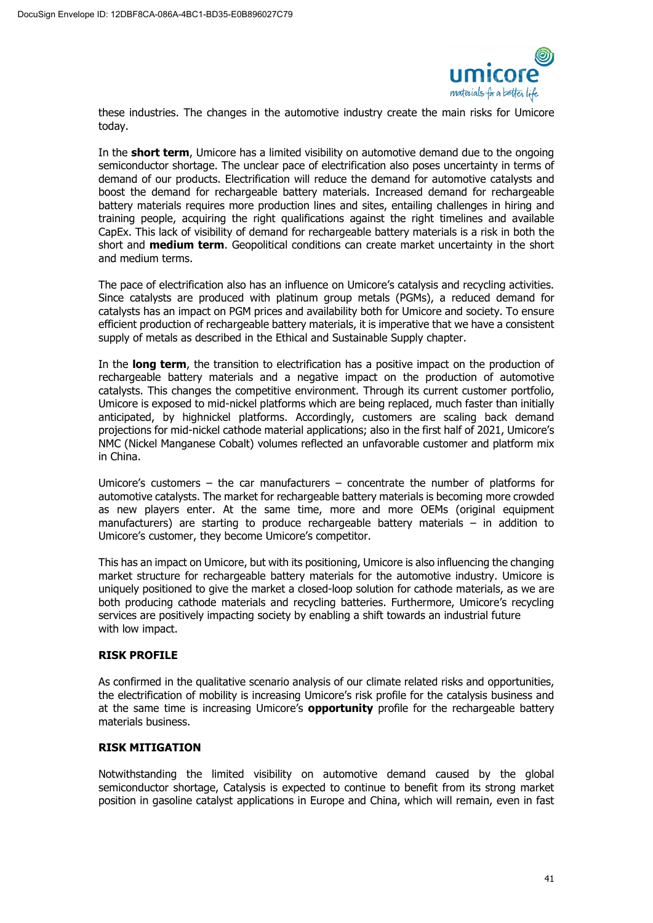

these industries. The changes in the automotive industry create the main risks for Umicore today.

In the **short term**, Umicore has a limited visibility on automotive demand due to the ongoing semiconductor shortage. The unclear pace of electrification also poses uncertainty in terms of demand of our products. Electrification will reduce the demand for automotive catalysts and boost the demand for rechargeable battery materials. Increased demand for rechargeable battery materials requires more production lines and sites, entailing challenges in hiring and training people, acquiring the right qualifications against the right timelines and available CapEx. This lack of visibility of demand for rechargeable battery materials is a risk in both the short and **medium term**. Geopolitical conditions can create market uncertainty in the short and medium terms.

The pace of electrification also has an influence on Umicore's catalysis and recycling activities. Since catalysts are produced with platinum group metals (PGMs), a reduced demand for catalysts has an impact on PGM prices and availability both for Umicore and society. To ensure efficient production of rechargeable battery materials, it is imperative that we have a consistent supply of metals as described in the Ethical and Sustainable Supply chapter.

In the **long term**, the transition to electrification has a positive impact on the production of rechargeable battery materials and a negative impact on the production of automotive catalysts. This changes the competitive environment. Through its current customer portfolio, Umicore is exposed to mid-nickel platforms which are being replaced, much faster than initially anticipated, by highnickel platforms. Accordingly, customers are scaling back demand projections for mid-nickel cathode material applications; also in the first half of 2021, Umicore's NMC (Nickel Manganese Cobalt) volumes reflected an unfavorable customer and platform mix in China.

Umicore's customers – the car manufacturers – concentrate the number of platforms for automotive catalysts. The market for rechargeable battery materials is becoming more crowded as new players enter. At the same time, more and more OEMs (original equipment manufacturers) are starting to produce rechargeable battery materials – in addition to Umicore's customer, they become Umicore's competitor.

This has an impact on Umicore, but with its positioning, Umicore is also influencing the changing market structure for rechargeable battery materials for the automotive industry. Umicore is uniquely positioned to give the market a closed-loop solution for cathode materials, as we are both producing cathode materials and recycling batteries. Furthermore, Umicore's recycling services are positively impacting society by enabling a shift towards an industrial future with low impact.

# **RISK PROFILE**

As confirmed in the qualitative scenario analysis of our climate related risks and opportunities, the electrification of mobility is increasing Umicore's risk profile for the catalysis business and at the same time is increasing Umicore's **opportunity** profile for the rechargeable battery materials business.

#### **RISK MITIGATION**

Notwithstanding the limited visibility on automotive demand caused by the global semiconductor shortage, Catalysis is expected to continue to benefit from its strong market position in gasoline catalyst applications in Europe and China, which will remain, even in fast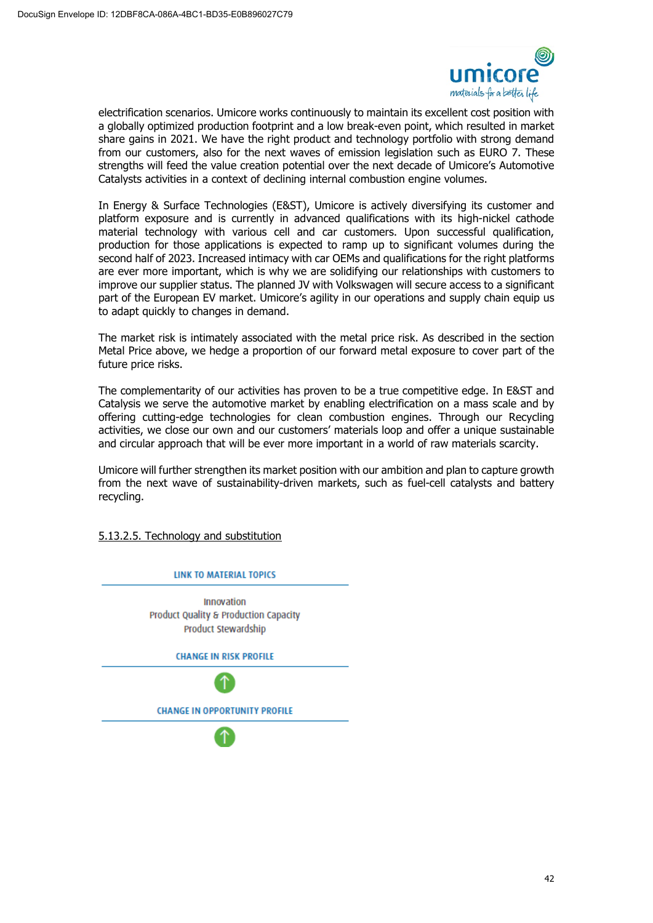

electrification scenarios. Umicore works continuously to maintain its excellent cost position with a globally optimized production footprint and a low break-even point, which resulted in market share gains in 2021. We have the right product and technology portfolio with strong demand from our customers, also for the next waves of emission legislation such as EURO 7. These strengths will feed the value creation potential over the next decade of Umicore's Automotive Catalysts activities in a context of declining internal combustion engine volumes.

In Energy & Surface Technologies (E&ST), Umicore is actively diversifying its customer and platform exposure and is currently in advanced qualifications with its high-nickel cathode material technology with various cell and car customers. Upon successful qualification, production for those applications is expected to ramp up to significant volumes during the second half of 2023. Increased intimacy with car OEMs and qualifications for the right platforms are ever more important, which is why we are solidifying our relationships with customers to improve our supplier status. The planned JV with Volkswagen will secure access to a significant part of the European EV market. Umicore's agility in our operations and supply chain equip us to adapt quickly to changes in demand.

The market risk is intimately associated with the metal price risk. As described in the section Metal Price above, we hedge a proportion of our forward metal exposure to cover part of the future price risks.

The complementarity of our activities has proven to be a true competitive edge. In E&ST and Catalysis we serve the automotive market by enabling electrification on a mass scale and by offering cutting-edge technologies for clean combustion engines. Through our Recycling activities, we close our own and our customers' materials loop and offer a unique sustainable and circular approach that will be ever more important in a world of raw materials scarcity.

Umicore will further strengthen its market position with our ambition and plan to capture growth from the next wave of sustainability-driven markets, such as fuel-cell catalysts and battery recycling.

5.13.2.5. Technology and substitution

**IINK TO MATERIAL TOPICS** 

Innovation Product Quality & Production Capacity Product Stewardship

**CHANGE IN RISK PROFILE** 

**CHANGE IN OPPORTUNITY PROFILE**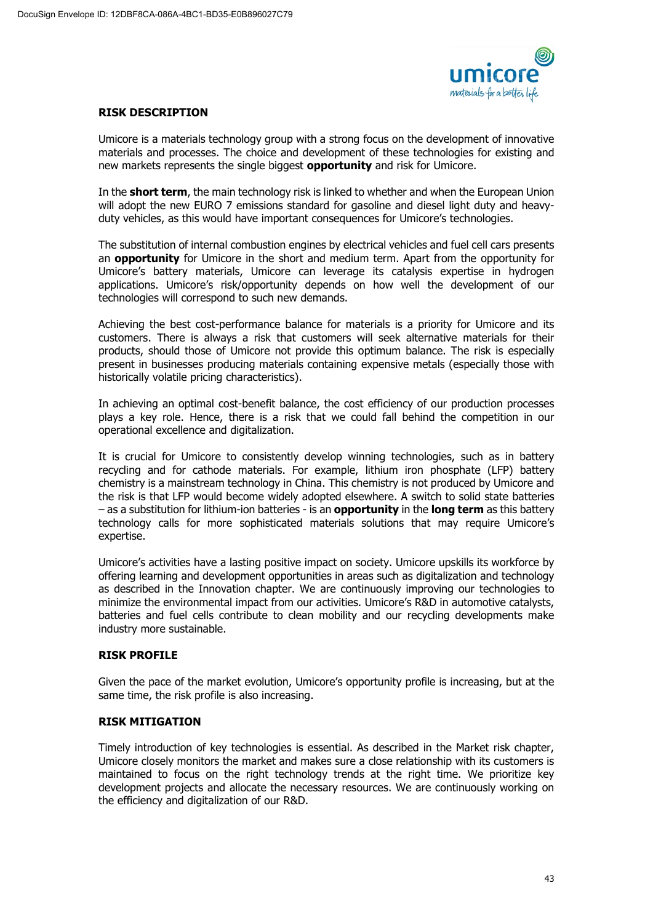

### **RISK DESCRIPTION**

Umicore is a materials technology group with a strong focus on the development of innovative materials and processes. The choice and development of these technologies for existing and new markets represents the single biggest **opportunity** and risk for Umicore.

In the **short term**, the main technology risk is linked to whether and when the European Union will adopt the new EURO 7 emissions standard for gasoline and diesel light duty and heavyduty vehicles, as this would have important consequences for Umicore's technologies.

The substitution of internal combustion engines by electrical vehicles and fuel cell cars presents an **opportunity** for Umicore in the short and medium term. Apart from the opportunity for Umicore's battery materials, Umicore can leverage its catalysis expertise in hydrogen applications. Umicore's risk/opportunity depends on how well the development of our technologies will correspond to such new demands.

Achieving the best cost-performance balance for materials is a priority for Umicore and its customers. There is always a risk that customers will seek alternative materials for their products, should those of Umicore not provide this optimum balance. The risk is especially present in businesses producing materials containing expensive metals (especially those with historically volatile pricing characteristics).

In achieving an optimal cost-benefit balance, the cost efficiency of our production processes plays a key role. Hence, there is a risk that we could fall behind the competition in our operational excellence and digitalization.

It is crucial for Umicore to consistently develop winning technologies, such as in battery recycling and for cathode materials. For example, lithium iron phosphate (LFP) battery chemistry is a mainstream technology in China. This chemistry is not produced by Umicore and the risk is that LFP would become widely adopted elsewhere. A switch to solid state batteries – as a substitution for lithium-ion batteries - is an **opportunity** in the **long term** as this battery technology calls for more sophisticated materials solutions that may require Umicore's expertise.

Umicore's activities have a lasting positive impact on society. Umicore upskills its workforce by offering learning and development opportunities in areas such as digitalization and technology as described in the Innovation chapter. We are continuously improving our technologies to minimize the environmental impact from our activities. Umicore's R&D in automotive catalysts, batteries and fuel cells contribute to clean mobility and our recycling developments make industry more sustainable.

# **RISK PROFILE**

Given the pace of the market evolution, Umicore's opportunity profile is increasing, but at the same time, the risk profile is also increasing.

# **RISK MITIGATION**

Timely introduction of key technologies is essential. As described in the Market risk chapter, Umicore closely monitors the market and makes sure a close relationship with its customers is maintained to focus on the right technology trends at the right time. We prioritize key development projects and allocate the necessary resources. We are continuously working on the efficiency and digitalization of our R&D.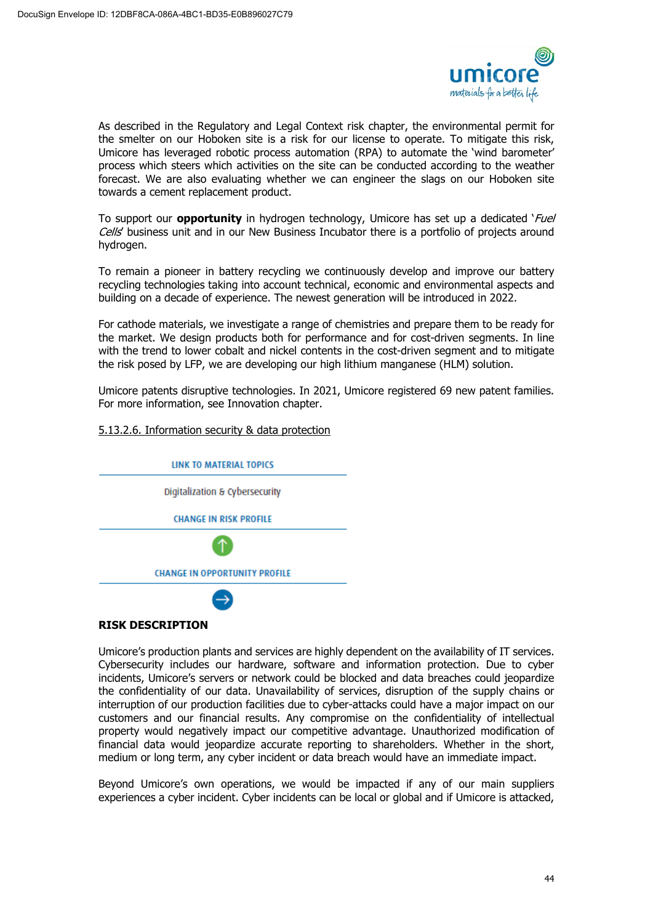

As described in the Regulatory and Legal Context risk chapter, the environmental permit for the smelter on our Hoboken site is a risk for our license to operate. To mitigate this risk, Umicore has leveraged robotic process automation (RPA) to automate the 'wind barometer' process which steers which activities on the site can be conducted according to the weather forecast. We are also evaluating whether we can engineer the slags on our Hoboken site towards a cement replacement product.

To support our **opportunity** in hydrogen technology, Umicore has set up a dedicated 'Fuel Cells' business unit and in our New Business Incubator there is a portfolio of projects around hydrogen.

To remain a pioneer in battery recycling we continuously develop and improve our battery recycling technologies taking into account technical, economic and environmental aspects and building on a decade of experience. The newest generation will be introduced in 2022.

For cathode materials, we investigate a range of chemistries and prepare them to be ready for the market. We design products both for performance and for cost-driven segments. In line with the trend to lower cobalt and nickel contents in the cost-driven segment and to mitigate the risk posed by LFP, we are developing our high lithium manganese (HLM) solution.

Umicore patents disruptive technologies. In 2021, Umicore registered 69 new patent families. For more information, see Innovation chapter.

# 5.13.2.6. Information security & data protection



# **RISK DESCRIPTION**

Umicore's production plants and services are highly dependent on the availability of IT services. Cybersecurity includes our hardware, software and information protection. Due to cyber incidents, Umicore's servers or network could be blocked and data breaches could jeopardize the confidentiality of our data. Unavailability of services, disruption of the supply chains or interruption of our production facilities due to cyber-attacks could have a major impact on our customers and our financial results. Any compromise on the confidentiality of intellectual property would negatively impact our competitive advantage. Unauthorized modification of financial data would jeopardize accurate reporting to shareholders. Whether in the short, medium or long term, any cyber incident or data breach would have an immediate impact.

Beyond Umicore's own operations, we would be impacted if any of our main suppliers experiences a cyber incident. Cyber incidents can be local or global and if Umicore is attacked,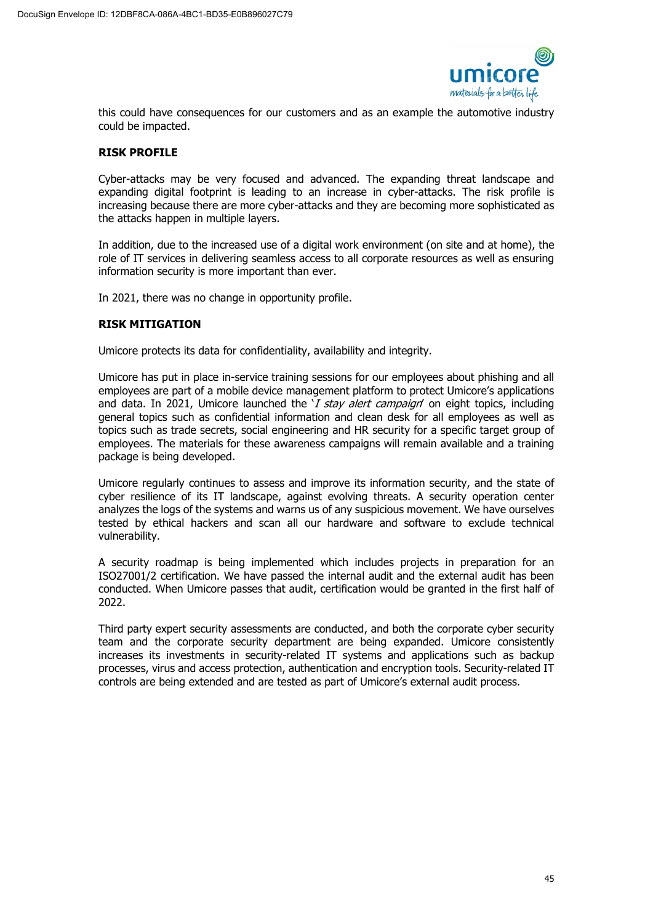

this could have consequences for our customers and as an example the automotive industry could be impacted.

# **RISK PROFILE**

Cyber-attacks may be very focused and advanced. The expanding threat landscape and expanding digital footprint is leading to an increase in cyber-attacks. The risk profile is increasing because there are more cyber-attacks and they are becoming more sophisticated as the attacks happen in multiple layers.

In addition, due to the increased use of a digital work environment (on site and at home), the role of IT services in delivering seamless access to all corporate resources as well as ensuring information security is more important than ever.

In 2021, there was no change in opportunity profile.

# **RISK MITIGATION**

Umicore protects its data for confidentiality, availability and integrity.

Umicore has put in place in-service training sessions for our employees about phishing and all employees are part of a mobile device management platform to protect Umicore's applications and data. In 2021, Umicore launched the  $Y$  stay alert campaign' on eight topics, including general topics such as confidential information and clean desk for all employees as well as topics such as trade secrets, social engineering and HR security for a specific target group of employees. The materials for these awareness campaigns will remain available and a training package is being developed.

Umicore regularly continues to assess and improve its information security, and the state of cyber resilience of its IT landscape, against evolving threats. A security operation center analyzes the logs of the systems and warns us of any suspicious movement. We have ourselves tested by ethical hackers and scan all our hardware and software to exclude technical vulnerability.

A security roadmap is being implemented which includes projects in preparation for an ISO27001/2 certification. We have passed the internal audit and the external audit has been conducted. When Umicore passes that audit, certification would be granted in the first half of 2022.

Third party expert security assessments are conducted, and both the corporate cyber security team and the corporate security department are being expanded. Umicore consistently increases its investments in security-related IT systems and applications such as backup processes, virus and access protection, authentication and encryption tools. Security-related IT controls are being extended and are tested as part of Umicore's external audit process.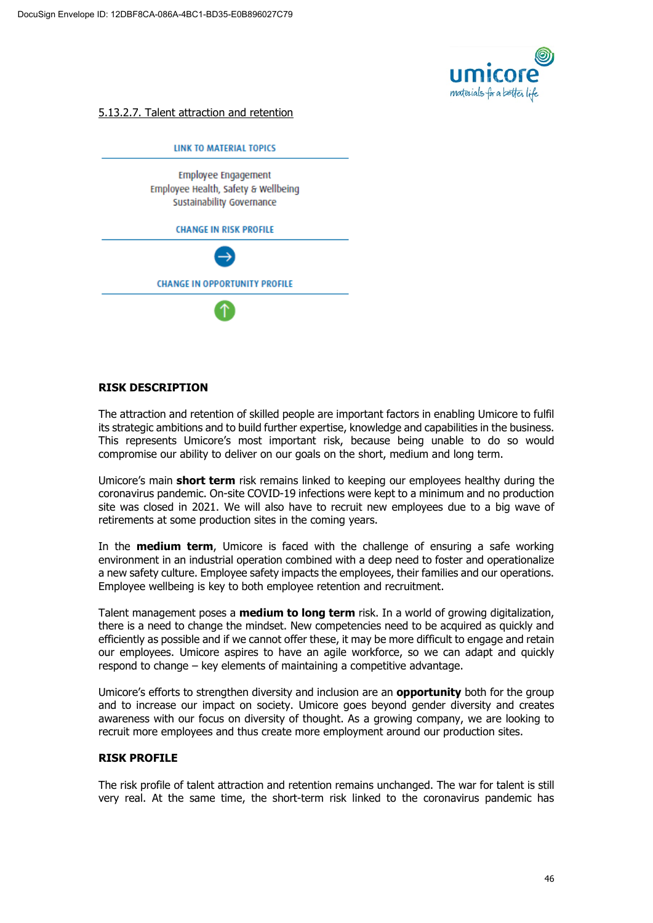

5.13.2.7. Talent attraction and retention



### **RISK DESCRIPTION**

The attraction and retention of skilled people are important factors in enabling Umicore to fulfil its strategic ambitions and to build further expertise, knowledge and capabilities in the business. This represents Umicore's most important risk, because being unable to do so would compromise our ability to deliver on our goals on the short, medium and long term.

Umicore's main **short term** risk remains linked to keeping our employees healthy during the coronavirus pandemic. On-site COVID-19 infections were kept to a minimum and no production site was closed in 2021. We will also have to recruit new employees due to a big wave of retirements at some production sites in the coming years.

In the **medium term**, Umicore is faced with the challenge of ensuring a safe working environment in an industrial operation combined with a deep need to foster and operationalize a new safety culture. Employee safety impacts the employees, their families and our operations. Employee wellbeing is key to both employee retention and recruitment.

Talent management poses a **medium to long term** risk. In a world of growing digitalization, there is a need to change the mindset. New competencies need to be acquired as quickly and efficiently as possible and if we cannot offer these, it may be more difficult to engage and retain our employees. Umicore aspires to have an agile workforce, so we can adapt and quickly respond to change – key elements of maintaining a competitive advantage.

Umicore's efforts to strengthen diversity and inclusion are an **opportunity** both for the group and to increase our impact on society. Umicore goes beyond gender diversity and creates awareness with our focus on diversity of thought. As a growing company, we are looking to recruit more employees and thus create more employment around our production sites.

#### **RISK PROFILE**

The risk profile of talent attraction and retention remains unchanged. The war for talent is still very real. At the same time, the short-term risk linked to the coronavirus pandemic has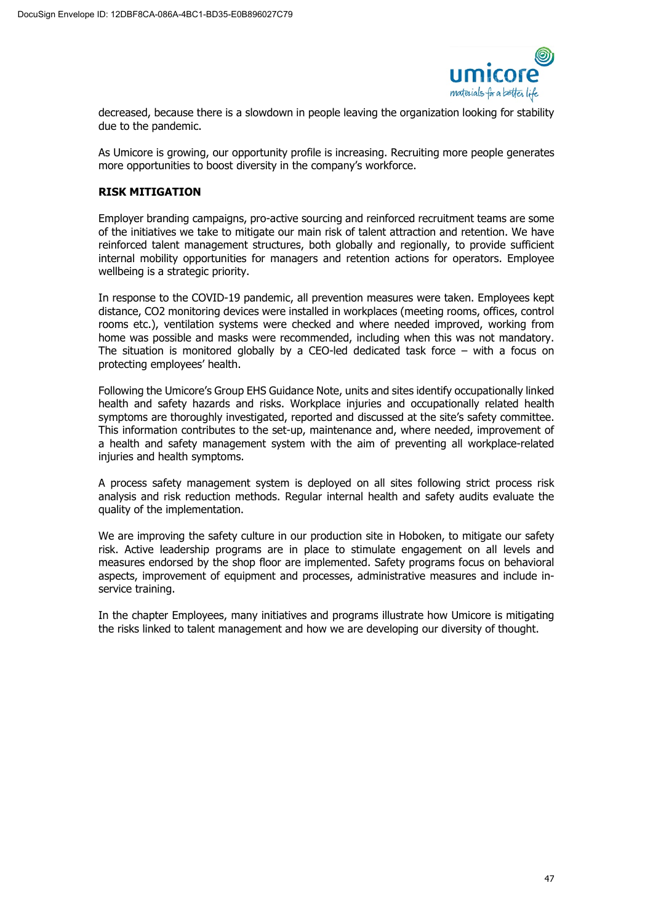

decreased, because there is a slowdown in people leaving the organization looking for stability due to the pandemic.

As Umicore is growing, our opportunity profile is increasing. Recruiting more people generates more opportunities to boost diversity in the company's workforce.

### **RISK MITIGATION**

Employer branding campaigns, pro-active sourcing and reinforced recruitment teams are some of the initiatives we take to mitigate our main risk of talent attraction and retention. We have reinforced talent management structures, both globally and regionally, to provide sufficient internal mobility opportunities for managers and retention actions for operators. Employee wellbeing is a strategic priority.

In response to the COVID-19 pandemic, all prevention measures were taken. Employees kept distance, CO2 monitoring devices were installed in workplaces (meeting rooms, offices, control rooms etc.), ventilation systems were checked and where needed improved, working from home was possible and masks were recommended, including when this was not mandatory. The situation is monitored globally by a CEO-led dedicated task force – with a focus on protecting employees' health.

Following the Umicore's Group EHS Guidance Note, units and sites identify occupationally linked health and safety hazards and risks. Workplace injuries and occupationally related health symptoms are thoroughly investigated, reported and discussed at the site's safety committee. This information contributes to the set-up, maintenance and, where needed, improvement of a health and safety management system with the aim of preventing all workplace-related injuries and health symptoms.

A process safety management system is deployed on all sites following strict process risk analysis and risk reduction methods. Regular internal health and safety audits evaluate the quality of the implementation.

We are improving the safety culture in our production site in Hoboken, to mitigate our safety risk. Active leadership programs are in place to stimulate engagement on all levels and measures endorsed by the shop floor are implemented. Safety programs focus on behavioral aspects, improvement of equipment and processes, administrative measures and include inservice training.

In the chapter Employees, many initiatives and programs illustrate how Umicore is mitigating the risks linked to talent management and how we are developing our diversity of thought.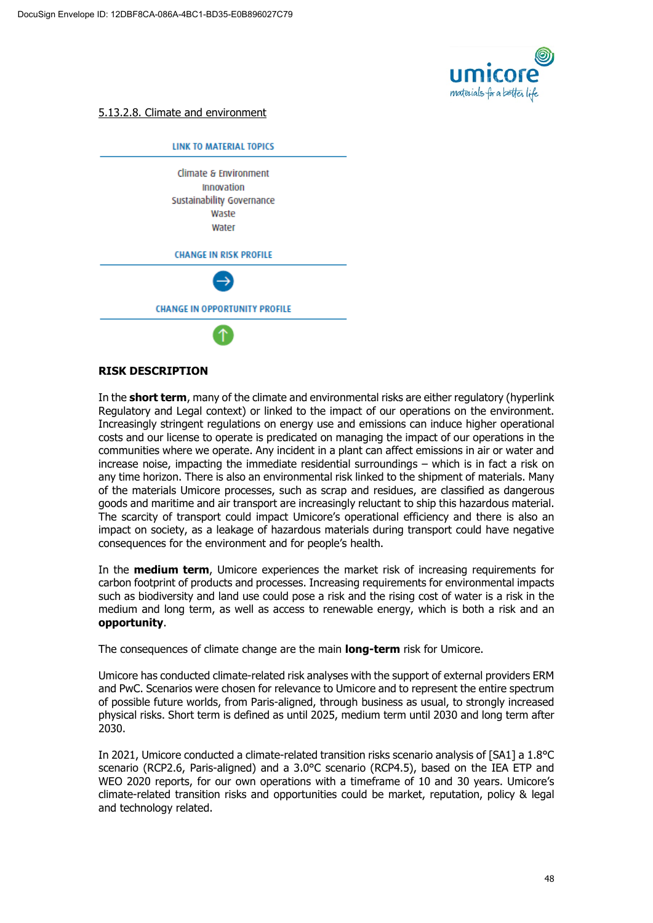

### 5.13.2.8. Climate and environment



### **RISK DESCRIPTION**

In the **short term**, many of the climate and environmental risks are either regulatory (hyperlink Regulatory and Legal context) or linked to the impact of our operations on the environment. Increasingly stringent regulations on energy use and emissions can induce higher operational costs and our license to operate is predicated on managing the impact of our operations in the communities where we operate. Any incident in a plant can affect emissions in air or water and increase noise, impacting the immediate residential surroundings – which is in fact a risk on any time horizon. There is also an environmental risk linked to the shipment of materials. Many of the materials Umicore processes, such as scrap and residues, are classified as dangerous goods and maritime and air transport are increasingly reluctant to ship this hazardous material. The scarcity of transport could impact Umicore's operational efficiency and there is also an impact on society, as a leakage of hazardous materials during transport could have negative consequences for the environment and for people's health.

In the **medium term**, Umicore experiences the market risk of increasing requirements for carbon footprint of products and processes. Increasing requirements for environmental impacts such as biodiversity and land use could pose a risk and the rising cost of water is a risk in the medium and long term, as well as access to renewable energy, which is both a risk and an **opportunity**.

The consequences of climate change are the main **long-term** risk for Umicore.

Umicore has conducted climate-related risk analyses with the support of external providers ERM and PwC. Scenarios were chosen for relevance to Umicore and to represent the entire spectrum of possible future worlds, from Paris-aligned, through business as usual, to strongly increased physical risks. Short term is defined as until 2025, medium term until 2030 and long term after 2030.

In 2021, Umicore conducted a climate-related transition risks scenario analysis of [SA1] a 1.8°C scenario (RCP2.6, Paris-aligned) and a 3.0°C scenario (RCP4.5), based on the IEA ETP and WEO 2020 reports, for our own operations with a timeframe of 10 and 30 years. Umicore's climate-related transition risks and opportunities could be market, reputation, policy & legal and technology related.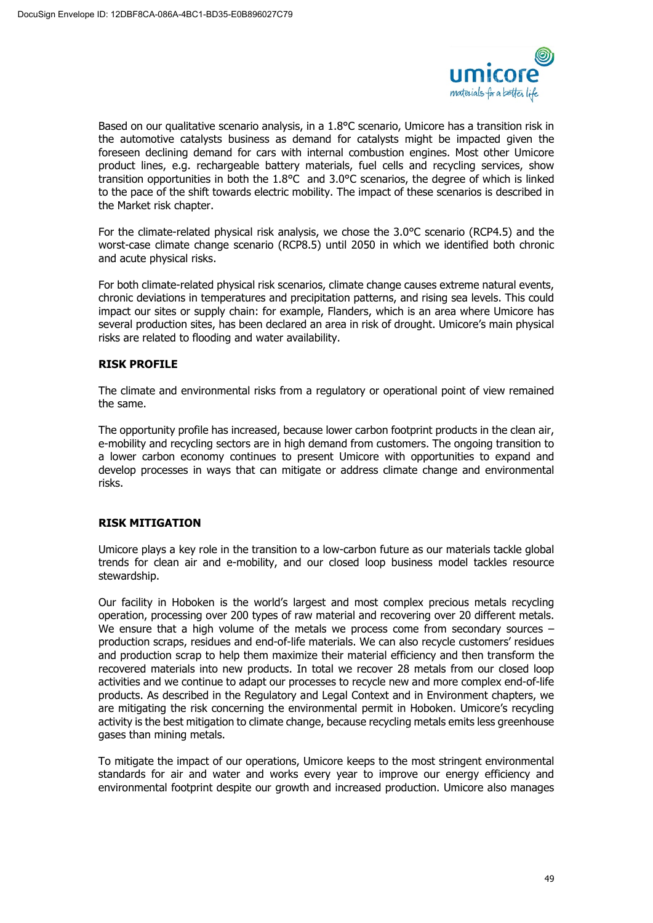

Based on our qualitative scenario analysis, in a 1.8°C scenario, Umicore has a transition risk in the automotive catalysts business as demand for catalysts might be impacted given the foreseen declining demand for cars with internal combustion engines. Most other Umicore product lines, e.g. rechargeable battery materials, fuel cells and recycling services, show transition opportunities in both the 1.8°C and 3.0°C scenarios, the degree of which is linked to the pace of the shift towards electric mobility. The impact of these scenarios is described in the Market risk chapter.

For the climate-related physical risk analysis, we chose the 3.0°C scenario (RCP4.5) and the worst-case climate change scenario (RCP8.5) until 2050 in which we identified both chronic and acute physical risks.

For both climate-related physical risk scenarios, climate change causes extreme natural events, chronic deviations in temperatures and precipitation patterns, and rising sea levels. This could impact our sites or supply chain: for example, Flanders, which is an area where Umicore has several production sites, has been declared an area in risk of drought. Umicore's main physical risks are related to flooding and water availability.

# **RISK PROFILE**

The climate and environmental risks from a regulatory or operational point of view remained the same.

The opportunity profile has increased, because lower carbon footprint products in the clean air, e-mobility and recycling sectors are in high demand from customers. The ongoing transition to a lower carbon economy continues to present Umicore with opportunities to expand and develop processes in ways that can mitigate or address climate change and environmental risks.

# **RISK MITIGATION**

Umicore plays a key role in the transition to a low-carbon future as our materials tackle global trends for clean air and e-mobility, and our closed loop business model tackles resource stewardship.

Our facility in Hoboken is the world's largest and most complex precious metals recycling operation, processing over 200 types of raw material and recovering over 20 different metals. We ensure that a high volume of the metals we process come from secondary sources production scraps, residues and end-of-life materials. We can also recycle customers' residues and production scrap to help them maximize their material efficiency and then transform the recovered materials into new products. In total we recover 28 metals from our closed loop activities and we continue to adapt our processes to recycle new and more complex end-of-life products. As described in the Regulatory and Legal Context and in Environment chapters, we are mitigating the risk concerning the environmental permit in Hoboken. Umicore's recycling activity is the best mitigation to climate change, because recycling metals emits less greenhouse gases than mining metals.

To mitigate the impact of our operations, Umicore keeps to the most stringent environmental standards for air and water and works every year to improve our energy efficiency and environmental footprint despite our growth and increased production. Umicore also manages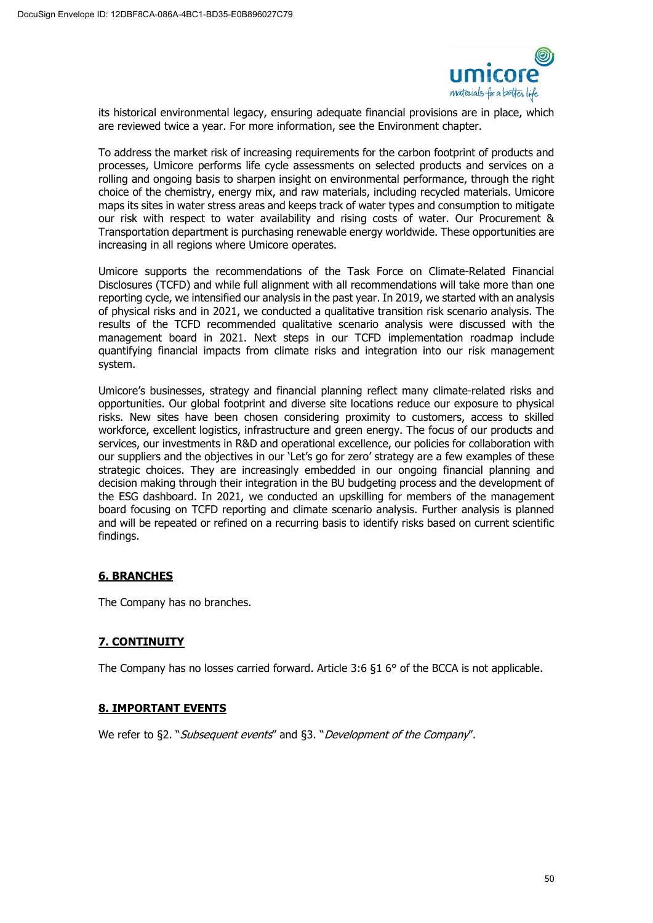

its historical environmental legacy, ensuring adequate financial provisions are in place, which are reviewed twice a year. For more information, see the Environment chapter.

To address the market risk of increasing requirements for the carbon footprint of products and processes, Umicore performs life cycle assessments on selected products and services on a rolling and ongoing basis to sharpen insight on environmental performance, through the right choice of the chemistry, energy mix, and raw materials, including recycled materials. Umicore maps its sites in water stress areas and keeps track of water types and consumption to mitigate our risk with respect to water availability and rising costs of water. Our Procurement & Transportation department is purchasing renewable energy worldwide. These opportunities are increasing in all regions where Umicore operates.

Umicore supports the recommendations of the Task Force on Climate-Related Financial Disclosures (TCFD) and while full alignment with all recommendations will take more than one reporting cycle, we intensified our analysis in the past year. In 2019, we started with an analysis of physical risks and in 2021, we conducted a qualitative transition risk scenario analysis. The results of the TCFD recommended qualitative scenario analysis were discussed with the management board in 2021. Next steps in our TCFD implementation roadmap include quantifying financial impacts from climate risks and integration into our risk management system.

Umicore's businesses, strategy and financial planning reflect many climate-related risks and opportunities. Our global footprint and diverse site locations reduce our exposure to physical risks. New sites have been chosen considering proximity to customers, access to skilled workforce, excellent logistics, infrastructure and green energy. The focus of our products and services, our investments in R&D and operational excellence, our policies for collaboration with our suppliers and the objectives in our 'Let's go for zero' strategy are a few examples of these strategic choices. They are increasingly embedded in our ongoing financial planning and decision making through their integration in the BU budgeting process and the development of the ESG dashboard. In 2021, we conducted an upskilling for members of the management board focusing on TCFD reporting and climate scenario analysis. Further analysis is planned and will be repeated or refined on a recurring basis to identify risks based on current scientific findings.

# **6. BRANCHES**

The Company has no branches.

# **7. CONTINUITY**

The Company has no losses carried forward. Article 3:6 §1 6° of the BCCA is not applicable.

# **8. IMPORTANT EVENTS**

We refer to §2. "Subsequent events" and §3. "Development of the Company".